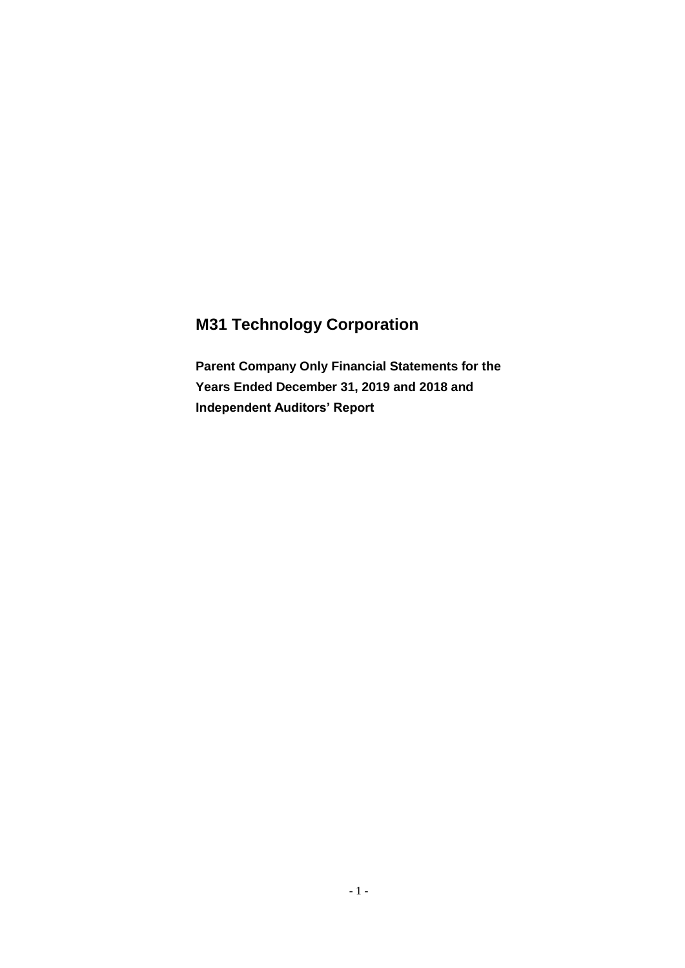# **M31 Technology Corporation**

**Parent Company Only Financial Statements for the Years Ended December 31, 2019 and 2018 and Independent Auditors' Report**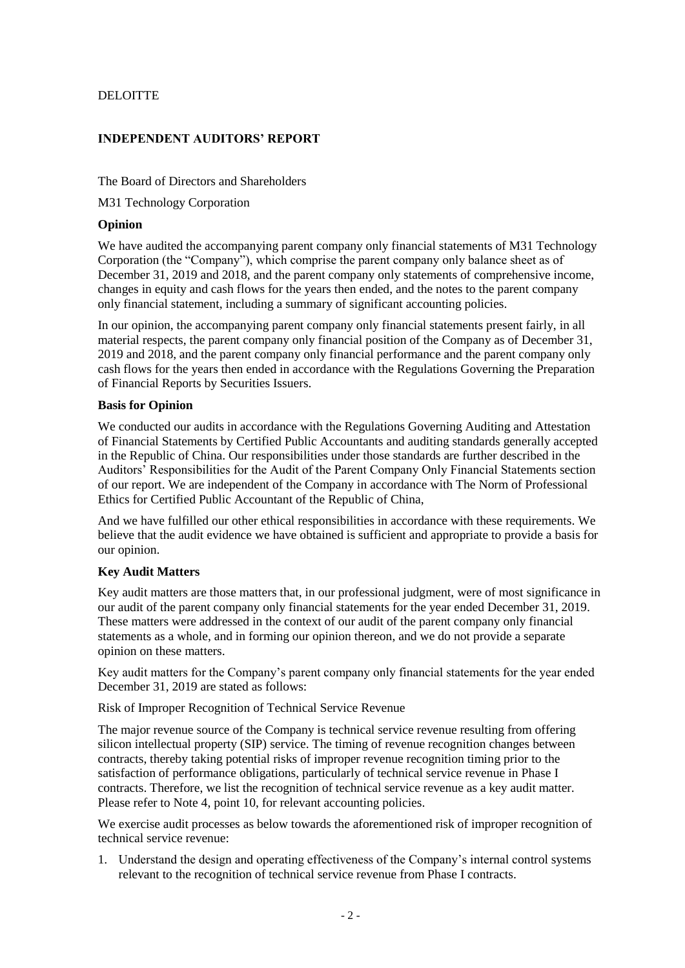### **DELOITTE**

### **INDEPENDENT AUDITORS' REPORT**

The Board of Directors and Shareholders

M31 Technology Corporation

#### **Opinion**

We have audited the accompanying parent company only financial statements of M31 Technology Corporation (the "Company"), which comprise the parent company only balance sheet as of December 31, 2019 and 2018, and the parent company only statements of comprehensive income, changes in equity and cash flows for the years then ended, and the notes to the parent company only financial statement, including a summary of significant accounting policies.

In our opinion, the accompanying parent company only financial statements present fairly, in all material respects, the parent company only financial position of the Company as of December 31, 2019 and 2018, and the parent company only financial performance and the parent company only cash flows for the years then ended in accordance with the Regulations Governing the Preparation of Financial Reports by Securities Issuers.

#### **Basis for Opinion**

We conducted our audits in accordance with the Regulations Governing Auditing and Attestation of Financial Statements by Certified Public Accountants and auditing standards generally accepted in the Republic of China. Our responsibilities under those standards are further described in the Auditors' Responsibilities for the Audit of the Parent Company Only Financial Statements section of our report. We are independent of the Company in accordance with The Norm of Professional Ethics for Certified Public Accountant of the Republic of China,

And we have fulfilled our other ethical responsibilities in accordance with these requirements. We believe that the audit evidence we have obtained is sufficient and appropriate to provide a basis for our opinion.

### **Key Audit Matters**

Key audit matters are those matters that, in our professional judgment, were of most significance in our audit of the parent company only financial statements for the year ended December 31, 2019. These matters were addressed in the context of our audit of the parent company only financial statements as a whole, and in forming our opinion thereon, and we do not provide a separate opinion on these matters.

Key audit matters for the Company's parent company only financial statements for the year ended December 31, 2019 are stated as follows:

Risk of Improper Recognition of Technical Service Revenue

The major revenue source of the Company is technical service revenue resulting from offering silicon intellectual property (SIP) service. The timing of revenue recognition changes between contracts, thereby taking potential risks of improper revenue recognition timing prior to the satisfaction of performance obligations, particularly of technical service revenue in Phase I contracts. Therefore, we list the recognition of technical service revenue as a key audit matter. Please refer to Note 4, point 10, for relevant accounting policies.

We exercise audit processes as below towards the aforementioned risk of improper recognition of technical service revenue:

1. Understand the design and operating effectiveness of the Company's internal control systems relevant to the recognition of technical service revenue from Phase I contracts.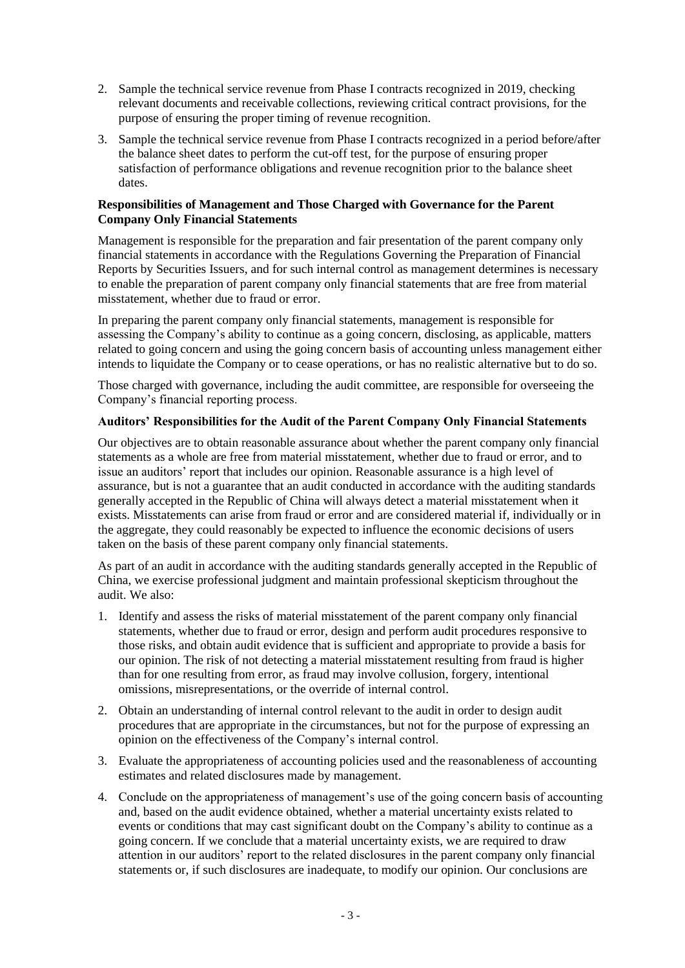- 2. Sample the technical service revenue from Phase I contracts recognized in 2019, checking relevant documents and receivable collections, reviewing critical contract provisions, for the purpose of ensuring the proper timing of revenue recognition.
- 3. Sample the technical service revenue from Phase I contracts recognized in a period before/after the balance sheet dates to perform the cut-off test, for the purpose of ensuring proper satisfaction of performance obligations and revenue recognition prior to the balance sheet dates.

#### **Responsibilities of Management and Those Charged with Governance for the Parent Company Only Financial Statements**

Management is responsible for the preparation and fair presentation of the parent company only financial statements in accordance with the Regulations Governing the Preparation of Financial Reports by Securities Issuers, and for such internal control as management determines is necessary to enable the preparation of parent company only financial statements that are free from material misstatement, whether due to fraud or error.

In preparing the parent company only financial statements, management is responsible for assessing the Company's ability to continue as a going concern, disclosing, as applicable, matters related to going concern and using the going concern basis of accounting unless management either intends to liquidate the Company or to cease operations, or has no realistic alternative but to do so.

Those charged with governance, including the audit committee, are responsible for overseeing the Company's financial reporting process.

### **Auditors' Responsibilities for the Audit of the Parent Company Only Financial Statements**

Our objectives are to obtain reasonable assurance about whether the parent company only financial statements as a whole are free from material misstatement, whether due to fraud or error, and to issue an auditors' report that includes our opinion. Reasonable assurance is a high level of assurance, but is not a guarantee that an audit conducted in accordance with the auditing standards generally accepted in the Republic of China will always detect a material misstatement when it exists. Misstatements can arise from fraud or error and are considered material if, individually or in the aggregate, they could reasonably be expected to influence the economic decisions of users taken on the basis of these parent company only financial statements.

As part of an audit in accordance with the auditing standards generally accepted in the Republic of China, we exercise professional judgment and maintain professional skepticism throughout the audit. We also:

- 1. Identify and assess the risks of material misstatement of the parent company only financial statements, whether due to fraud or error, design and perform audit procedures responsive to those risks, and obtain audit evidence that is sufficient and appropriate to provide a basis for our opinion. The risk of not detecting a material misstatement resulting from fraud is higher than for one resulting from error, as fraud may involve collusion, forgery, intentional omissions, misrepresentations, or the override of internal control.
- 2. Obtain an understanding of internal control relevant to the audit in order to design audit procedures that are appropriate in the circumstances, but not for the purpose of expressing an opinion on the effectiveness of the Company's internal control.
- 3. Evaluate the appropriateness of accounting policies used and the reasonableness of accounting estimates and related disclosures made by management.
- 4. Conclude on the appropriateness of management's use of the going concern basis of accounting and, based on the audit evidence obtained, whether a material uncertainty exists related to events or conditions that may cast significant doubt on the Company's ability to continue as a going concern. If we conclude that a material uncertainty exists, we are required to draw attention in our auditors' report to the related disclosures in the parent company only financial statements or, if such disclosures are inadequate, to modify our opinion. Our conclusions are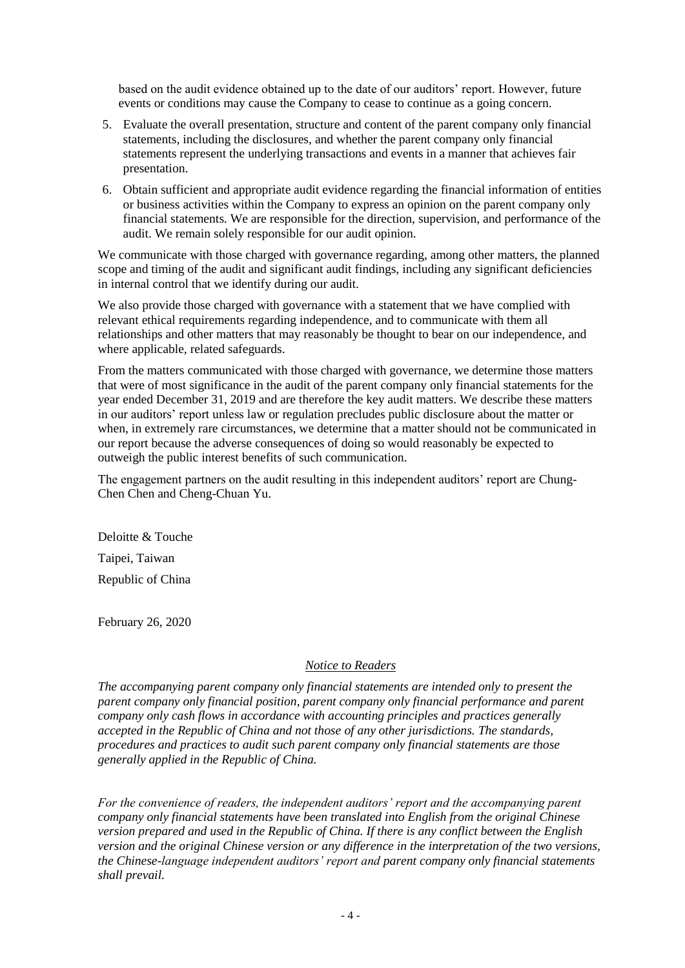based on the audit evidence obtained up to the date of our auditors' report. However, future events or conditions may cause the Company to cease to continue as a going concern.

- 5. Evaluate the overall presentation, structure and content of the parent company only financial statements, including the disclosures, and whether the parent company only financial statements represent the underlying transactions and events in a manner that achieves fair presentation.
- 6. Obtain sufficient and appropriate audit evidence regarding the financial information of entities or business activities within the Company to express an opinion on the parent company only financial statements. We are responsible for the direction, supervision, and performance of the audit. We remain solely responsible for our audit opinion.

We communicate with those charged with governance regarding, among other matters, the planned scope and timing of the audit and significant audit findings, including any significant deficiencies in internal control that we identify during our audit.

We also provide those charged with governance with a statement that we have complied with relevant ethical requirements regarding independence, and to communicate with them all relationships and other matters that may reasonably be thought to bear on our independence, and where applicable, related safeguards.

From the matters communicated with those charged with governance, we determine those matters that were of most significance in the audit of the parent company only financial statements for the year ended December 31, 2019 and are therefore the key audit matters. We describe these matters in our auditors' report unless law or regulation precludes public disclosure about the matter or when, in extremely rare circumstances, we determine that a matter should not be communicated in our report because the adverse consequences of doing so would reasonably be expected to outweigh the public interest benefits of such communication.

The engagement partners on the audit resulting in this independent auditors' report are Chung-Chen Chen and Cheng-Chuan Yu.

Deloitte & Touche Taipei, Taiwan Republic of China

February 26, 2020

#### *Notice to Readers*

*The accompanying parent company only financial statements are intended only to present the parent company only financial position, parent company only financial performance and parent company only cash flows in accordance with accounting principles and practices generally accepted in the Republic of China and not those of any other jurisdictions. The standards, procedures and practices to audit such parent company only financial statements are those generally applied in the Republic of China.*

*For the convenience of readers, the independent auditors' report and the accompanying parent company only financial statements have been translated into English from the original Chinese version prepared and used in the Republic of China. If there is any conflict between the English version and the original Chinese version or any difference in the interpretation of the two versions, the Chinese-language independent auditors' report and parent company only financial statements shall prevail.*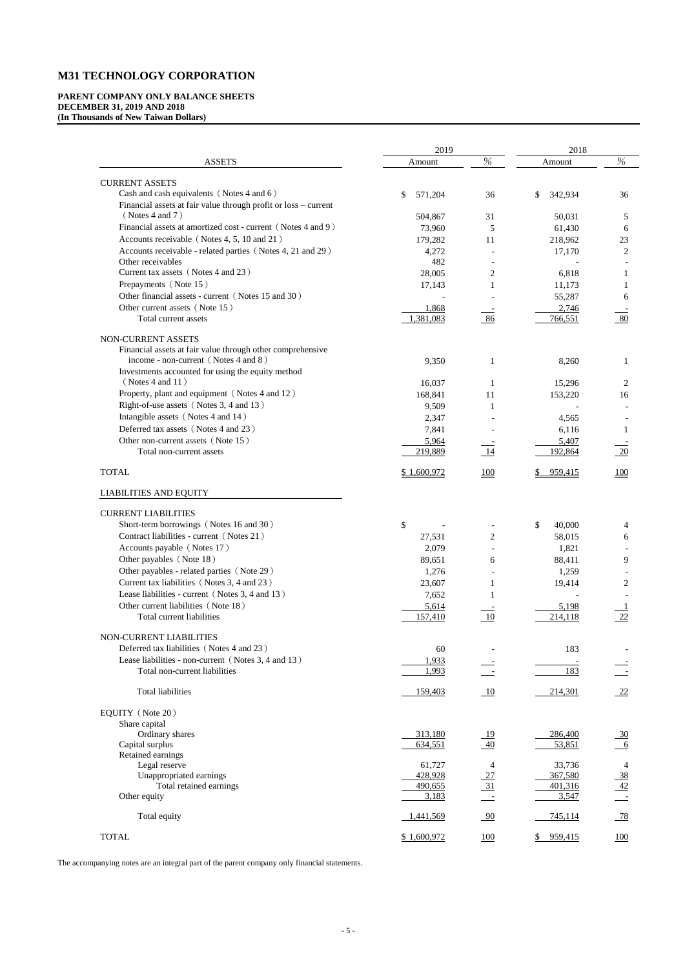# **M31 TECHNOLOGY CORPORATION**

### **PARENT COMPANY ONLY BALANCE SHEETS DECEMBER 31, 2019 AND 2018 (In Thousands of New Taiwan Dollars)**

|                                                                 | 2019          |                | 2018                    |                |
|-----------------------------------------------------------------|---------------|----------------|-------------------------|----------------|
| <b>ASSETS</b>                                                   | Amount        | $\%$           | Amount                  | $\%$           |
| <b>CURRENT ASSETS</b>                                           |               |                |                         |                |
| Cash and cash equivalents (Notes 4 and 6)                       | 571,204<br>\$ | 36             | 342,934<br>$\mathbb{S}$ | 36             |
| Financial assets at fair value through profit or loss - current |               |                |                         |                |
| (Notes 4 and 7)                                                 | 504,867       | 31             | 50,031                  | 5              |
| Financial assets at amortized cost - current (Notes 4 and 9)    | 73,960        | 5              | 61,430                  | 6              |
| Accounts receivable (Notes 4, 5, 10 and 21)                     | 179,282       | 11             | 218,962                 | 23             |
| Accounts receivable - related parties (Notes 4, 21 and 29)      | 4,272         |                | 17,170                  | $\overline{2}$ |
| Other receivables                                               | 482           |                |                         |                |
| Current tax assets (Notes 4 and 23)                             | 28,005        | $\overline{c}$ | 6,818                   | 1              |
| Prepayments (Note 15)                                           | 17,143        |                | 11,173                  |                |
| Other financial assets - current (Notes 15 and 30)              |               |                | 55,287                  | 6              |
| Other current assets (Note 15)                                  | 1,868         |                | 2,746                   |                |
| Total current assets                                            | 1,381,083     | 86             | 766,551                 | 80             |
| NON-CURRENT ASSETS                                              |               |                |                         |                |
| Financial assets at fair value through other comprehensive      |               |                |                         |                |
| income - non-current (Notes 4 and 8)                            | 9,350         | 1              | 8,260                   |                |
| Investments accounted for using the equity method               |               |                |                         |                |
| (Notes 4 and 11)                                                | 16,037        | 1              | 15,296                  | $\overline{2}$ |
| Property, plant and equipment (Notes 4 and 12)                  | 168,841       | 11             | 153,220                 | 16             |
| Right-of-use assets (Notes 3, 4 and 13)                         | 9,509         | 1              |                         |                |
| Intangible assets (Notes 4 and 14)                              | 2,347         |                | 4,565                   |                |
| Deferred tax assets (Notes 4 and 23)                            | 7,841         |                | 6,116                   |                |
| Other non-current assets (Note 15)                              | 5,964         |                | 5,407                   |                |
| Total non-current assets                                        | 219,889       |                | 192,864                 | 20             |
| <b>TOTAL</b>                                                    | \$1,600,972   | <u>100</u>     | 959,415                 | <b>100</b>     |
| <b>LIABILITIES AND EQUITY</b>                                   |               |                |                         |                |
| <b>CURRENT LIABILITIES</b>                                      |               |                |                         |                |
| Short-term borrowings (Notes 16 and 30)                         | \$            |                | \$<br>40,000            | 4              |
| Contract liabilities - current (Notes 21)                       | 27,531        | $\overline{2}$ | 58,015                  | 6              |
| Accounts payable (Notes 17)                                     | 2,079         |                | 1,821                   |                |
| Other payables (Note 18)                                        | 89,651        | 6              | 88,411                  | 9              |
| Other payables - related parties (Note 29)                      | 1,276         |                | 1,259                   |                |
| Current tax liabilities (Notes 3, 4 and 23)                     | 23,607        |                | 19,414                  | $\overline{2}$ |
| Lease liabilities - current (Notes 3, 4 and 13)                 | 7,652         |                |                         |                |
| Other current liabilities (Note 18)                             | 5,614         |                | 5,198                   |                |
| Total current liabilities                                       | 157,410       | - 10           | 214,118                 | 22             |
| NON-CURRENT LIABILITIES                                         |               |                |                         |                |
| Deferred tax liabilities (Notes 4 and 23)                       | 60            |                | 183                     |                |
| Lease liabilities - non-current (Notes 3, 4 and 13)             | 1,933         |                |                         |                |
| Total non-current liabilities                                   | 1,993         |                | 183                     |                |
| <b>Total liabilities</b>                                        | 159,403       | 10             | 214,301                 | 22             |
| EQUITY (Note 20)                                                |               |                |                         |                |
| Share capital                                                   |               |                |                         |                |

| Ordinary shares         | 313,180     | 19              | 286,400 | $\frac{30}{2}$ |
|-------------------------|-------------|-----------------|---------|----------------|
| Capital surplus         | 634,551     | $\overline{40}$ | 53,851  | 6              |
| Retained earnings       |             |                 |         |                |
| Legal reserve           | 61,727      |                 | 33,736  | 4              |
| Unappropriated earnings | 428,928     | $\frac{27}{2}$  | 367,580 | $\frac{38}{1}$ |
| Total retained earnings | 490,655     | 31              | 401,316 | $\frac{42}{ }$ |
| Other equity            | 3,183       |                 | 3,547   |                |
| Total equity            | 1,441,569   | $\frac{90}{90}$ | 745,114 | $\frac{78}{ }$ |
| <b>TOTAL</b>            | \$1,600,972 | <u>100</u>      | 959,415 | <u>100</u>     |

The accompanying notes are an integral part of the parent company only financial statements.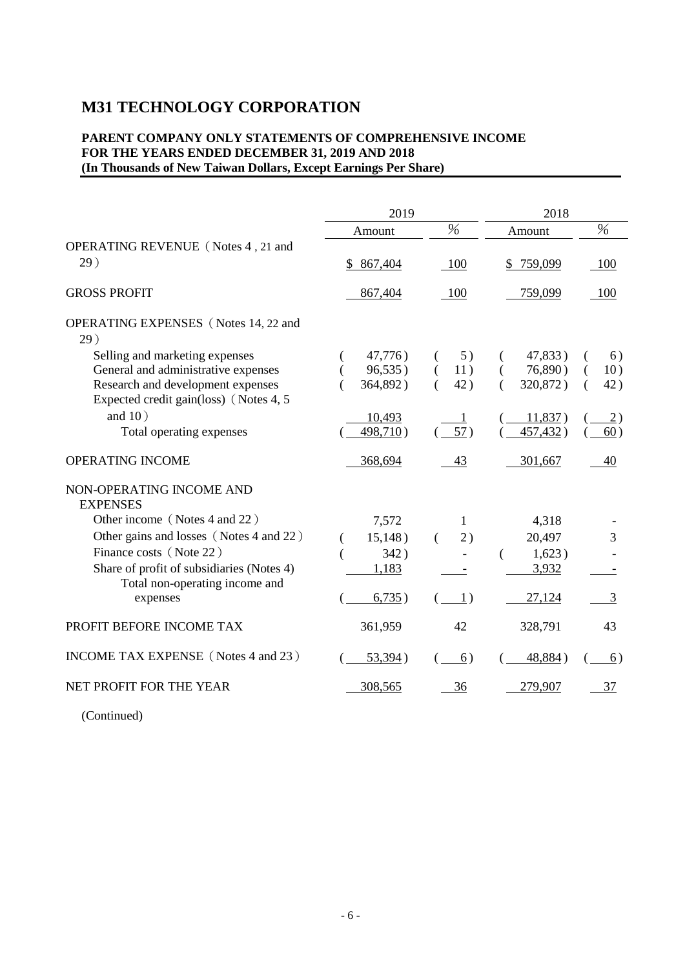# **M31 TECHNOLOGY CORPORATION**

### **PARENT COMPANY ONLY STATEMENTS OF COMPREHENSIVE INCOME FOR THE YEARS ENDED DECEMBER 31, 2019 AND 2018 (In Thousands of New Taiwan Dollars, Except Earnings Per Share)**

|                                                                              | 2019      |                  | 2018      |      |
|------------------------------------------------------------------------------|-----------|------------------|-----------|------|
|                                                                              | Amount    | $\frac{0}{6}$    | Amount    | $\%$ |
| OPERATING REVENUE (Notes 4, 21 and<br>29)                                    | \$867,404 | 100              | \$759,099 | 100  |
| <b>GROSS PROFIT</b>                                                          | 867,404   | 100              | 759,099   | 100  |
| <b>OPERATING EXPENSES</b> (Notes 14, 22 and<br>29)                           |           |                  |           |      |
| Selling and marketing expenses                                               | 47,776)   | 5)               | 47,833)   | 6)   |
| General and administrative expenses                                          | 96,535)   | 11)<br>$\left($  | 76,890)   | 10)  |
| Research and development expenses<br>Expected credit gain(loss) (Notes 4, 5) | 364,892)  | 42)<br>€         | 320,872)  | 42)  |
| and $10)$                                                                    | 10,493    |                  | 11,837)   | 2)   |
| Total operating expenses                                                     | 498,710)  | 57)              | 457,432)  | 60)  |
| <b>OPERATING INCOME</b>                                                      | 368,694   | 43               | 301,667   | 40   |
| NON-OPERATING INCOME AND<br><b>EXPENSES</b>                                  |           |                  |           |      |
| Other income (Notes 4 and 22)                                                | 7,572     | 1                | 4,318     |      |
| Other gains and losses (Notes 4 and 22)                                      | 15,148)   | 2)<br>$\left($   | 20,497    | 3    |
| Finance costs (Note 22)                                                      | 342)      |                  | 1,623)    |      |
| Share of profit of subsidiaries (Notes 4)<br>Total non-operating income and  | 1,183     |                  | 3,932     |      |
| expenses                                                                     | 6,735)    | $\left(1\right)$ | 27,124    | 3    |
| PROFIT BEFORE INCOME TAX                                                     | 361,959   | 42               | 328,791   | 43   |
| INCOME TAX EXPENSE (Notes 4 and 23)                                          | 53,394)   | 6)               | 48,884)   | 6)   |
| NET PROFIT FOR THE YEAR                                                      | 308,565   | 36               | 279,907   | 37   |

(Continued)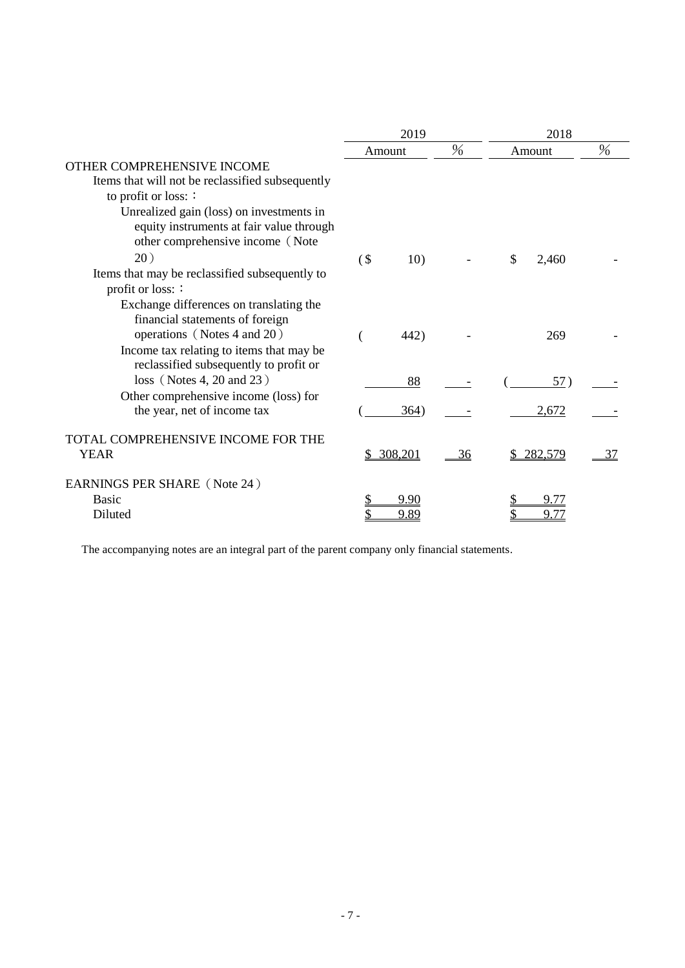|                                                                                                                          | 2019   |         |                | 2018 |         |      |
|--------------------------------------------------------------------------------------------------------------------------|--------|---------|----------------|------|---------|------|
|                                                                                                                          |        | Amount  | $\%$           |      | Amount  | $\%$ |
| OTHER COMPREHENSIVE INCOME<br>Items that will not be reclassified subsequently<br>to profit or loss: :                   |        |         |                |      |         |      |
| Unrealized gain (loss) on investments in<br>equity instruments at fair value through<br>other comprehensive income (Note |        |         |                |      |         |      |
| 20)                                                                                                                      | $($ \$ | 10)     |                | \$   | 2,460   |      |
| Items that may be reclassified subsequently to<br>profit or loss: :                                                      |        |         |                |      |         |      |
| Exchange differences on translating the<br>financial statements of foreign<br>operations (Notes 4 and 20)                |        | 442)    |                |      | 269     |      |
| Income tax relating to items that may be<br>reclassified subsequently to profit or<br>$loss$ (Notes 4, 20 and 23)        |        | 88      |                |      | 57)     |      |
| Other comprehensive income (loss) for<br>the year, net of income tax                                                     |        | 364)    |                |      | 2,672   |      |
| TOTAL COMPREHENSIVE INCOME FOR THE<br><b>YEAR</b>                                                                        |        | 308,201 | $\frac{36}{5}$ |      | 282,579 | 37   |
| EARNINGS PER SHARE (Note 24)                                                                                             |        |         |                |      |         |      |
| <b>Basic</b>                                                                                                             |        | 9.90    |                |      |         |      |
| Diluted                                                                                                                  |        | 9.89    |                |      | 9.77    |      |

The accompanying notes are an integral part of the parent company only financial statements.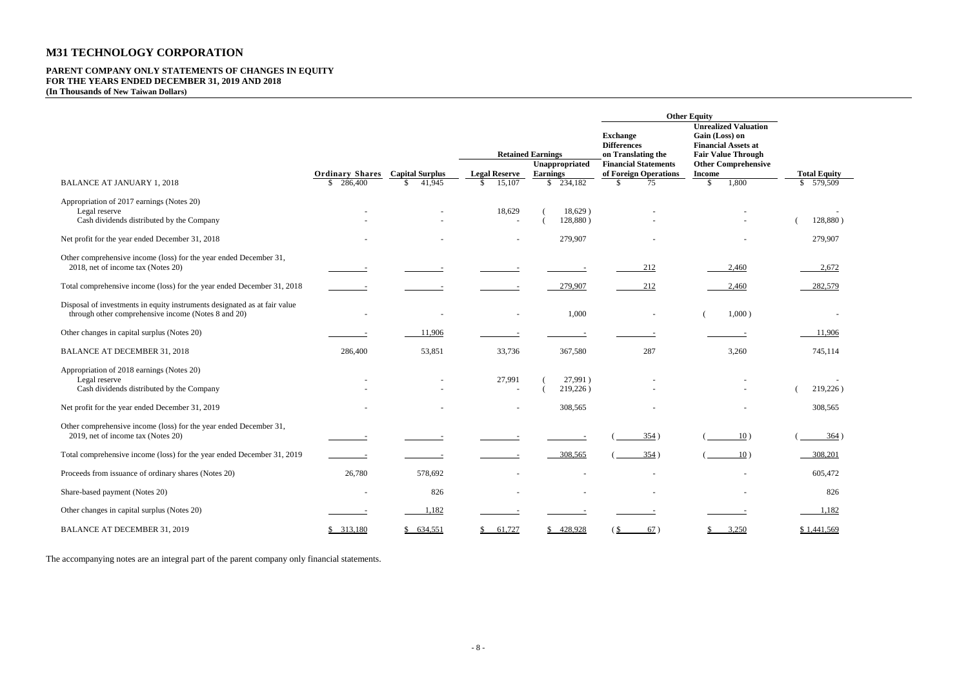# **M31 TECHNOLOGY CORPORATION**

# **PARENT COMPANY ONLY STATEMENTS OF CHANGES IN EQUITY FOR THE YEARS ENDED DECEMBER 31, 2019 AND 2018**

**(In Thousands of New Taiwan Dollars)**

|                                                                                                                                  |                                                   |                                                  |                                      |                                            | <b>Other Equity</b>                                                                        |                                                                                                                                        |                                   |
|----------------------------------------------------------------------------------------------------------------------------------|---------------------------------------------------|--------------------------------------------------|--------------------------------------|--------------------------------------------|--------------------------------------------------------------------------------------------|----------------------------------------------------------------------------------------------------------------------------------------|-----------------------------------|
|                                                                                                                                  |                                                   |                                                  |                                      | <b>Retained Earnings</b><br>Unappropriated | <b>Exchange</b><br><b>Differences</b><br>on Translating the<br><b>Financial Statements</b> | <b>Unrealized Valuation</b><br>Gain (Loss) on<br><b>Financial Assets at</b><br><b>Fair Value Through</b><br><b>Other Comprehensive</b> |                                   |
| <b>BALANCE AT JANUARY 1, 2018</b>                                                                                                | <b>Ordinary Shares</b><br>286,400<br>$\mathbb{S}$ | <b>Capital Surplus</b><br>41,945<br>$\mathbb{S}$ | <b>Legal Reserve</b><br>15,107<br>S. | <b>Earnings</b><br>\$234,182               | of Foreign Operations<br>\$<br>75                                                          | <b>Income</b><br>1,800<br>\$                                                                                                           | <b>Total Equity</b><br>\$ 579,509 |
|                                                                                                                                  |                                                   |                                                  |                                      |                                            |                                                                                            |                                                                                                                                        |                                   |
| Appropriation of 2017 earnings (Notes 20)<br>Legal reserve                                                                       |                                                   |                                                  | 18,629                               | 18,629)                                    |                                                                                            |                                                                                                                                        |                                   |
| Cash dividends distributed by the Company                                                                                        |                                                   |                                                  | $\sim$                               | 128,880)                                   |                                                                                            |                                                                                                                                        | 128,880)                          |
| Net profit for the year ended December 31, 2018                                                                                  |                                                   |                                                  |                                      | 279,907                                    |                                                                                            |                                                                                                                                        | 279,907                           |
| Other comprehensive income (loss) for the year ended December 31,<br>2018, net of income tax (Notes 20)                          |                                                   |                                                  |                                      |                                            |                                                                                            |                                                                                                                                        | 2,672                             |
|                                                                                                                                  |                                                   |                                                  |                                      |                                            | 212                                                                                        | 2,460                                                                                                                                  |                                   |
| Total comprehensive income (loss) for the year ended December 31, 2018                                                           |                                                   |                                                  |                                      | 279,907                                    | 212                                                                                        | 2,460                                                                                                                                  | 282,579                           |
| Disposal of investments in equity instruments designated as at fair value<br>through other comprehensive income (Notes 8 and 20) |                                                   |                                                  |                                      | 1,000                                      |                                                                                            | 1,000)                                                                                                                                 |                                   |
| Other changes in capital surplus (Notes 20)                                                                                      |                                                   | 11,906                                           |                                      |                                            |                                                                                            |                                                                                                                                        | 11,906                            |
| <b>BALANCE AT DECEMBER 31, 2018</b>                                                                                              | 286,400                                           | 53,851                                           | 33,736                               | 367,580                                    | 287                                                                                        | 3,260                                                                                                                                  | 745,114                           |
| Appropriation of 2018 earnings (Notes 20)<br>Legal reserve<br>Cash dividends distributed by the Company                          |                                                   |                                                  | 27,991<br>$\sim$                     | 27,991)<br>219,226)                        |                                                                                            |                                                                                                                                        | 219,226)                          |
| Net profit for the year ended December 31, 2019                                                                                  |                                                   |                                                  |                                      | 308,565                                    |                                                                                            |                                                                                                                                        | 308,565                           |
| Other comprehensive income (loss) for the year ended December 31,<br>2019, net of income tax (Notes 20)                          |                                                   |                                                  |                                      |                                            | 354)                                                                                       | 10)                                                                                                                                    | 364)                              |
| Total comprehensive income (loss) for the year ended December 31, 2019                                                           |                                                   |                                                  |                                      | 308,565                                    | 354)                                                                                       | 10)                                                                                                                                    | 308,201                           |
| Proceeds from issuance of ordinary shares (Notes 20)                                                                             | 26,780                                            | 578,692                                          |                                      |                                            |                                                                                            |                                                                                                                                        | 605,472                           |
| Share-based payment (Notes 20)                                                                                                   | ۰                                                 | 826                                              |                                      | $\overline{\phantom{a}}$                   |                                                                                            |                                                                                                                                        | 826                               |
| Other changes in capital surplus (Notes 20)                                                                                      |                                                   | 1,182                                            |                                      |                                            |                                                                                            |                                                                                                                                        | 1,182                             |
| BALANCE AT DECEMBER 31, 2019                                                                                                     | \$313,180                                         | \$634,551                                        | 61,727<br>$\mathbb{S}$               | \$428,928                                  | 67)<br>(S                                                                                  | 3,250<br>S                                                                                                                             | \$1,441,569                       |

The accompanying notes are an integral part of the parent company only financial statements.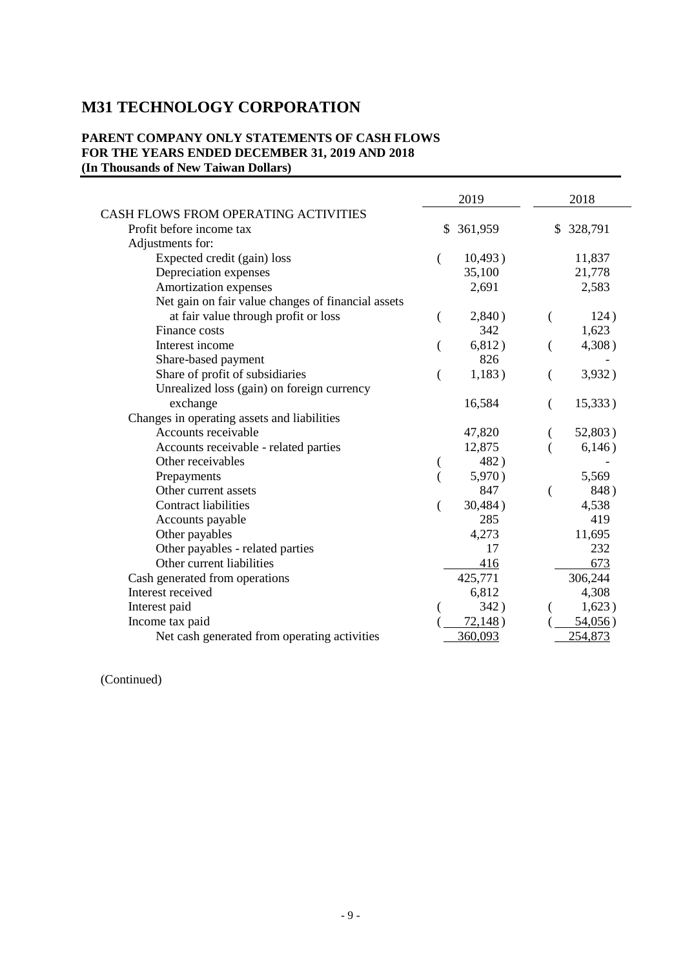# **M31 TECHNOLOGY CORPORATION**

### **PARENT COMPANY ONLY STATEMENTS OF CASH FLOWS FOR THE YEARS ENDED DECEMBER 31, 2019 AND 2018 (In Thousands of New Taiwan Dollars)**

|                                                    |    | 2019    |    | 2018    |
|----------------------------------------------------|----|---------|----|---------|
| CASH FLOWS FROM OPERATING ACTIVITIES               |    |         |    |         |
| Profit before income tax                           | \$ | 361,959 | \$ | 328,791 |
| Adjustments for:                                   |    |         |    |         |
| Expected credit (gain) loss                        | (  | 10,493) |    | 11,837  |
| Depreciation expenses                              |    | 35,100  |    | 21,778  |
| Amortization expenses                              |    | 2,691   |    | 2,583   |
| Net gain on fair value changes of financial assets |    |         |    |         |
| at fair value through profit or loss               | (  | 2,840)  |    | 124)    |
| Finance costs                                      |    | 342     |    | 1,623   |
| Interest income                                    | (  | 6,812)  |    | 4,308)  |
| Share-based payment                                |    | 826     |    |         |
| Share of profit of subsidiaries                    |    | 1,183)  |    | 3,932)  |
| Unrealized loss (gain) on foreign currency         |    |         |    |         |
| exchange                                           |    | 16,584  | (  | 15,333) |
| Changes in operating assets and liabilities        |    |         |    |         |
| Accounts receivable                                |    | 47,820  |    | 52,803) |
| Accounts receivable - related parties              |    | 12,875  |    | 6,146)  |
| Other receivables                                  |    | 482)    |    |         |
| Prepayments                                        |    | 5,970)  |    | 5,569   |
| Other current assets                               |    | 847     |    | 848)    |
| <b>Contract liabilities</b>                        | (  | 30,484) |    | 4,538   |
| Accounts payable                                   |    | 285     |    | 419     |
| Other payables                                     |    | 4,273   |    | 11,695  |
| Other payables - related parties                   |    | 17      |    | 232     |
| Other current liabilities                          |    | 416     |    | 673     |
| Cash generated from operations                     |    | 425,771 |    | 306,244 |
| Interest received                                  |    | 6,812   |    | 4,308   |
| Interest paid                                      |    | 342)    |    | 1,623)  |
| Income tax paid                                    |    | 72,148) |    | 54,056) |
| Net cash generated from operating activities       |    | 360,093 |    | 254,873 |

(Continued)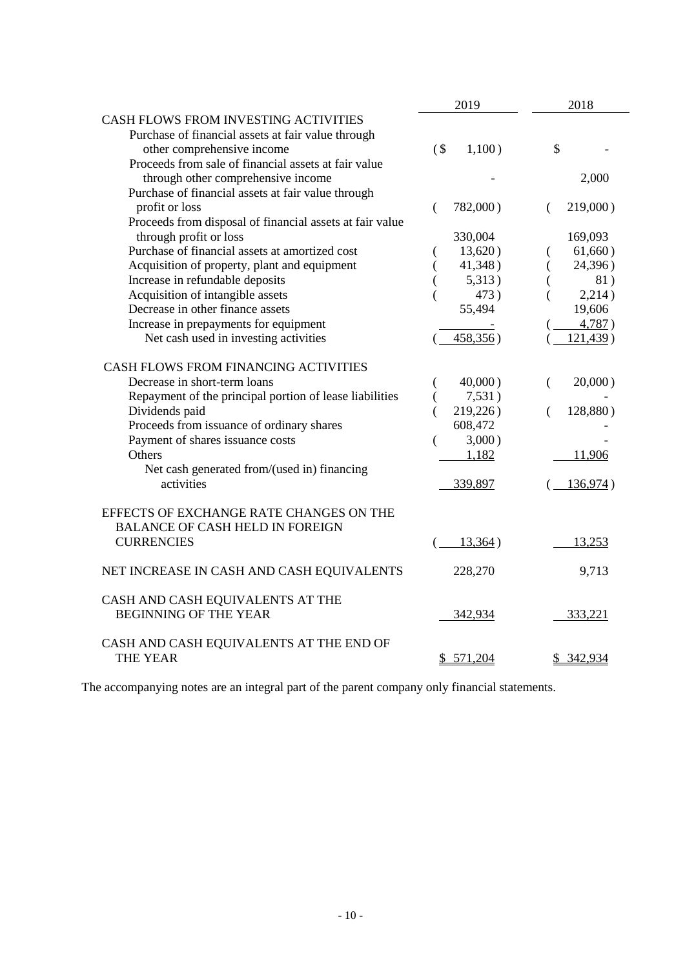|                                                                                                                          | 2019             | 2018             |
|--------------------------------------------------------------------------------------------------------------------------|------------------|------------------|
| CASH FLOWS FROM INVESTING ACTIVITIES<br>Purchase of financial assets at fair value through<br>other comprehensive income | 1,100)<br>$($ \$ | \$               |
| Proceeds from sale of financial assets at fair value<br>through other comprehensive income                               |                  | 2,000            |
| Purchase of financial assets at fair value through                                                                       |                  |                  |
| profit or loss                                                                                                           | 782,000)<br>€    | $219,000$ )<br>€ |
| Proceeds from disposal of financial assets at fair value                                                                 |                  |                  |
| through profit or loss                                                                                                   | 330,004          | 169,093          |
| Purchase of financial assets at amortized cost                                                                           | 13,620)<br>€     | 61,660)          |
| Acquisition of property, plant and equipment                                                                             | 41,348)          | 24,396)          |
| Increase in refundable deposits                                                                                          | 5,313)           | 81)              |
| Acquisition of intangible assets                                                                                         | 473)             | 2,214)           |
| Decrease in other finance assets                                                                                         | 55,494           | 19,606           |
| Increase in prepayments for equipment                                                                                    |                  | 4,787)           |
| Net cash used in investing activities                                                                                    | 458,356)         | 121,439)         |
| CASH FLOWS FROM FINANCING ACTIVITIES                                                                                     |                  |                  |
| Decrease in short-term loans                                                                                             | $40,000$ )       | 20,000)<br>€     |
| Repayment of the principal portion of lease liabilities                                                                  | 7,531)<br>€      |                  |
| Dividends paid                                                                                                           | 219,226)         | 128,880)         |
| Proceeds from issuance of ordinary shares                                                                                | 608,472          |                  |
| Payment of shares issuance costs                                                                                         | 3,000)<br>(      |                  |
| Others                                                                                                                   | 1,182            | 11,906           |
| Net cash generated from/(used in) financing                                                                              |                  |                  |
| activities                                                                                                               | 339,897          | 136,974)         |
| EFFECTS OF EXCHANGE RATE CHANGES ON THE<br><b>BALANCE OF CASH HELD IN FOREIGN</b>                                        |                  |                  |
| <b>CURRENCIES</b>                                                                                                        | 13,364)          | 13,253           |
| NET INCREASE IN CASH AND CASH EQUIVALENTS                                                                                | 228,270          | 9,713            |
| CASH AND CASH EQUIVALENTS AT THE<br><b>BEGINNING OF THE YEAR</b>                                                         | 342,934          | 333,221          |
| CASH AND CASH EQUIVALENTS AT THE END OF<br><b>THE YEAR</b>                                                               | \$571,204        | \$ 342,934       |

The accompanying notes are an integral part of the parent company only financial statements.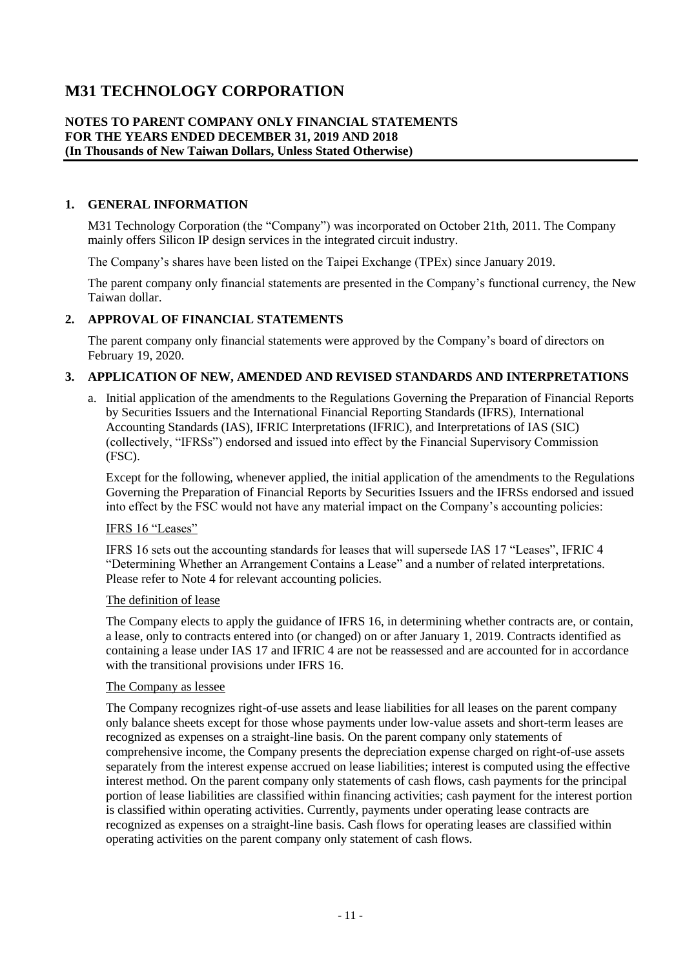# **M31 TECHNOLOGY CORPORATION**

#### **NOTES TO PARENT COMPANY ONLY FINANCIAL STATEMENTS FOR THE YEARS ENDED DECEMBER 31, 2019 AND 2018 (In Thousands of New Taiwan Dollars, Unless Stated Otherwise)**

#### **1. GENERAL INFORMATION**

M31 Technology Corporation (the "Company") was incorporated on October 21th, 2011. The Company mainly offers Silicon IP design services in the integrated circuit industry.

The Company's shares have been listed on the Taipei Exchange (TPEx) since January 2019.

The parent company only financial statements are presented in the Company's functional currency, the New Taiwan dollar.

#### **2. APPROVAL OF FINANCIAL STATEMENTS**

The parent company only financial statements were approved by the Company's board of directors on February 19, 2020.

#### **3. APPLICATION OF NEW, AMENDED AND REVISED STANDARDS AND INTERPRETATIONS**

a. Initial application of the amendments to the Regulations Governing the Preparation of Financial Reports by Securities Issuers and the International Financial Reporting Standards (IFRS), International Accounting Standards (IAS), IFRIC Interpretations (IFRIC), and Interpretations of IAS (SIC) (collectively, "IFRSs") endorsed and issued into effect by the Financial Supervisory Commission (FSC).

Except for the following, whenever applied, the initial application of the amendments to the Regulations Governing the Preparation of Financial Reports by Securities Issuers and the IFRSs endorsed and issued into effect by the FSC would not have any material impact on the Company's accounting policies:

#### IFRS 16 "Leases"

IFRS 16 sets out the accounting standards for leases that will supersede IAS 17 "Leases", IFRIC 4 "Determining Whether an Arrangement Contains a Lease" and a number of related interpretations. Please refer to Note 4 for relevant accounting policies.

#### The definition of lease

The Company elects to apply the guidance of IFRS 16, in determining whether contracts are, or contain, a lease, only to contracts entered into (or changed) on or after January 1, 2019. Contracts identified as containing a lease under IAS 17 and IFRIC 4 are not be reassessed and are accounted for in accordance with the transitional provisions under IFRS 16.

#### The Company as lessee

The Company recognizes right-of-use assets and lease liabilities for all leases on the parent company only balance sheets except for those whose payments under low-value assets and short-term leases are recognized as expenses on a straight-line basis. On the parent company only statements of comprehensive income, the Company presents the depreciation expense charged on right-of-use assets separately from the interest expense accrued on lease liabilities; interest is computed using the effective interest method. On the parent company only statements of cash flows, cash payments for the principal portion of lease liabilities are classified within financing activities; cash payment for the interest portion is classified within operating activities. Currently, payments under operating lease contracts are recognized as expenses on a straight-line basis. Cash flows for operating leases are classified within operating activities on the parent company only statement of cash flows.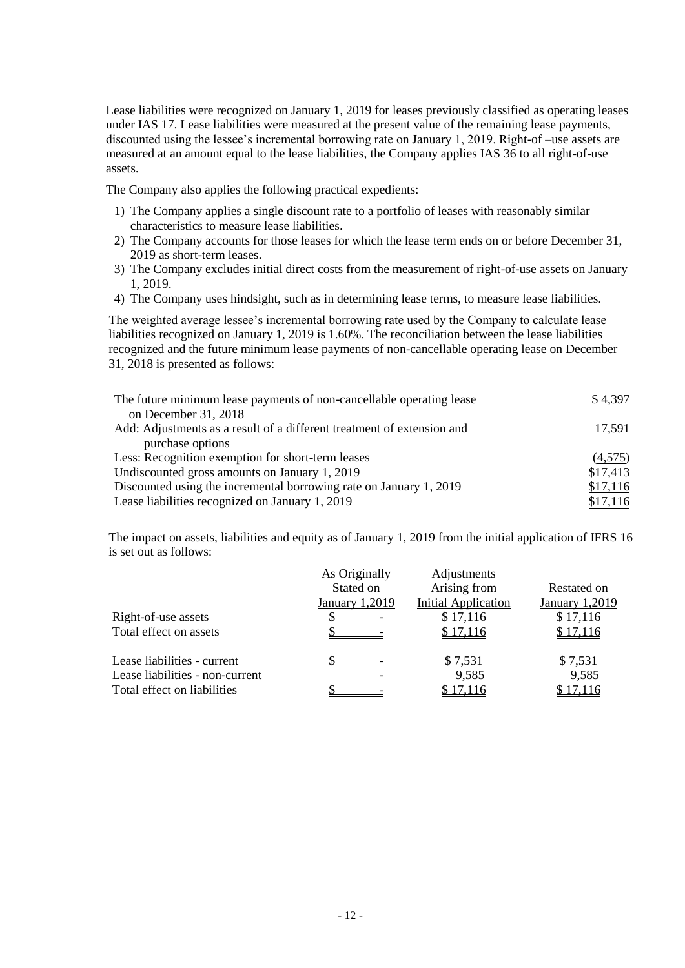Lease liabilities were recognized on January 1, 2019 for leases previously classified as operating leases under IAS 17. Lease liabilities were measured at the present value of the remaining lease payments, discounted using the lessee's incremental borrowing rate on January 1, 2019. Right-of –use assets are measured at an amount equal to the lease liabilities, the Company applies IAS 36 to all right-of-use assets.

The Company also applies the following practical expedients:

- 1) The Company applies a single discount rate to a portfolio of leases with reasonably similar characteristics to measure lease liabilities.
- 2) The Company accounts for those leases for which the lease term ends on or before December 31, 2019 as short-term leases.
- 3) The Company excludes initial direct costs from the measurement of right-of-use assets on January 1, 2019.
- 4) The Company uses hindsight, such as in determining lease terms, to measure lease liabilities.

The weighted average lessee's incremental borrowing rate used by the Company to calculate lease liabilities recognized on January 1, 2019 is 1.60%. The reconciliation between the lease liabilities recognized and the future minimum lease payments of non-cancellable operating lease on December 31, 2018 is presented as follows:

| The future minimum lease payments of non-cancellable operating lease   | \$4,397  |
|------------------------------------------------------------------------|----------|
| on December 31, 2018                                                   |          |
| Add: Adjustments as a result of a different treatment of extension and | 17,591   |
| purchase options                                                       |          |
| Less: Recognition exemption for short-term leases                      | (4,575)  |
| Undiscounted gross amounts on January 1, 2019                          | \$17,413 |
| Discounted using the incremental borrowing rate on January 1, 2019     | \$17,116 |
| Lease liabilities recognized on January 1, 2019                        | \$17,116 |

The impact on assets, liabilities and equity as of January 1, 2019 from the initial application of IFRS 16 is set out as follows:

|                                 |                | As Originally | Adjustments                |                |
|---------------------------------|----------------|---------------|----------------------------|----------------|
|                                 |                | Stated on     | Arising from               | Restated on    |
|                                 | January 1,2019 |               | <b>Initial Application</b> | January 1,2019 |
| Right-of-use assets             |                |               | \$17,116                   | \$17,116       |
| Total effect on assets          |                |               | \$17,116                   | \$17,116       |
| Lease liabilities - current     | \$             |               | \$7,531                    | \$7,531        |
| Lease liabilities - non-current |                |               | 9,585                      | 9,585          |
| Total effect on liabilities     |                |               | \$17,116                   | \$17,116       |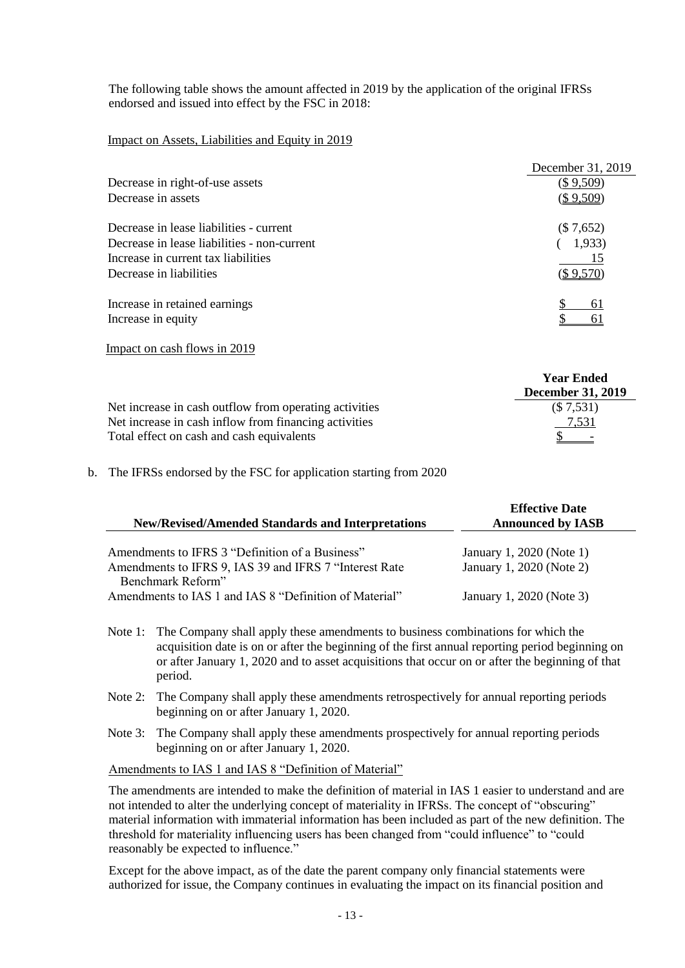The following table shows the amount affected in 2019 by the application of the original IFRSs endorsed and issued into effect by the FSC in 2018:

Impact on Assets, Liabilities and Equity in 2019

|                                             | December 31, 2019 |
|---------------------------------------------|-------------------|
| Decrease in right-of-use assets             | (\$ 9,509)        |
| Decrease in assets                          | <u>(\$9,509)</u>  |
| Decrease in lease liabilities - current     | (\$7,652)         |
| Decrease in lease liabilities - non-current | 1,933)            |
| Increase in current tax liabilities         | 15                |
| Decrease in liabilities                     | (\$ 9.570         |
| Increase in retained earnings               | 61                |
| Increase in equity                          |                   |
|                                             |                   |

Impact on cash flows in 2019

|                                                        | <b>Year Ended</b>        |
|--------------------------------------------------------|--------------------------|
|                                                        | <b>December 31, 2019</b> |
| Net increase in cash outflow from operating activities | (\$7,531)                |
| Net increase in cash inflow from financing activities  | 7,531                    |
| Total effect on cash and cash equivalents              |                          |

b. The IFRSs endorsed by the FSC for application starting from 2020

| <b>New/Revised/Amended Standards and Interpretations</b>                     | <b>Effective Date</b><br><b>Announced by IASB</b> |
|------------------------------------------------------------------------------|---------------------------------------------------|
| Amendments to IFRS 3 "Definition of a Business"                              | January 1, 2020 (Note 1)                          |
| Amendments to IFRS 9, IAS 39 and IFRS 7 "Interest Rate"<br>Benchmark Reform" | January 1, 2020 (Note 2)                          |
| Amendments to IAS 1 and IAS 8 "Definition of Material"                       | January 1, 2020 (Note 3)                          |

- Note 1: The Company shall apply these amendments to business combinations for which the acquisition date is on or after the beginning of the first annual reporting period beginning on or after January 1, 2020 and to asset acquisitions that occur on or after the beginning of that period.
- Note 2: The Company shall apply these amendments retrospectively for annual reporting periods beginning on or after January 1, 2020.
- Note 3: The Company shall apply these amendments prospectively for annual reporting periods beginning on or after January 1, 2020.

Amendments to IAS 1 and IAS 8 "Definition of Material"

The amendments are intended to make the definition of material in IAS 1 easier to understand and are not intended to alter the underlying concept of materiality in IFRSs. The concept of "obscuring" material information with immaterial information has been included as part of the new definition. The threshold for materiality influencing users has been changed from "could influence" to "could reasonably be expected to influence."

Except for the above impact, as of the date the parent company only financial statements were authorized for issue, the Company continues in evaluating the impact on its financial position and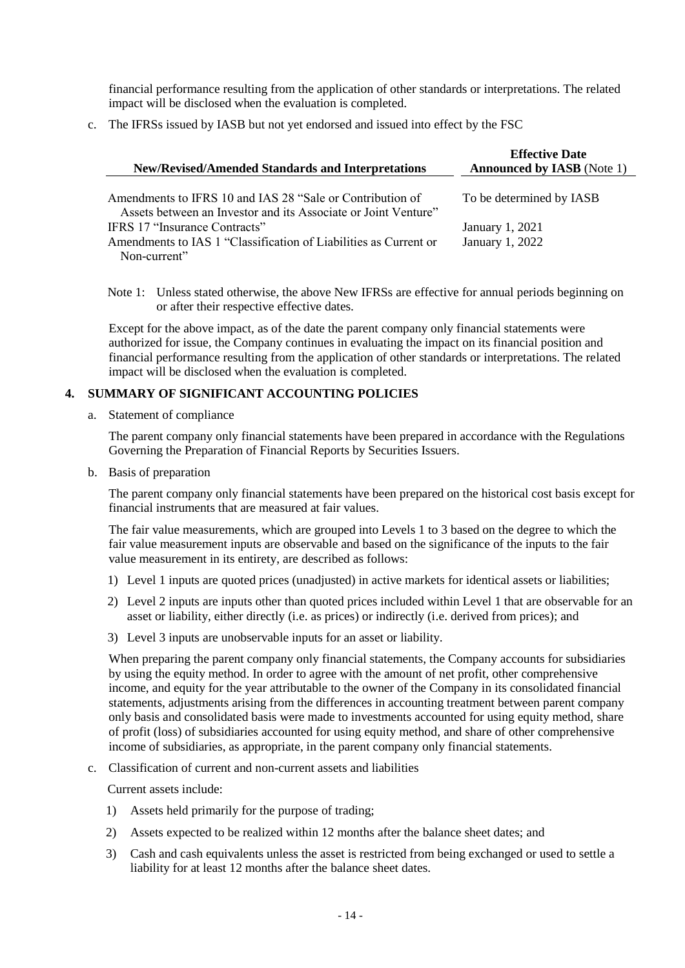financial performance resulting from the application of other standards or interpretations. The related impact will be disclosed when the evaluation is completed.

c. The IFRSs issued by IASB but not yet endorsed and issued into effect by the FSC

| <b>New/Revised/Amended Standards and Interpretations</b>                                                                    | <b>Effective Date</b><br><b>Announced by IASB</b> (Note 1) |
|-----------------------------------------------------------------------------------------------------------------------------|------------------------------------------------------------|
| Amendments to IFRS 10 and IAS 28 "Sale or Contribution of<br>Assets between an Investor and its Associate or Joint Venture" | To be determined by IASB                                   |
| IFRS 17 "Insurance Contracts"                                                                                               | January 1, 2021                                            |
| Amendments to IAS 1 "Classification of Liabilities as Current or                                                            | January 1, 2022                                            |
| Non-current"                                                                                                                |                                                            |

Note 1: Unless stated otherwise, the above New IFRSs are effective for annual periods beginning on or after their respective effective dates.

Except for the above impact, as of the date the parent company only financial statements were authorized for issue, the Company continues in evaluating the impact on its financial position and financial performance resulting from the application of other standards or interpretations. The related impact will be disclosed when the evaluation is completed.

### **4. SUMMARY OF SIGNIFICANT ACCOUNTING POLICIES**

a. Statement of compliance

The parent company only financial statements have been prepared in accordance with the Regulations Governing the Preparation of Financial Reports by Securities Issuers.

b. Basis of preparation

The parent company only financial statements have been prepared on the historical cost basis except for financial instruments that are measured at fair values.

The fair value measurements, which are grouped into Levels 1 to 3 based on the degree to which the fair value measurement inputs are observable and based on the significance of the inputs to the fair value measurement in its entirety, are described as follows:

- 1) Level 1 inputs are quoted prices (unadjusted) in active markets for identical assets or liabilities;
- 2) Level 2 inputs are inputs other than quoted prices included within Level 1 that are observable for an asset or liability, either directly (i.e. as prices) or indirectly (i.e. derived from prices); and
- 3) Level 3 inputs are unobservable inputs for an asset or liability.

When preparing the parent company only financial statements, the Company accounts for subsidiaries by using the equity method. In order to agree with the amount of net profit, other comprehensive income, and equity for the year attributable to the owner of the Company in its consolidated financial statements, adjustments arising from the differences in accounting treatment between parent company only basis and consolidated basis were made to investments accounted for using equity method, share of profit (loss) of subsidiaries accounted for using equity method, and share of other comprehensive income of subsidiaries, as appropriate, in the parent company only financial statements.

c. Classification of current and non-current assets and liabilities

Current assets include:

- 1) Assets held primarily for the purpose of trading;
- 2) Assets expected to be realized within 12 months after the balance sheet dates; and
- 3) Cash and cash equivalents unless the asset is restricted from being exchanged or used to settle a liability for at least 12 months after the balance sheet dates.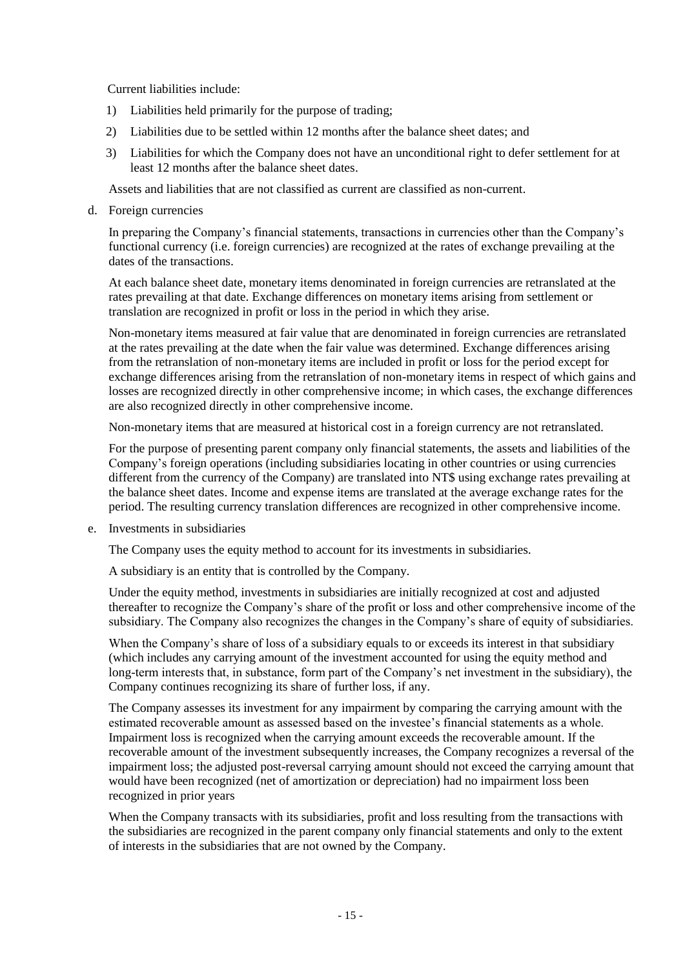Current liabilities include:

- 1) Liabilities held primarily for the purpose of trading;
- 2) Liabilities due to be settled within 12 months after the balance sheet dates; and
- 3) Liabilities for which the Company does not have an unconditional right to defer settlement for at least 12 months after the balance sheet dates.

Assets and liabilities that are not classified as current are classified as non-current.

d. Foreign currencies

In preparing the Company's financial statements, transactions in currencies other than the Company's functional currency (i.e. foreign currencies) are recognized at the rates of exchange prevailing at the dates of the transactions.

At each balance sheet date, monetary items denominated in foreign currencies are retranslated at the rates prevailing at that date. Exchange differences on monetary items arising from settlement or translation are recognized in profit or loss in the period in which they arise.

Non-monetary items measured at fair value that are denominated in foreign currencies are retranslated at the rates prevailing at the date when the fair value was determined. Exchange differences arising from the retranslation of non-monetary items are included in profit or loss for the period except for exchange differences arising from the retranslation of non-monetary items in respect of which gains and losses are recognized directly in other comprehensive income; in which cases, the exchange differences are also recognized directly in other comprehensive income.

Non-monetary items that are measured at historical cost in a foreign currency are not retranslated.

For the purpose of presenting parent company only financial statements, the assets and liabilities of the Company's foreign operations (including subsidiaries locating in other countries or using currencies different from the currency of the Company) are translated into NT\$ using exchange rates prevailing at the balance sheet dates. Income and expense items are translated at the average exchange rates for the period. The resulting currency translation differences are recognized in other comprehensive income.

e. Investments in subsidiaries

The Company uses the equity method to account for its investments in subsidiaries.

A subsidiary is an entity that is controlled by the Company.

Under the equity method, investments in subsidiaries are initially recognized at cost and adjusted thereafter to recognize the Company's share of the profit or loss and other comprehensive income of the subsidiary. The Company also recognizes the changes in the Company's share of equity of subsidiaries.

When the Company's share of loss of a subsidiary equals to or exceeds its interest in that subsidiary (which includes any carrying amount of the investment accounted for using the equity method and long-term interests that, in substance, form part of the Company's net investment in the subsidiary), the Company continues recognizing its share of further loss, if any.

The Company assesses its investment for any impairment by comparing the carrying amount with the estimated recoverable amount as assessed based on the investee's financial statements as a whole. Impairment loss is recognized when the carrying amount exceeds the recoverable amount. If the recoverable amount of the investment subsequently increases, the Company recognizes a reversal of the impairment loss; the adjusted post-reversal carrying amount should not exceed the carrying amount that would have been recognized (net of amortization or depreciation) had no impairment loss been recognized in prior years

When the Company transacts with its subsidiaries, profit and loss resulting from the transactions with the subsidiaries are recognized in the parent company only financial statements and only to the extent of interests in the subsidiaries that are not owned by the Company.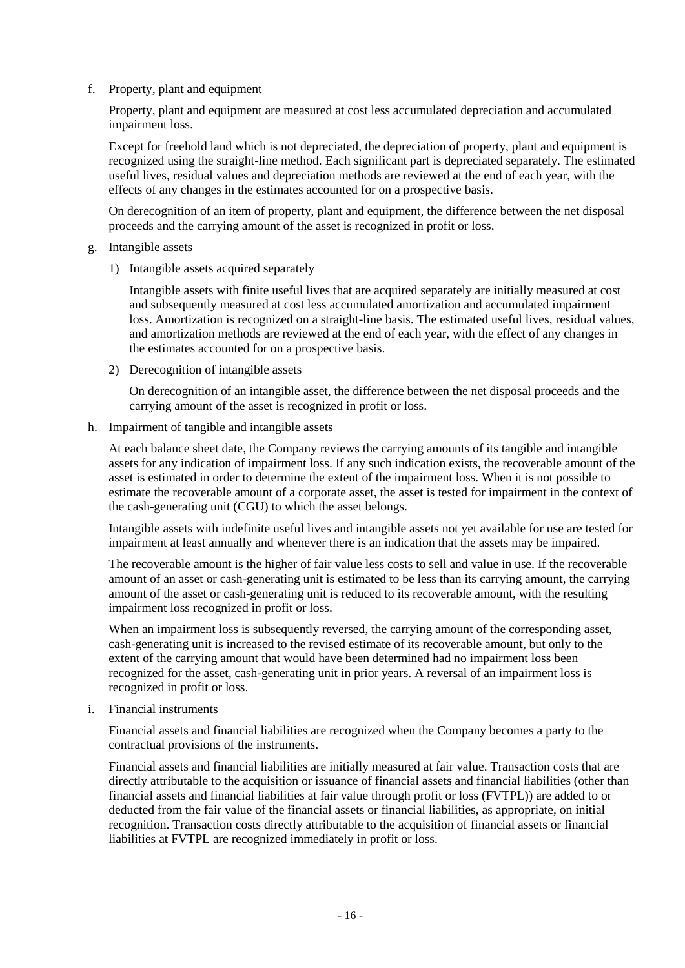f. Property, plant and equipment

Property, plant and equipment are measured at cost less accumulated depreciation and accumulated impairment loss.

Except for freehold land which is not depreciated, the depreciation of property, plant and equipment is recognized using the straight-line method. Each significant part is depreciated separately. The estimated useful lives, residual values and depreciation methods are reviewed at the end of each year, with the effects of any changes in the estimates accounted for on a prospective basis.

On derecognition of an item of property, plant and equipment, the difference between the net disposal proceeds and the carrying amount of the asset is recognized in profit or loss.

- g. Intangible assets
	- 1) Intangible assets acquired separately

Intangible assets with finite useful lives that are acquired separately are initially measured at cost and subsequently measured at cost less accumulated amortization and accumulated impairment loss. Amortization is recognized on a straight-line basis. The estimated useful lives, residual values, and amortization methods are reviewed at the end of each year, with the effect of any changes in the estimates accounted for on a prospective basis.

2) Derecognition of intangible assets

On derecognition of an intangible asset, the difference between the net disposal proceeds and the carrying amount of the asset is recognized in profit or loss.

h. Impairment of tangible and intangible assets

At each balance sheet date, the Company reviews the carrying amounts of its tangible and intangible assets for any indication of impairment loss. If any such indication exists, the recoverable amount of the asset is estimated in order to determine the extent of the impairment loss. When it is not possible to estimate the recoverable amount of a corporate asset, the asset is tested for impairment in the context of the cash-generating unit (CGU) to which the asset belongs.

Intangible assets with indefinite useful lives and intangible assets not yet available for use are tested for impairment at least annually and whenever there is an indication that the assets may be impaired.

The recoverable amount is the higher of fair value less costs to sell and value in use. If the recoverable amount of an asset or cash-generating unit is estimated to be less than its carrying amount, the carrying amount of the asset or cash-generating unit is reduced to its recoverable amount, with the resulting impairment loss recognized in profit or loss.

When an impairment loss is subsequently reversed, the carrying amount of the corresponding asset, cash-generating unit is increased to the revised estimate of its recoverable amount, but only to the extent of the carrying amount that would have been determined had no impairment loss been recognized for the asset, cash-generating unit in prior years. A reversal of an impairment loss is recognized in profit or loss.

i. Financial instruments

Financial assets and financial liabilities are recognized when the Company becomes a party to the contractual provisions of the instruments.

Financial assets and financial liabilities are initially measured at fair value. Transaction costs that are directly attributable to the acquisition or issuance of financial assets and financial liabilities (other than financial assets and financial liabilities at fair value through profit or loss (FVTPL)) are added to or deducted from the fair value of the financial assets or financial liabilities, as appropriate, on initial recognition. Transaction costs directly attributable to the acquisition of financial assets or financial liabilities at FVTPL are recognized immediately in profit or loss.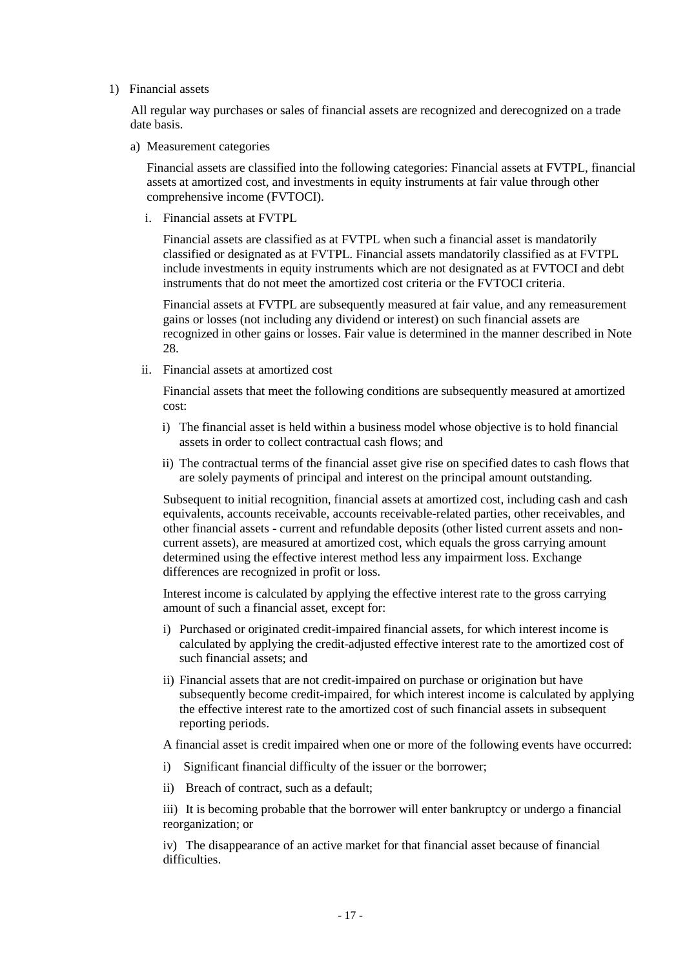#### 1) Financial assets

All regular way purchases or sales of financial assets are recognized and derecognized on a trade date basis.

a) Measurement categories

Financial assets are classified into the following categories: Financial assets at FVTPL, financial assets at amortized cost, and investments in equity instruments at fair value through other comprehensive income (FVTOCI).

i. Financial assets at FVTPL

Financial assets are classified as at FVTPL when such a financial asset is mandatorily classified or designated as at FVTPL. Financial assets mandatorily classified as at FVTPL include investments in equity instruments which are not designated as at FVTOCI and debt instruments that do not meet the amortized cost criteria or the FVTOCI criteria.

Financial assets at FVTPL are subsequently measured at fair value, and any remeasurement gains or losses (not including any dividend or interest) on such financial assets are recognized in other gains or losses. Fair value is determined in the manner described in Note 28.

ii. Financial assets at amortized cost

Financial assets that meet the following conditions are subsequently measured at amortized cost:

- i) The financial asset is held within a business model whose objective is to hold financial assets in order to collect contractual cash flows; and
- ii) The contractual terms of the financial asset give rise on specified dates to cash flows that are solely payments of principal and interest on the principal amount outstanding.

Subsequent to initial recognition, financial assets at amortized cost, including cash and cash equivalents, accounts receivable, accounts receivable-related parties, other receivables, and other financial assets - current and refundable deposits (other listed current assets and noncurrent assets), are measured at amortized cost, which equals the gross carrying amount determined using the effective interest method less any impairment loss. Exchange differences are recognized in profit or loss.

Interest income is calculated by applying the effective interest rate to the gross carrying amount of such a financial asset, except for:

- i) Purchased or originated credit-impaired financial assets, for which interest income is calculated by applying the credit-adjusted effective interest rate to the amortized cost of such financial assets; and
- ii) Financial assets that are not credit-impaired on purchase or origination but have subsequently become credit-impaired, for which interest income is calculated by applying the effective interest rate to the amortized cost of such financial assets in subsequent reporting periods.

A financial asset is credit impaired when one or more of the following events have occurred:

- i) Significant financial difficulty of the issuer or the borrower;
- ii) Breach of contract, such as a default;

iii) It is becoming probable that the borrower will enter bankruptcy or undergo a financial reorganization; or

iv) The disappearance of an active market for that financial asset because of financial difficulties.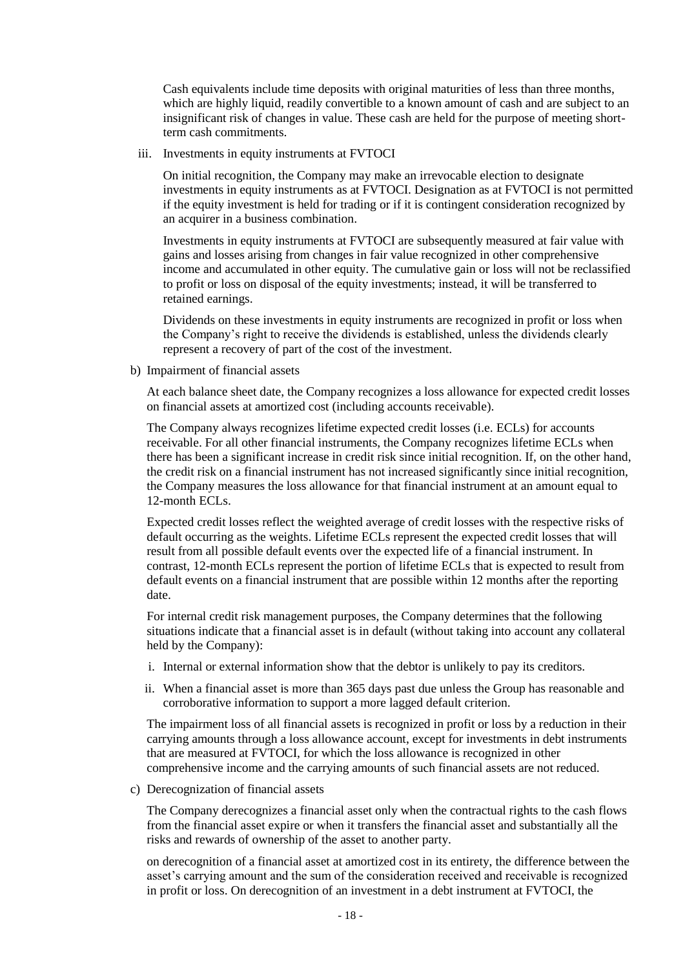Cash equivalents include time deposits with original maturities of less than three months, which are highly liquid, readily convertible to a known amount of cash and are subject to an insignificant risk of changes in value. These cash are held for the purpose of meeting shortterm cash commitments.

iii. Investments in equity instruments at FVTOCI

On initial recognition, the Company may make an irrevocable election to designate investments in equity instruments as at FVTOCI. Designation as at FVTOCI is not permitted if the equity investment is held for trading or if it is contingent consideration recognized by an acquirer in a business combination.

Investments in equity instruments at FVTOCI are subsequently measured at fair value with gains and losses arising from changes in fair value recognized in other comprehensive income and accumulated in other equity. The cumulative gain or loss will not be reclassified to profit or loss on disposal of the equity investments; instead, it will be transferred to retained earnings.

Dividends on these investments in equity instruments are recognized in profit or loss when the Company's right to receive the dividends is established, unless the dividends clearly represent a recovery of part of the cost of the investment.

b) Impairment of financial assets

At each balance sheet date, the Company recognizes a loss allowance for expected credit losses on financial assets at amortized cost (including accounts receivable).

The Company always recognizes lifetime expected credit losses (i.e. ECLs) for accounts receivable. For all other financial instruments, the Company recognizes lifetime ECLs when there has been a significant increase in credit risk since initial recognition. If, on the other hand, the credit risk on a financial instrument has not increased significantly since initial recognition, the Company measures the loss allowance for that financial instrument at an amount equal to 12-month ECL<sub>s</sub>.

Expected credit losses reflect the weighted average of credit losses with the respective risks of default occurring as the weights. Lifetime ECLs represent the expected credit losses that will result from all possible default events over the expected life of a financial instrument. In contrast, 12-month ECLs represent the portion of lifetime ECLs that is expected to result from default events on a financial instrument that are possible within 12 months after the reporting date.

For internal credit risk management purposes, the Company determines that the following situations indicate that a financial asset is in default (without taking into account any collateral held by the Company):

- i. Internal or external information show that the debtor is unlikely to pay its creditors.
- ii. When a financial asset is more than 365 days past due unless the Group has reasonable and corroborative information to support a more lagged default criterion.

The impairment loss of all financial assets is recognized in profit or loss by a reduction in their carrying amounts through a loss allowance account, except for investments in debt instruments that are measured at FVTOCI, for which the loss allowance is recognized in other comprehensive income and the carrying amounts of such financial assets are not reduced.

c) Derecognization of financial assets

The Company derecognizes a financial asset only when the contractual rights to the cash flows from the financial asset expire or when it transfers the financial asset and substantially all the risks and rewards of ownership of the asset to another party.

on derecognition of a financial asset at amortized cost in its entirety, the difference between the asset's carrying amount and the sum of the consideration received and receivable is recognized in profit or loss. On derecognition of an investment in a debt instrument at FVTOCI, the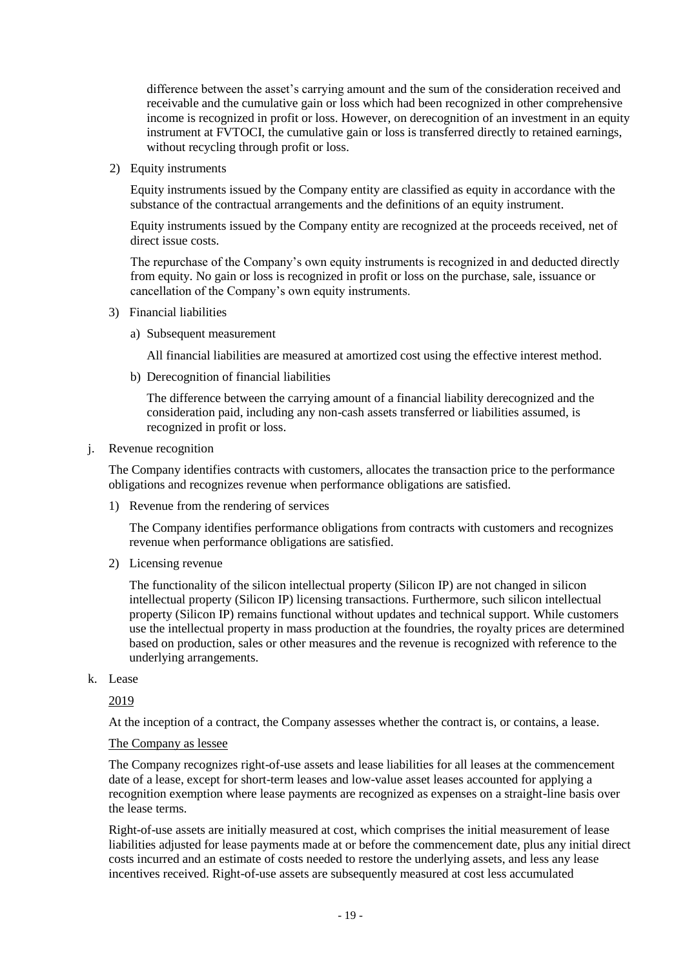difference between the asset's carrying amount and the sum of the consideration received and receivable and the cumulative gain or loss which had been recognized in other comprehensive income is recognized in profit or loss. However, on derecognition of an investment in an equity instrument at FVTOCI, the cumulative gain or loss is transferred directly to retained earnings, without recycling through profit or loss.

2) Equity instruments

Equity instruments issued by the Company entity are classified as equity in accordance with the substance of the contractual arrangements and the definitions of an equity instrument.

Equity instruments issued by the Company entity are recognized at the proceeds received, net of direct issue costs.

The repurchase of the Company's own equity instruments is recognized in and deducted directly from equity. No gain or loss is recognized in profit or loss on the purchase, sale, issuance or cancellation of the Company's own equity instruments.

- 3) Financial liabilities
	- a) Subsequent measurement

All financial liabilities are measured at amortized cost using the effective interest method.

b) Derecognition of financial liabilities

The difference between the carrying amount of a financial liability derecognized and the consideration paid, including any non-cash assets transferred or liabilities assumed, is recognized in profit or loss.

# j. Revenue recognition

The Company identifies contracts with customers, allocates the transaction price to the performance obligations and recognizes revenue when performance obligations are satisfied.

1) Revenue from the rendering of services

The Company identifies performance obligations from contracts with customers and recognizes revenue when performance obligations are satisfied.

2) Licensing revenue

The functionality of the silicon intellectual property (Silicon IP) are not changed in silicon intellectual property (Silicon IP) licensing transactions. Furthermore, such silicon intellectual property (Silicon IP) remains functional without updates and technical support. While customers use the intellectual property in mass production at the foundries, the royalty prices are determined based on production, sales or other measures and the revenue is recognized with reference to the underlying arrangements.

k. Lease

2019

At the inception of a contract, the Company assesses whether the contract is, or contains, a lease.

#### The Company as lessee

The Company recognizes right-of-use assets and lease liabilities for all leases at the commencement date of a lease, except for short-term leases and low-value asset leases accounted for applying a recognition exemption where lease payments are recognized as expenses on a straight-line basis over the lease terms.

Right-of-use assets are initially measured at cost, which comprises the initial measurement of lease liabilities adjusted for lease payments made at or before the commencement date, plus any initial direct costs incurred and an estimate of costs needed to restore the underlying assets, and less any lease incentives received. Right-of-use assets are subsequently measured at cost less accumulated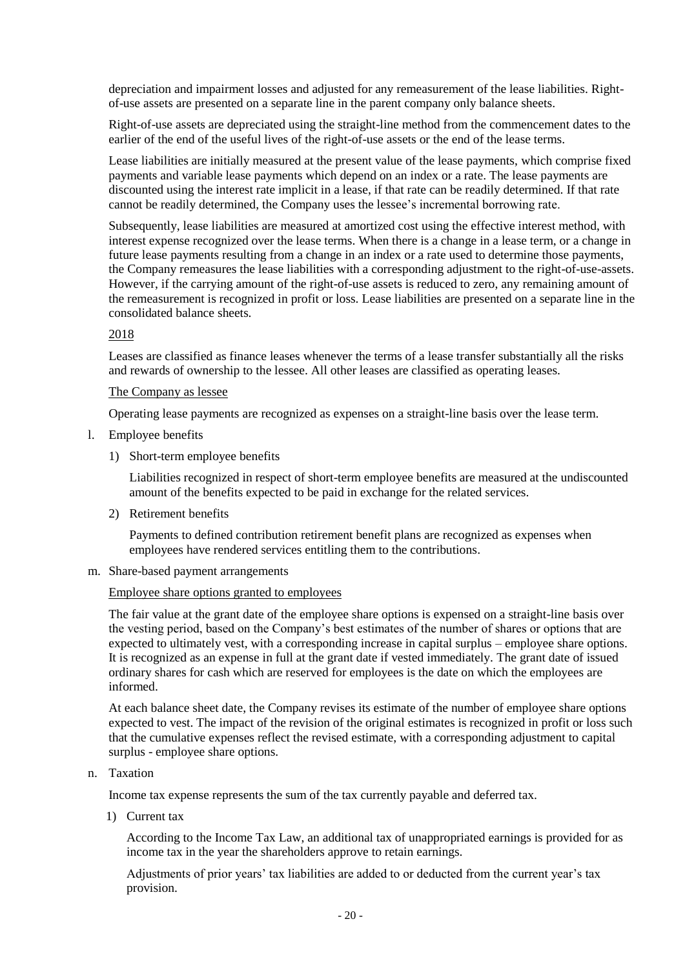depreciation and impairment losses and adjusted for any remeasurement of the lease liabilities. Rightof-use assets are presented on a separate line in the parent company only balance sheets.

Right-of-use assets are depreciated using the straight-line method from the commencement dates to the earlier of the end of the useful lives of the right-of-use assets or the end of the lease terms.

Lease liabilities are initially measured at the present value of the lease payments, which comprise fixed payments and variable lease payments which depend on an index or a rate. The lease payments are discounted using the interest rate implicit in a lease, if that rate can be readily determined. If that rate cannot be readily determined, the Company uses the lessee's incremental borrowing rate.

Subsequently, lease liabilities are measured at amortized cost using the effective interest method, with interest expense recognized over the lease terms. When there is a change in a lease term, or a change in future lease payments resulting from a change in an index or a rate used to determine those payments, the Company remeasures the lease liabilities with a corresponding adjustment to the right-of-use-assets. However, if the carrying amount of the right-of-use assets is reduced to zero, any remaining amount of the remeasurement is recognized in profit or loss. Lease liabilities are presented on a separate line in the consolidated balance sheets.

#### 2018

Leases are classified as finance leases whenever the terms of a lease transfer substantially all the risks and rewards of ownership to the lessee. All other leases are classified as operating leases.

#### The Company as lessee

Operating lease payments are recognized as expenses on a straight-line basis over the lease term.

- l. Employee benefits
	- 1) Short-term employee benefits

Liabilities recognized in respect of short-term employee benefits are measured at the undiscounted amount of the benefits expected to be paid in exchange for the related services.

2) Retirement benefits

Payments to defined contribution retirement benefit plans are recognized as expenses when employees have rendered services entitling them to the contributions.

m. Share-based payment arrangements

Employee share options granted to employees

The fair value at the grant date of the employee share options is expensed on a straight-line basis over the vesting period, based on the Company's best estimates of the number of shares or options that are expected to ultimately vest, with a corresponding increase in capital surplus – employee share options. It is recognized as an expense in full at the grant date if vested immediately. The grant date of issued ordinary shares for cash which are reserved for employees is the date on which the employees are informed.

At each balance sheet date, the Company revises its estimate of the number of employee share options expected to vest. The impact of the revision of the original estimates is recognized in profit or loss such that the cumulative expenses reflect the revised estimate, with a corresponding adjustment to capital surplus - employee share options.

n. Taxation

Income tax expense represents the sum of the tax currently payable and deferred tax.

1) Current tax

According to the Income Tax Law, an additional tax of unappropriated earnings is provided for as income tax in the year the shareholders approve to retain earnings.

Adjustments of prior years' tax liabilities are added to or deducted from the current year's tax provision.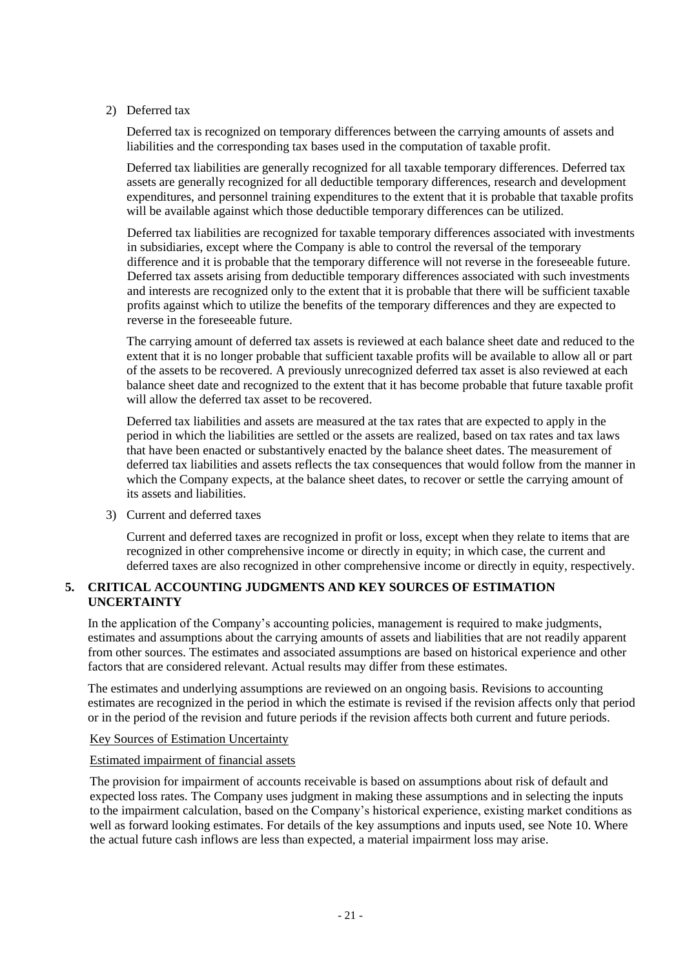#### 2) Deferred tax

Deferred tax is recognized on temporary differences between the carrying amounts of assets and liabilities and the corresponding tax bases used in the computation of taxable profit.

Deferred tax liabilities are generally recognized for all taxable temporary differences. Deferred tax assets are generally recognized for all deductible temporary differences, research and development expenditures, and personnel training expenditures to the extent that it is probable that taxable profits will be available against which those deductible temporary differences can be utilized.

Deferred tax liabilities are recognized for taxable temporary differences associated with investments in subsidiaries, except where the Company is able to control the reversal of the temporary difference and it is probable that the temporary difference will not reverse in the foreseeable future. Deferred tax assets arising from deductible temporary differences associated with such investments and interests are recognized only to the extent that it is probable that there will be sufficient taxable profits against which to utilize the benefits of the temporary differences and they are expected to reverse in the foreseeable future.

The carrying amount of deferred tax assets is reviewed at each balance sheet date and reduced to the extent that it is no longer probable that sufficient taxable profits will be available to allow all or part of the assets to be recovered. A previously unrecognized deferred tax asset is also reviewed at each balance sheet date and recognized to the extent that it has become probable that future taxable profit will allow the deferred tax asset to be recovered.

Deferred tax liabilities and assets are measured at the tax rates that are expected to apply in the period in which the liabilities are settled or the assets are realized, based on tax rates and tax laws that have been enacted or substantively enacted by the balance sheet dates. The measurement of deferred tax liabilities and assets reflects the tax consequences that would follow from the manner in which the Company expects, at the balance sheet dates, to recover or settle the carrying amount of its assets and liabilities.

3) Current and deferred taxes

Current and deferred taxes are recognized in profit or loss, except when they relate to items that are recognized in other comprehensive income or directly in equity; in which case, the current and deferred taxes are also recognized in other comprehensive income or directly in equity, respectively.

# **5. CRITICAL ACCOUNTING JUDGMENTS AND KEY SOURCES OF ESTIMATION UNCERTAINTY**

In the application of the Company's accounting policies, management is required to make judgments, estimates and assumptions about the carrying amounts of assets and liabilities that are not readily apparent from other sources. The estimates and associated assumptions are based on historical experience and other factors that are considered relevant. Actual results may differ from these estimates.

The estimates and underlying assumptions are reviewed on an ongoing basis. Revisions to accounting estimates are recognized in the period in which the estimate is revised if the revision affects only that period or in the period of the revision and future periods if the revision affects both current and future periods.

#### Key Sources of Estimation Uncertainty

#### Estimated impairment of financial assets

The provision for impairment of accounts receivable is based on assumptions about risk of default and expected loss rates. The Company uses judgment in making these assumptions and in selecting the inputs to the impairment calculation, based on the Company's historical experience, existing market conditions as well as forward looking estimates. For details of the key assumptions and inputs used, see Note 10. Where the actual future cash inflows are less than expected, a material impairment loss may arise.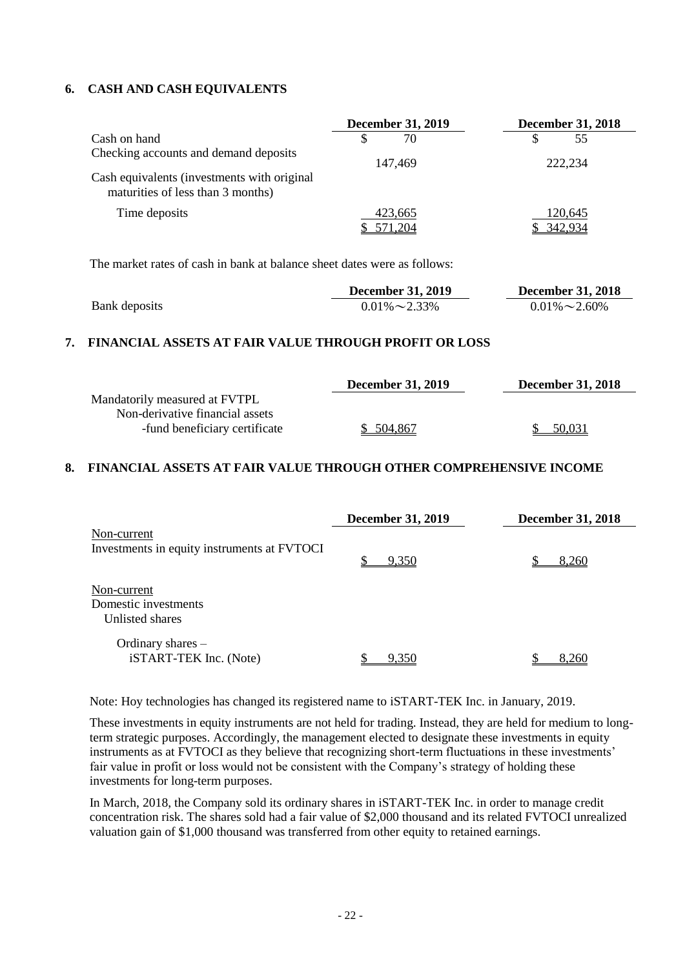### **6. CASH AND CASH EQUIVALENTS**

|                                                                                  | <b>December 31, 2019</b> | <b>December 31, 2018</b> |  |  |
|----------------------------------------------------------------------------------|--------------------------|--------------------------|--|--|
| Cash on hand                                                                     | 70                       | 55                       |  |  |
| Checking accounts and demand deposits                                            | 147.469                  | 222,234                  |  |  |
| Cash equivalents (investments with original<br>maturities of less than 3 months) |                          |                          |  |  |
| Time deposits                                                                    | 423,665                  | 120,645<br>342.934       |  |  |

The market rates of cash in bank at balance sheet dates were as follows:

|               | <b>December 31, 2019</b> | <b>December 31, 2018</b> |  |
|---------------|--------------------------|--------------------------|--|
| Bank deposits | $0.01\% \sim 2.33\%$     | $0.01\% \sim 2.60\%$     |  |

#### **7. FINANCIAL ASSETS AT FAIR VALUE THROUGH PROFIT OR LOSS**

|                                 | <b>December 31, 2019</b> | <b>December 31, 2018</b> |
|---------------------------------|--------------------------|--------------------------|
| Mandatorily measured at FVTPL   |                          |                          |
| Non-derivative financial assets |                          |                          |
| -fund beneficiary certificate   | \$ 504,867               | 50.031                   |

#### **8. FINANCIAL ASSETS AT FAIR VALUE THROUGH OTHER COMPREHENSIVE INCOME**

|                                                            | <b>December 31, 2019</b> | <b>December 31, 2018</b> |  |  |
|------------------------------------------------------------|--------------------------|--------------------------|--|--|
| Non-current<br>Investments in equity instruments at FVTOCI | 9,350                    | 8,260                    |  |  |
| Non-current<br>Domestic investments<br>Unlisted shares     |                          |                          |  |  |
| Ordinary shares -<br>iSTART-TEK Inc. (Note)                | 9.350                    | 8.260                    |  |  |

Note: Hoy technologies has changed its registered name to iSTART-TEK Inc. in January, 2019.

These investments in equity instruments are not held for trading. Instead, they are held for medium to longterm strategic purposes. Accordingly, the management elected to designate these investments in equity instruments as at FVTOCI as they believe that recognizing short-term fluctuations in these investments' fair value in profit or loss would not be consistent with the Company's strategy of holding these investments for long-term purposes.

In March, 2018, the Company sold its ordinary shares in iSTART-TEK Inc. in order to manage credit concentration risk. The shares sold had a fair value of \$2,000 thousand and its related FVTOCI unrealized valuation gain of \$1,000 thousand was transferred from other equity to retained earnings.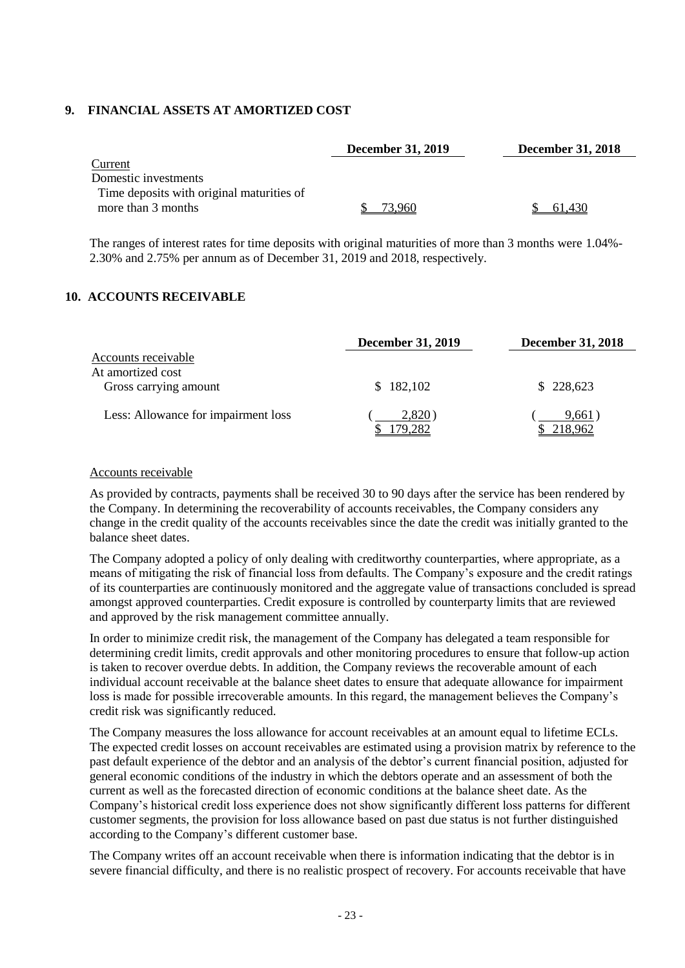### **9. FINANCIAL ASSETS AT AMORTIZED COST**

|                                           | <b>December 31, 2019</b> | <b>December 31, 2018</b> |
|-------------------------------------------|--------------------------|--------------------------|
| Current                                   |                          |                          |
| Domestic investments                      |                          |                          |
| Time deposits with original maturities of |                          |                          |
| more than 3 months                        | 73.960.                  | 61.430                   |

The ranges of interest rates for time deposits with original maturities of more than 3 months were 1.04%- 2.30% and 2.75% per annum as of December 31, 2019 and 2018, respectively.

#### **10. ACCOUNTS RECEIVABLE**

|                                     | <b>December 31, 2019</b> | <b>December 31, 2018</b> |  |
|-------------------------------------|--------------------------|--------------------------|--|
| <b>Accounts receivable</b>          |                          |                          |  |
| At amortized cost                   |                          |                          |  |
| Gross carrying amount               | 182,102<br>S.            | \$228,623                |  |
| Less: Allowance for impairment loss | 2,820)<br>79.282         | 9,661)<br>218.962        |  |

#### Accounts receivable

As provided by contracts, payments shall be received 30 to 90 days after the service has been rendered by the Company. In determining the recoverability of accounts receivables, the Company considers any change in the credit quality of the accounts receivables since the date the credit was initially granted to the balance sheet dates.

The Company adopted a policy of only dealing with creditworthy counterparties, where appropriate, as a means of mitigating the risk of financial loss from defaults. The Company's exposure and the credit ratings of its counterparties are continuously monitored and the aggregate value of transactions concluded is spread amongst approved counterparties. Credit exposure is controlled by counterparty limits that are reviewed and approved by the risk management committee annually.

In order to minimize credit risk, the management of the Company has delegated a team responsible for determining credit limits, credit approvals and other monitoring procedures to ensure that follow-up action is taken to recover overdue debts. In addition, the Company reviews the recoverable amount of each individual account receivable at the balance sheet dates to ensure that adequate allowance for impairment loss is made for possible irrecoverable amounts. In this regard, the management believes the Company's credit risk was significantly reduced.

The Company measures the loss allowance for account receivables at an amount equal to lifetime ECLs. The expected credit losses on account receivables are estimated using a provision matrix by reference to the past default experience of the debtor and an analysis of the debtor's current financial position, adjusted for general economic conditions of the industry in which the debtors operate and an assessment of both the current as well as the forecasted direction of economic conditions at the balance sheet date. As the Company's historical credit loss experience does not show significantly different loss patterns for different customer segments, the provision for loss allowance based on past due status is not further distinguished according to the Company's different customer base.

The Company writes off an account receivable when there is information indicating that the debtor is in severe financial difficulty, and there is no realistic prospect of recovery. For accounts receivable that have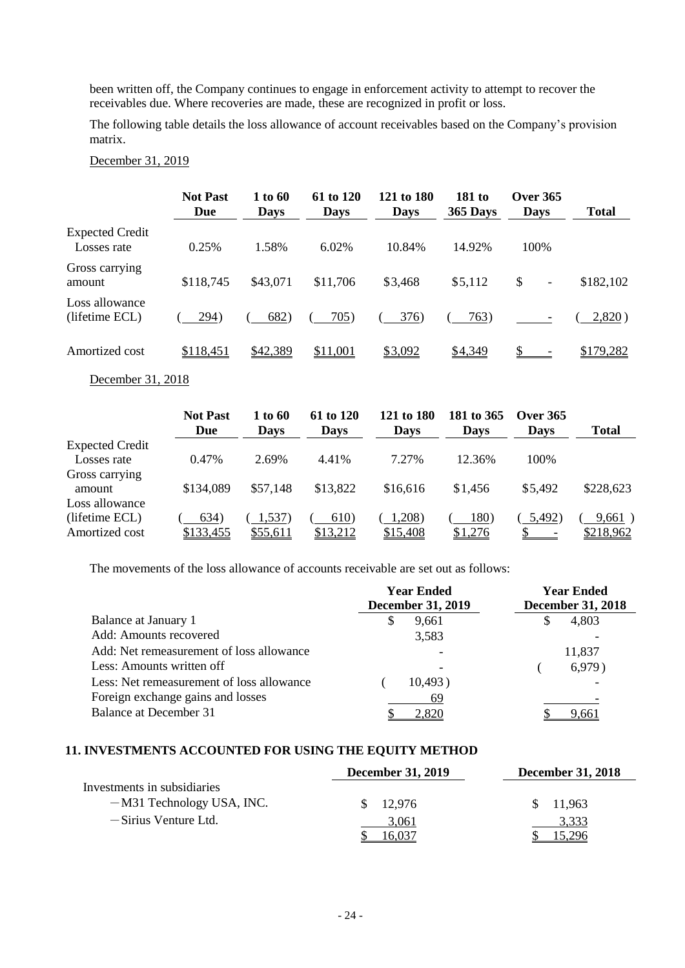been written off, the Company continues to engage in enforcement activity to attempt to recover the receivables due. Where recoveries are made, these are recognized in profit or loss.

The following table details the loss allowance of account receivables based on the Company's provision matrix.

|                                       | <b>Not Past</b><br>Due          | 1 to 60<br>Days         | 61 to 120<br>Days         | 121 to 180<br>Days         | <b>181 to</b><br>365 Days  | <b>Over 365</b><br><b>Days</b>  | <b>Total</b> |
|---------------------------------------|---------------------------------|-------------------------|---------------------------|----------------------------|----------------------------|---------------------------------|--------------|
| <b>Expected Credit</b><br>Losses rate | 0.25%                           | 1.58%                   | 6.02%                     | 10.84%                     | 14.92%                     | 100%                            |              |
| Gross carrying<br>amount              | \$118,745                       | \$43,071                | \$11,706                  | \$3,468                    | \$5,112                    | \$<br>$\overline{\phantom{0}}$  | \$182,102    |
| Loss allowance<br>(lifetime ECL)      | 294)                            | 682)                    | 705)                      | 376)                       | 763)                       |                                 | 2,820)       |
| Amortized cost                        | \$118,451                       | \$42,389                | \$11,001                  | \$3,092                    | \$4,349                    |                                 | \$179,282    |
| December 31, 2018                     |                                 |                         |                           |                            |                            |                                 |              |
|                                       | <b>Not Past</b><br>$\mathbf{D}$ | 1 to 60<br>$\mathbf{D}$ | 61 to 120<br>$\mathbf{D}$ | 121 to 180<br>$\mathbf{D}$ | 181 to 365<br>$\mathbf{D}$ | <b>Over 365</b><br>$\mathbf{D}$ | $T = 1$      |

#### December 31, 2019

**Due Days Days Days Days Days Total** Expected Credit Losses rate 0.47% 2.69% 4.41% 7.27% 12.36% 100% Gross carrying amount \$134,089 \$57,148 \$13,822 \$16,616 \$1,456 \$5,492 \$228,623 Loss allowance (lifetime ECL)  $(634)$   $(1,537)$   $(610)$   $(1,208)$   $(180)$   $(5,492)$   $(9,661)$ Amortized cost  $\frac{$133,455}{133,455}$   $\frac{$55,611}{13,212}$   $\frac{$15,408}{15,408}$   $\frac{$1,276}{15,216}$   $\frac{$218,962}{15,218}$ 

The movements of the loss allowance of accounts receivable are set out as follows:

|                                           | <b>Year Ended</b>        | <b>Year Ended</b>        |  |
|-------------------------------------------|--------------------------|--------------------------|--|
|                                           | <b>December 31, 2019</b> | <b>December 31, 2018</b> |  |
| Balance at January 1                      | 9.661                    | 4,803<br>\$              |  |
| Add: Amounts recovered                    | 3,583                    |                          |  |
| Add: Net remeasurement of loss allowance  |                          | 11,837                   |  |
| Less: Amounts written off                 |                          | 6,979)                   |  |
| Less: Net remeasurement of loss allowance | 10,493)                  |                          |  |
| Foreign exchange gains and losses         | 69                       |                          |  |
| Balance at December 31                    | 2,820                    | 9,661                    |  |

#### **11. INVESTMENTS ACCOUNTED FOR USING THE EQUITY METHOD**

|                             | <b>December 31, 2019</b> | <b>December 31, 2018</b> |  |
|-----------------------------|--------------------------|--------------------------|--|
| Investments in subsidiaries |                          |                          |  |
| $-M31$ Technology USA, INC. | 12,976<br>SS.            | $\frac{\$}{11,963}$      |  |
| -Sirius Venture Ltd.        | 3,061                    | 3,333                    |  |
|                             |                          |                          |  |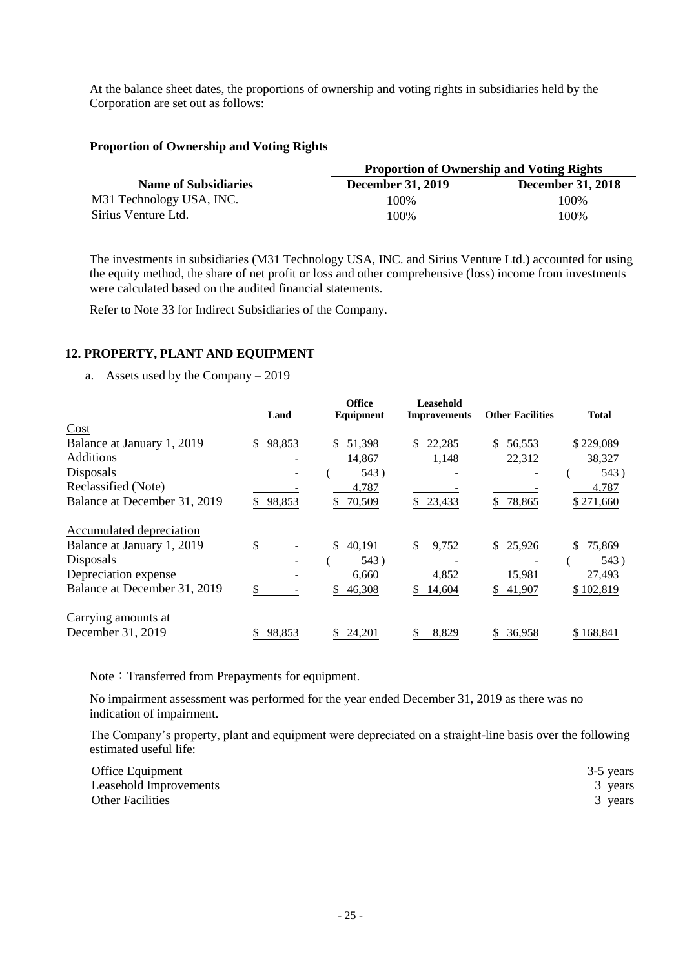At the balance sheet dates, the proportions of ownership and voting rights in subsidiaries held by the Corporation are set out as follows:

### **Proportion of Ownership and Voting Rights**

|                             | <b>Proportion of Ownership and Voting Rights</b> |                          |  |  |
|-----------------------------|--------------------------------------------------|--------------------------|--|--|
| <b>Name of Subsidiaries</b> | <b>December 31, 2019</b>                         | <b>December 31, 2018</b> |  |  |
| M31 Technology USA, INC.    | 100%                                             | 100%                     |  |  |
| Sirius Venture Ltd.         | 100%                                             | 100%                     |  |  |

The investments in subsidiaries (M31 Technology USA, INC. and Sirius Venture Ltd.) accounted for using the equity method, the share of net profit or loss and other comprehensive (loss) income from investments were calculated based on the audited financial statements.

Refer to Note 33 for Indirect Subsidiaries of the Company.

### **12. PROPERTY, PLANT AND EQUIPMENT**

a. Assets used by the Company – 2019

|                              | Land                     | <b>Office</b><br>Equipment | Leasehold<br><b>Improvements</b> | <b>Other Facilities</b> | <b>Total</b> |
|------------------------------|--------------------------|----------------------------|----------------------------------|-------------------------|--------------|
| Cost                         |                          |                            |                                  |                         |              |
| Balance at January 1, 2019   | 98,853<br>$\mathbb{S}^-$ | \$<br>51,398               | 22,285<br>\$                     | \$<br>56,553            | \$229,089    |
| <b>Additions</b>             |                          | 14,867                     | 1,148                            | 22,312                  | 38,327       |
| Disposals                    |                          | 543)                       |                                  |                         | 543)         |
| Reclassified (Note)          |                          | 4,787                      |                                  |                         | 4,787        |
| Balance at December 31, 2019 | \$98,853                 | 70,509                     | \$23,433                         | 78,865                  | \$271,660    |
| Accumulated depreciation     |                          |                            |                                  |                         |              |
| Balance at January 1, 2019   | \$                       | \$<br>40,191               | \$<br>9,752                      | 25,926<br>S.            | 75,869<br>\$ |
| Disposals                    |                          | 543)                       |                                  |                         | 543)         |
| Depreciation expense         |                          | 6,660                      | 4,852                            | 15,981                  | 27,493       |
| Balance at December 31, 2019 |                          | 46,308<br>\$               | 14,604                           | 41,907<br>S.            | \$102,819    |
| Carrying amounts at          |                          |                            |                                  |                         |              |
| December 31, 2019            | 98,853                   | 24,201                     | 8,829                            | 36.958                  | \$168.841    |

Note: Transferred from Prepayments for equipment.

No impairment assessment was performed for the year ended December 31, 2019 as there was no indication of impairment.

The Company's property, plant and equipment were depreciated on a straight-line basis over the following estimated useful life:

| Office Equipment        | 3-5 years |
|-------------------------|-----------|
| Leasehold Improvements  | 3 years   |
| <b>Other Facilities</b> | 3 years   |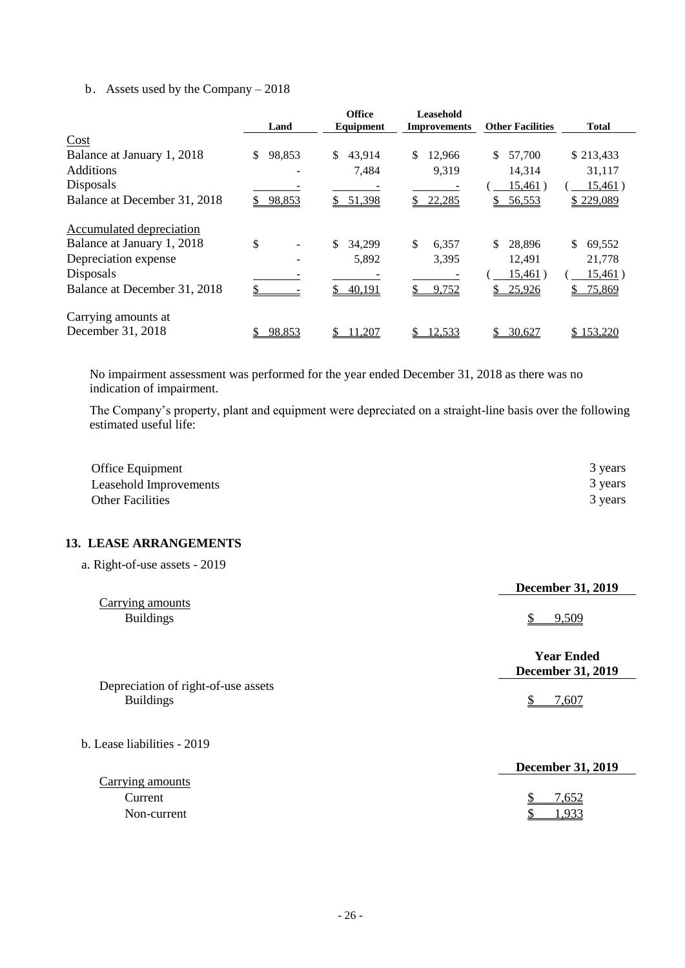#### b. Assets used by the Company – 2018

|                              |        | <b>Office</b> | Leasehold           |                         |                 |
|------------------------------|--------|---------------|---------------------|-------------------------|-----------------|
|                              | Land   | Equipment     | <b>Improvements</b> | <b>Other Facilities</b> | <b>Total</b>    |
| Cost                         |        |               |                     |                         |                 |
| Balance at January 1, 2018   | 98,853 | \$<br>43.914  | \$<br>12,966        | \$<br>57,700            | \$213,433       |
| <b>Additions</b>             |        | 7,484         | 9,319               | 14,314                  | 31,117          |
| Disposals                    |        |               |                     | <u>15,461</u> )         | <u>15,461</u> ) |
| Balance at December 31, 2018 | 98,853 | 51,398        | 22,285              | \$<br>56,553            | \$229,089       |
| Accumulated depreciation     |        |               |                     |                         |                 |
| Balance at January 1, 2018   | \$     | \$<br>34.299  | \$<br>6,357         | \$<br>28,896            | \$<br>69,552    |
| Depreciation expense         |        | 5,892         | 3,395               | 12.491                  | 21,778          |
| Disposals                    |        |               |                     | <u>15,461</u> )         | <u>15,461</u> ) |
| Balance at December 31, 2018 |        | 40,191        | 9,752               | 25,926<br>\$            | 75,869<br>S.    |
| Carrying amounts at          |        |               |                     |                         |                 |
| December 31, 2018            | 98,853 | 1,207         | 12,533              | 30,627                  | \$153.220       |

No impairment assessment was performed for the year ended December 31, 2018 as there was no indication of impairment.

The Company's property, plant and equipment were depreciated on a straight-line basis over the following estimated useful life:

| Office Equipment        | 3 years |
|-------------------------|---------|
| Leasehold Improvements  | 3 years |
| <b>Other Facilities</b> | 3 years |

### **13. LEASE ARRANGEMENTS**

|  | a. Right-of-use assets - 2019 |  |  |
|--|-------------------------------|--|--|
|--|-------------------------------|--|--|

|                                      | <b>December 31, 2019</b>                      |
|--------------------------------------|-----------------------------------------------|
| Carrying amounts<br><b>Buildings</b> | 9.509                                         |
|                                      | <b>Year Ended</b><br><b>December 31, 2019</b> |
| Depreciation of right-of-use assets  |                                               |
| <b>Buildings</b>                     | 7,607                                         |
| b. Lease liabilities - 2019          |                                               |

|                  | <b>December 31, 2019</b> |
|------------------|--------------------------|
| Carrying amounts |                          |
| Current          | 7.652                    |
| Non-current      | .933                     |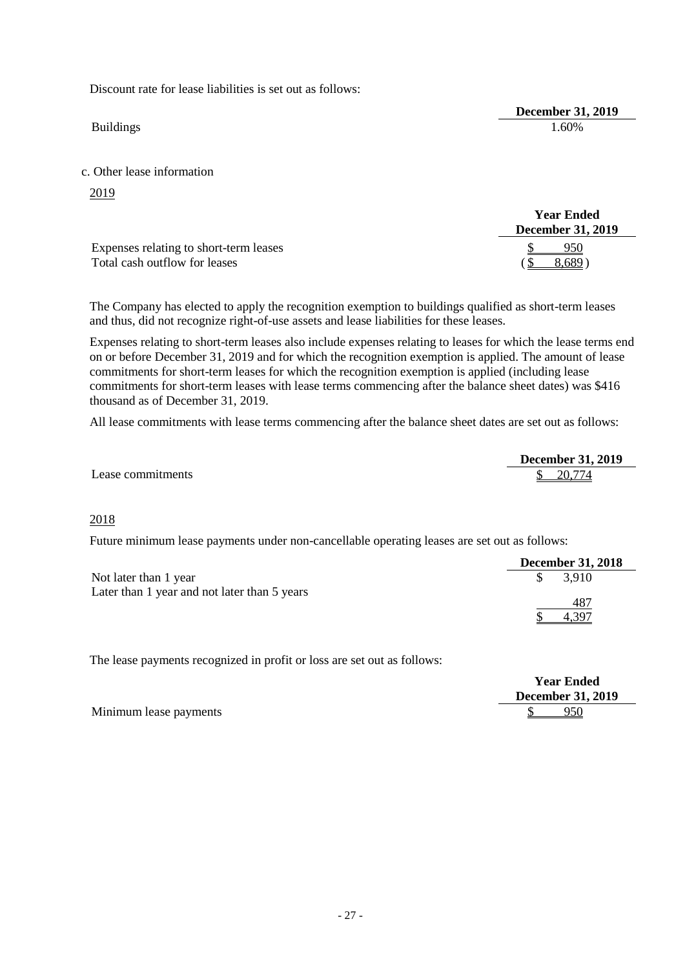Discount rate for lease liabilities is set out as follows:

**December 31, 2019** Buildings 1.60%

c. Other lease information

2019

|                                        | <b>Year Ended</b><br><b>December 31, 2019</b> |
|----------------------------------------|-----------------------------------------------|
| Expenses relating to short-term leases | 950                                           |
| Total cash outflow for leases          | 8,689)                                        |

The Company has elected to apply the recognition exemption to buildings qualified as short-term leases and thus, did not recognize right-of-use assets and lease liabilities for these leases.

Expenses relating to short-term leases also include expenses relating to leases for which the lease terms end on or before December 31, 2019 and for which the recognition exemption is applied. The amount of lease commitments for short-term leases for which the recognition exemption is applied (including lease commitments for short-term leases with lease terms commencing after the balance sheet dates) was \$416 thousand as of December 31, 2019.

All lease commitments with lease terms commencing after the balance sheet dates are set out as follows:

|                   | <b>December 31, 2019</b> |
|-------------------|--------------------------|
| Lease commitments | 20 774<br>u              |

#### 2018

Future minimum lease payments under non-cancellable operating leases are set out as follows:

|                                              | <b>December 31, 2018</b> |
|----------------------------------------------|--------------------------|
| Not later than 1 year                        | 3.910                    |
| Later than 1 year and not later than 5 years |                          |
|                                              | 487                      |
|                                              | 4.397                    |

The lease payments recognized in profit or loss are set out as follows:

|                        | <b>Year Ended</b>        |
|------------------------|--------------------------|
|                        | <b>December 31, 2019</b> |
| Minimum lease payments | 950                      |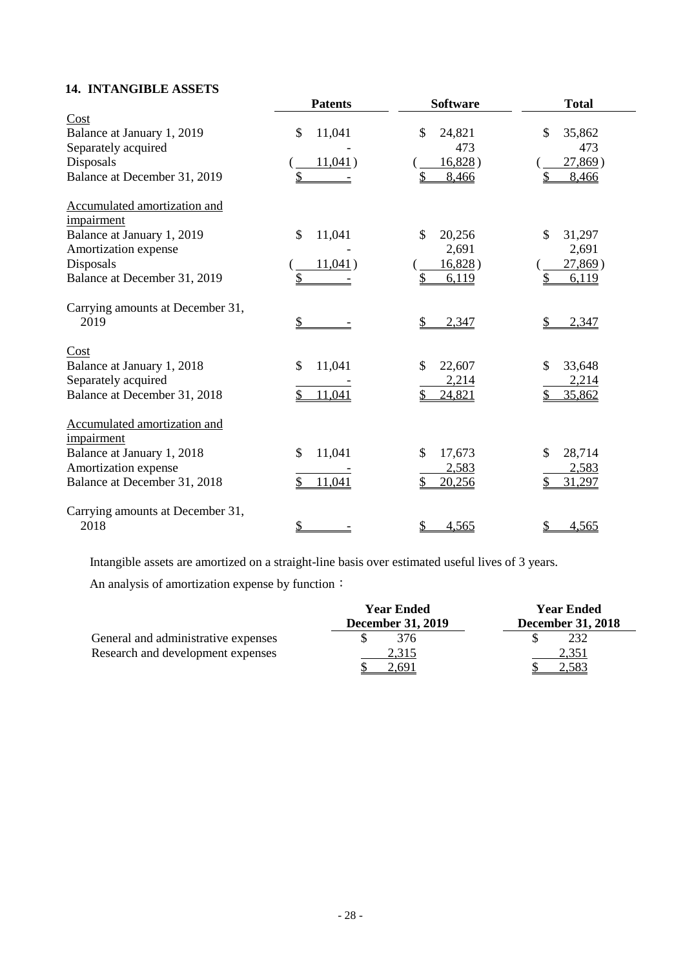# **14. INTANGIBLE ASSETS**

|                                            | <b>Patents</b> | <b>Software</b> | <b>Total</b> |
|--------------------------------------------|----------------|-----------------|--------------|
| Cost                                       |                |                 |              |
| Balance at January 1, 2019                 | \$<br>11,041   | \$<br>24,821    | \$<br>35,862 |
| Separately acquired                        |                | 473             | 473          |
| Disposals                                  | 11,041)        | 16,828)         | 27,869)      |
| Balance at December 31, 2019               | \$             | 8,466           | 8,466        |
| Accumulated amortization and<br>impairment |                |                 |              |
| Balance at January 1, 2019                 | \$<br>11,041   | \$<br>20,256    | \$<br>31,297 |
| Amortization expense                       |                | 2,691           | 2,691        |
| Disposals                                  | 11,041)        | 16,828)         | 27,869)      |
| Balance at December 31, 2019               | \$             | 6,119           | 6,119        |
| Carrying amounts at December 31,<br>2019   | $\frac{1}{2}$  | \$<br>2,347     | 2,347        |
| Cost                                       |                |                 |              |
| Balance at January 1, 2018                 | \$<br>11,041   | \$<br>22,607    | \$<br>33,648 |
| Separately acquired                        |                | 2,214           | 2,214        |
| Balance at December 31, 2018               | \$<br>11,041   | 24,821          | 35,862       |
| Accumulated amortization and<br>impairment |                |                 |              |
| Balance at January 1, 2018                 | 11,041<br>\$   | \$<br>17,673    | \$<br>28,714 |
| Amortization expense                       |                | 2,583           | 2,583        |
| Balance at December 31, 2018               | 11,041<br>\$   | \$<br>20,256    | 31,297<br>\$ |
| Carrying amounts at December 31,<br>2018   | \$             | \$<br>4,565     | 4,565        |

Intangible assets are amortized on a straight-line basis over estimated useful lives of 3 years.

An analysis of amortization expense by function:

|                                     | <b>Year Ended</b>        | <b>Year Ended</b>        |
|-------------------------------------|--------------------------|--------------------------|
|                                     | <b>December 31, 2019</b> | <b>December 31, 2018</b> |
| General and administrative expenses | 376                      |                          |
| Research and development expenses   | 2,315                    | 2,351                    |
|                                     |                          |                          |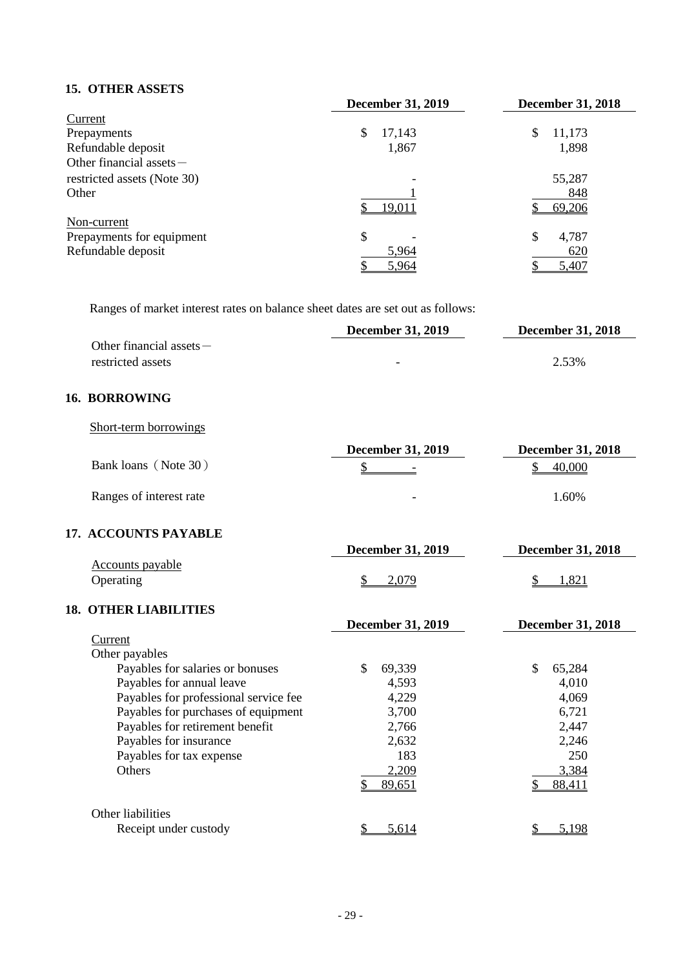### **15. OTHER ASSETS**

|                             | <b>December 31, 2019</b> |              |
|-----------------------------|--------------------------|--------------|
| Current                     |                          |              |
| Prepayments                 | \$<br>17,143             | 11,173<br>\$ |
| Refundable deposit          | 1,867                    | 1,898        |
| Other financial assets -    |                          |              |
| restricted assets (Note 30) |                          | 55,287       |
| Other                       |                          | 848          |
|                             | 19,011                   | 69,206       |
| Non-current                 |                          |              |
| Prepayments for equipment   | \$                       | \$<br>4,787  |
| Refundable deposit          | 5,964                    | 620          |
|                             | 5,964                    | 5,407        |

Ranges of market interest rates on balance sheet dates are set out as follows:

|                            | <b>December 31, 2019</b> | <b>December 31, 2018</b> |
|----------------------------|--------------------------|--------------------------|
| Other financial assets $-$ |                          |                          |
| restricted assets          | -                        | 2.53%                    |

#### **16. BORROWING**

| Short-term borrowings |
|-----------------------|
|                       |
|                       |

|                         | <b>December 31, 2019</b> | <b>December 31, 2018</b> |
|-------------------------|--------------------------|--------------------------|
| Bank loans (Note 30)    | $\overline{\phantom{0}}$ | 40,000                   |
| Ranges of interest rate | $\overline{\phantom{0}}$ | $1.60\%$                 |

#### **17. ACCOUNTS PAYABLE**

|                               | <b>December 31, 2019</b> | <b>December 31, 2018</b> |  |
|-------------------------------|--------------------------|--------------------------|--|
| Accounts payable<br>Operating |                          | 1,821                    |  |
| <b>18. OTHER LIABILITIES</b>  |                          |                          |  |

# **December 31, 2019 December 31, 2018** Current Other payables Payables for salaries or bonuses  $$ 69,339$   $$ 65,284$ Payables for annual leave 4,593 4,010 Payables for professional service fee 4,229 4,069 Payables for purchases of equipment 3,700 6,721 Payables for retirement benefit 2,766 2,447 Payables for insurance 2,632 2,246 Payables for tax expense 183 250<br>Others 2.209 3.384 Others 2,209 3,384  $$89,651$   $$88,411$ Other liabilities Receipt under custody  $\frac{\$}{5,614}$   $\frac{\$}{5,198}$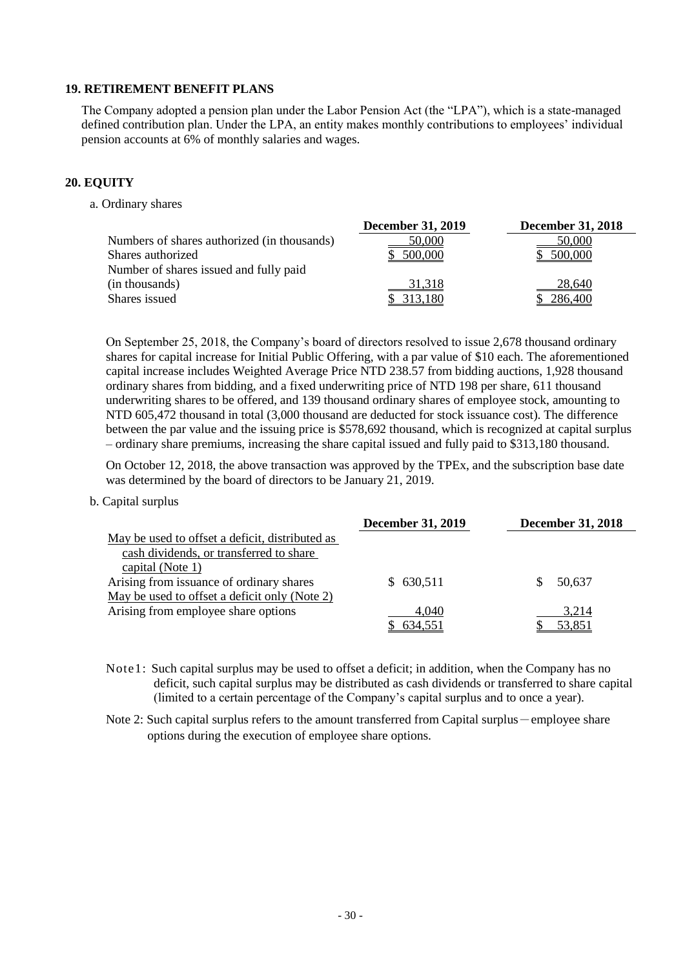#### **19. RETIREMENT BENEFIT PLANS**

The Company adopted a pension plan under the Labor Pension Act (the "LPA"), which is a state-managed defined contribution plan. Under the LPA, an entity makes monthly contributions to employees' individual pension accounts at 6% of monthly salaries and wages.

#### **20. EQUITY**

a. Ordinary shares

|                                             | <b>December 31, 2019</b> | <b>December 31, 2018</b> |
|---------------------------------------------|--------------------------|--------------------------|
| Numbers of shares authorized (in thousands) | <u>50,000</u>            | <u>50,000</u>            |
| Shares authorized                           | 500,000                  | 500,000                  |
| Number of shares issued and fully paid      |                          |                          |
| (in thousands)                              | 31,318                   | 28,640                   |
| Shares issued                               | 313,180                  | 286,400                  |

On September 25, 2018, the Company's board of directors resolved to issue 2,678 thousand ordinary shares for capital increase for Initial Public Offering, with a par value of \$10 each. The aforementioned capital increase includes Weighted Average Price NTD 238.57 from bidding auctions, 1,928 thousand ordinary shares from bidding, and a fixed underwriting price of NTD 198 per share, 611 thousand underwriting shares to be offered, and 139 thousand ordinary shares of employee stock, amounting to NTD 605,472 thousand in total (3,000 thousand are deducted for stock issuance cost). The difference between the par value and the issuing price is \$578,692 thousand, which is recognized at capital surplus – ordinary share premiums, increasing the share capital issued and fully paid to \$313,180 thousand.

On October 12, 2018, the above transaction was approved by the TPEx, and the subscription base date was determined by the board of directors to be January 21, 2019.

#### b. Capital surplus

|                                                 | <b>December 31, 2019</b> | <b>December 31, 2018</b> |
|-------------------------------------------------|--------------------------|--------------------------|
| May be used to offset a deficit, distributed as |                          |                          |
| cash dividends, or transferred to share         |                          |                          |
| capital (Note 1)                                |                          |                          |
| Arising from issuance of ordinary shares        | 630,511                  | 50.637                   |
| May be used to offset a deficit only (Note 2)   |                          |                          |
| Arising from employee share options             | 4,040                    | 3,214                    |
|                                                 | 634,551                  | 53,851                   |

Note1: Such capital surplus may be used to offset a deficit; in addition, when the Company has no deficit, such capital surplus may be distributed as cash dividends or transferred to share capital (limited to a certain percentage of the Company's capital surplus and to once a year).

Note 2: Such capital surplus refers to the amount transferred from Capital surplus - employee share options during the execution of employee share options.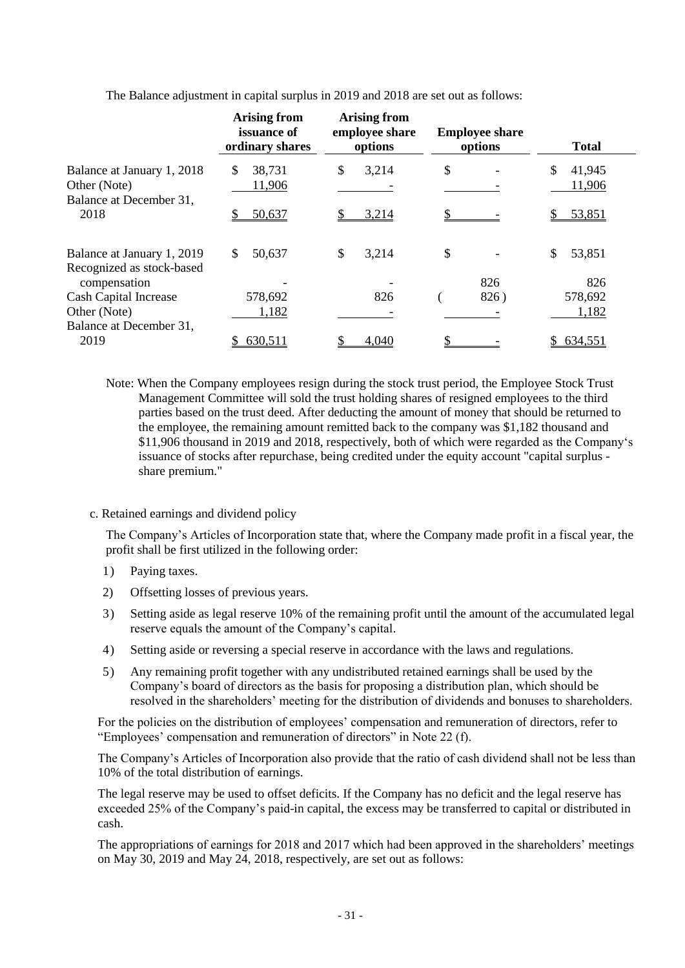|                                           | <b>Arising from</b><br>issuance of<br>ordinary shares | <b>Arising from</b><br>employee share<br>options | <b>Employee share</b><br>options | <b>Total</b>  |
|-------------------------------------------|-------------------------------------------------------|--------------------------------------------------|----------------------------------|---------------|
| Balance at January 1, 2018                | \$<br>38,731                                          | \$<br>3,214                                      | \$                               | 41,945<br>\$. |
| Other (Note)<br>Balance at December 31,   | 11,906                                                |                                                  |                                  | 11,906        |
| 2018                                      | 50,637                                                | 3,214                                            |                                  | 53,851        |
| Balance at January 1, 2019                | \$.<br>50,637                                         | \$<br>3,214                                      | \$                               | \$<br>53,851  |
| Recognized as stock-based<br>compensation |                                                       |                                                  | 826                              | 826           |
| <b>Cash Capital Increase</b>              | 578,692                                               | 826                                              | 826)                             | 578,692       |
| Other (Note)<br>Balance at December 31,   | 1,182                                                 |                                                  |                                  | 1,182         |
| 2019                                      | 630,511                                               | 4,040                                            |                                  | \$634,551     |
|                                           |                                                       |                                                  |                                  |               |

The Balance adjustment in capital surplus in 2019 and 2018 are set out as follows:

- Note: When the Company employees resign during the stock trust period, the Employee Stock Trust Management Committee will sold the trust holding shares of resigned employees to the third parties based on the trust deed. After deducting the amount of money that should be returned to the employee, the remaining amount remitted back to the company was \$1,182 thousand and \$11,906 thousand in 2019 and 2018, respectively, both of which were regarded as the Company's issuance of stocks after repurchase, being credited under the equity account "capital surplus share premium."
- c. Retained earnings and dividend policy

The Company's Articles of Incorporation state that, where the Company made profit in a fiscal year, the profit shall be first utilized in the following order:

- 1) Paying taxes.
- 2) Offsetting losses of previous years.
- 3) Setting aside as legal reserve 10% of the remaining profit until the amount of the accumulated legal reserve equals the amount of the Company's capital.
- 4) Setting aside or reversing a special reserve in accordance with the laws and regulations.
- 5) Any remaining profit together with any undistributed retained earnings shall be used by the Company's board of directors as the basis for proposing a distribution plan, which should be resolved in the shareholders' meeting for the distribution of dividends and bonuses to shareholders.

For the policies on the distribution of employees' compensation and remuneration of directors, refer to "Employees' compensation and remuneration of directors" in Note 22 (f).

The Company's Articles of Incorporation also provide that the ratio of cash dividend shall not be less than 10% of the total distribution of earnings.

The legal reserve may be used to offset deficits. If the Company has no deficit and the legal reserve has exceeded 25% of the Company's paid-in capital, the excess may be transferred to capital or distributed in cash.

The appropriations of earnings for 2018 and 2017 which had been approved in the shareholders' meetings on May 30, 2019 and May 24, 2018, respectively, are set out as follows: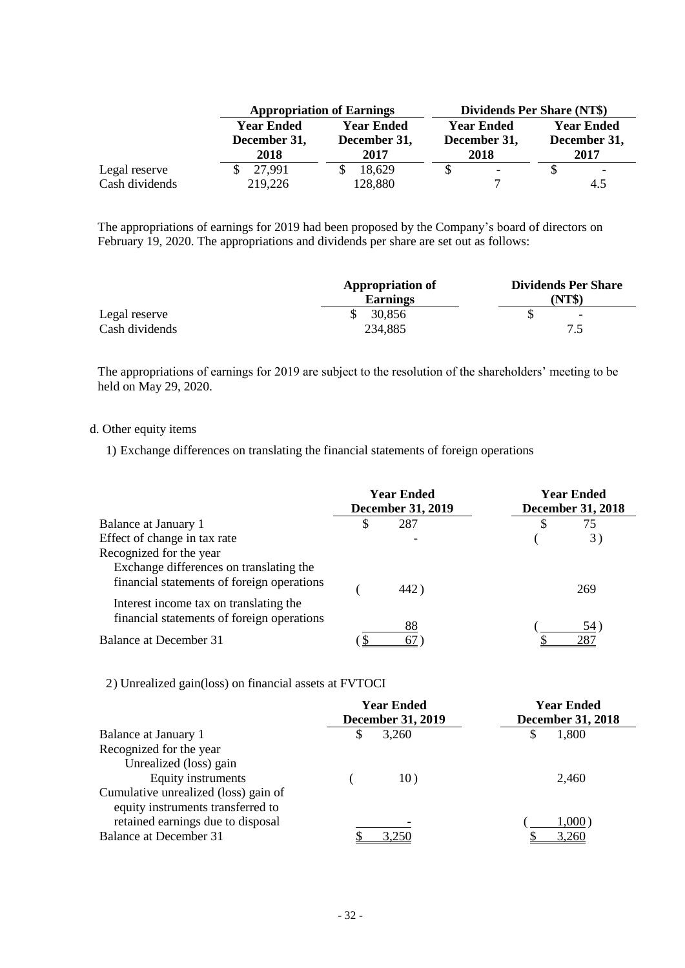|                | <b>Appropriation of Earnings</b> |                   | <b>Dividends Per Share (NT\$)</b> |                          |  |
|----------------|----------------------------------|-------------------|-----------------------------------|--------------------------|--|
|                | <b>Year Ended</b>                | <b>Year Ended</b> | <b>Year Ended</b>                 | <b>Year Ended</b>        |  |
|                | December 31,                     | December 31,      | December 31,                      | December 31,             |  |
|                | 2018                             | 2017              | 2018                              | 2017                     |  |
| Legal reserve  | 27,991                           | 18,629            | $\overline{\phantom{0}}$          | $\overline{\phantom{a}}$ |  |
| Cash dividends | 219,226                          | 128,880           |                                   | 4.5                      |  |

The appropriations of earnings for 2019 had been proposed by the Company's board of directors on February 19, 2020. The appropriations and dividends per share are set out as follows:

|                | <b>Appropriation of</b><br><b>Earnings</b> | <b>Dividends Per Share</b><br>(NT\$) |
|----------------|--------------------------------------------|--------------------------------------|
| Legal reserve  | 30,856                                     | $\overline{\phantom{0}}$             |
| Cash dividends | 234,885                                    | 7.5                                  |

The appropriations of earnings for 2019 are subject to the resolution of the shareholders' meeting to be held on May 29, 2020.

#### d. Other equity items

1) Exchange differences on translating the financial statements of foreign operations

|                                                                                       | <b>Year Ended</b><br><b>December 31, 2019</b> |      | <b>Year Ended</b><br><b>December 31, 2018</b> |     |
|---------------------------------------------------------------------------------------|-----------------------------------------------|------|-----------------------------------------------|-----|
| Balance at January 1                                                                  | S                                             | 287  | S                                             | 75  |
| Effect of change in tax rate                                                          |                                               |      |                                               | 3)  |
| Recognized for the year                                                               |                                               |      |                                               |     |
| Exchange differences on translating the<br>financial statements of foreign operations |                                               | 442) |                                               | 269 |
| Interest income tax on translating the<br>financial statements of foreign operations  |                                               | 88   |                                               | 54) |
| Balance at December 31                                                                |                                               |      |                                               | 287 |

2) Unrealized gain(loss) on financial assets at FVTOCI

|                                      | <b>Year Ended</b><br><b>December 31, 2019</b> | <b>Year Ended</b><br><b>December 31, 2018</b> |
|--------------------------------------|-----------------------------------------------|-----------------------------------------------|
| Balance at January 1                 | 3,260<br>\$                                   | 1,800<br>S                                    |
| Recognized for the year              |                                               |                                               |
| Unrealized (loss) gain               |                                               |                                               |
| Equity instruments                   | 10)                                           | 2,460                                         |
| Cumulative unrealized (loss) gain of |                                               |                                               |
| equity instruments transferred to    |                                               |                                               |
| retained earnings due to disposal    |                                               | 1,000)                                        |
| Balance at December 31               | 3,250                                         | 3,260                                         |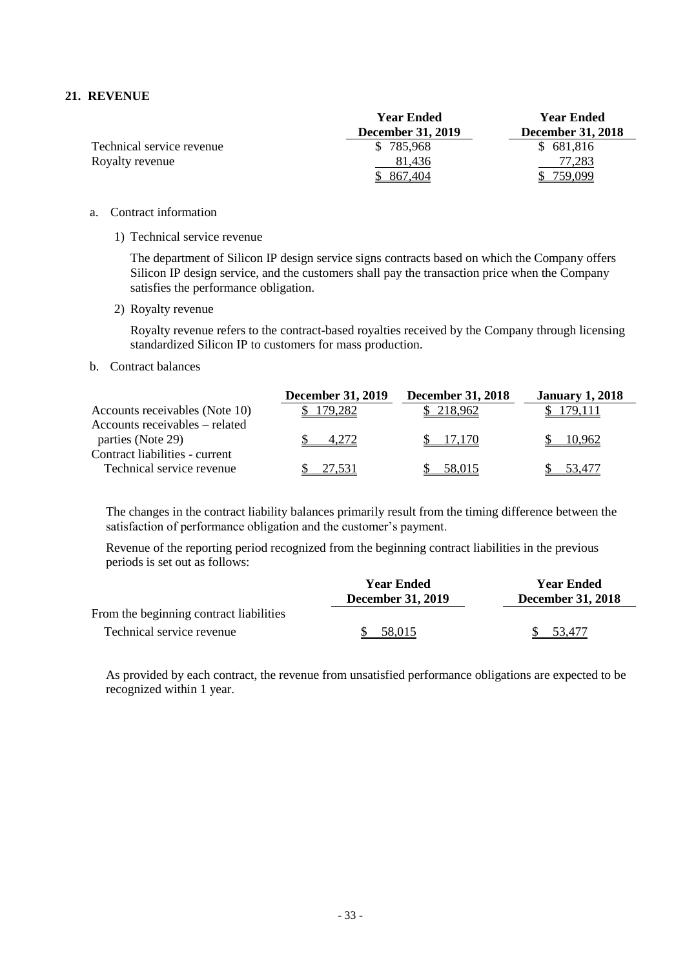#### **21. REVENUE**

|                           | <b>Year Ended</b>        | <b>Year Ended</b>        |
|---------------------------|--------------------------|--------------------------|
|                           | <b>December 31, 2019</b> | <b>December 31, 2018</b> |
| Technical service revenue | \$785,968                | \$681,816                |
| Royalty revenue           | 81.436                   | 77,283                   |
|                           |                          | ۔999,ر                   |

- a. Contract information
	- 1) Technical service revenue

The department of Silicon IP design service signs contracts based on which the Company offers Silicon IP design service, and the customers shall pay the transaction price when the Company satisfies the performance obligation.

2) Royalty revenue

Royalty revenue refers to the contract-based royalties received by the Company through licensing standardized Silicon IP to customers for mass production.

#### b. Contract balances

|                                                             | <b>December 31, 2019</b> | <b>December 31, 2018</b> | <b>January 1, 2018</b> |
|-------------------------------------------------------------|--------------------------|--------------------------|------------------------|
| Accounts receivables (Note 10)                              | 79.282                   | 218.962                  |                        |
| Accounts receivables – related<br>parties (Note 29)         |                          |                          | 10.962                 |
| Contract liabilities - current<br>Technical service revenue | 27.531                   | 58,015                   | 53.477                 |

The changes in the contract liability balances primarily result from the timing difference between the satisfaction of performance obligation and the customer's payment.

Revenue of the reporting period recognized from the beginning contract liabilities in the previous periods is set out as follows:

|                                         | <b>Year Ended</b><br><b>December 31, 2019</b> | <b>Year Ended</b><br><b>December 31, 2018</b> |  |  |
|-----------------------------------------|-----------------------------------------------|-----------------------------------------------|--|--|
| From the beginning contract liabilities |                                               |                                               |  |  |
| Technical service revenue               | 58.015                                        | 53.477                                        |  |  |

As provided by each contract, the revenue from unsatisfied performance obligations are expected to be recognized within 1 year.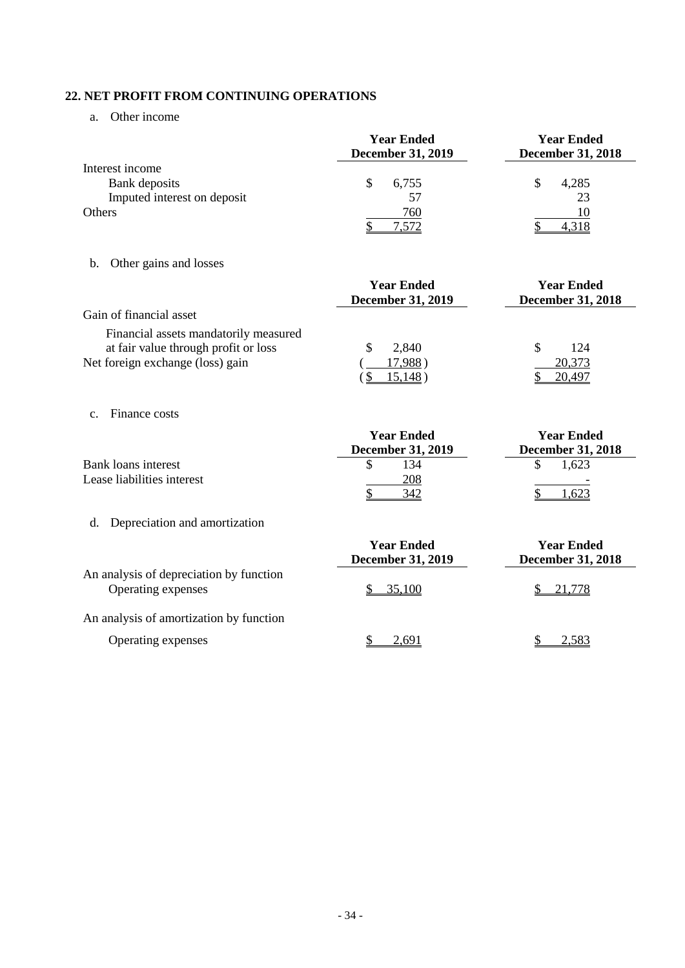# **22. NET PROFIT FROM CONTINUING OPERATIONS**

a. Other income

| Interest income                                                                                                   | <b>Year Ended</b><br>December 31, 2019             | <b>Year Ended</b><br><b>December 31, 2018</b> |
|-------------------------------------------------------------------------------------------------------------------|----------------------------------------------------|-----------------------------------------------|
| Bank deposits                                                                                                     | \$<br>6,755                                        | \$<br>4,285                                   |
| Imputed interest on deposit<br>Others                                                                             | 57<br>760<br>7,572                                 | 23<br>10<br>4,318                             |
| Other gains and losses<br>b.                                                                                      |                                                    |                                               |
|                                                                                                                   | <b>Year Ended</b><br><b>December 31, 2019</b>      | <b>Year Ended</b><br><b>December 31, 2018</b> |
| Gain of financial asset                                                                                           |                                                    |                                               |
| Financial assets mandatorily measured<br>at fair value through profit or loss<br>Net foreign exchange (loss) gain | 2,840<br>\$<br>17,988)<br>15,148)<br>$\mathcal{S}$ | \$<br>124<br>20,373<br>20,497                 |
| Finance costs<br>C <sub>1</sub>                                                                                   |                                                    |                                               |
|                                                                                                                   | <b>Year Ended</b><br><b>December 31, 2019</b>      | <b>Year Ended</b><br><b>December 31, 2018</b> |
| <b>Bank loans interest</b>                                                                                        | \$<br>134                                          | \$<br>1,623                                   |
| Lease liabilities interest                                                                                        | 208<br>342                                         | 1,623                                         |
| Depreciation and amortization<br>d.                                                                               |                                                    |                                               |
|                                                                                                                   | <b>Year Ended</b><br><b>December 31, 2019</b>      | <b>Year Ended</b><br><b>December 31, 2018</b> |
| An analysis of depreciation by function<br>Operating expenses                                                     | 35,100                                             | 21,778                                        |

An analysis of amortization by function

Operating expenses  $\frac{\$ \quad 2,691}{}$   $\frac{\$ \quad 2,583}{}$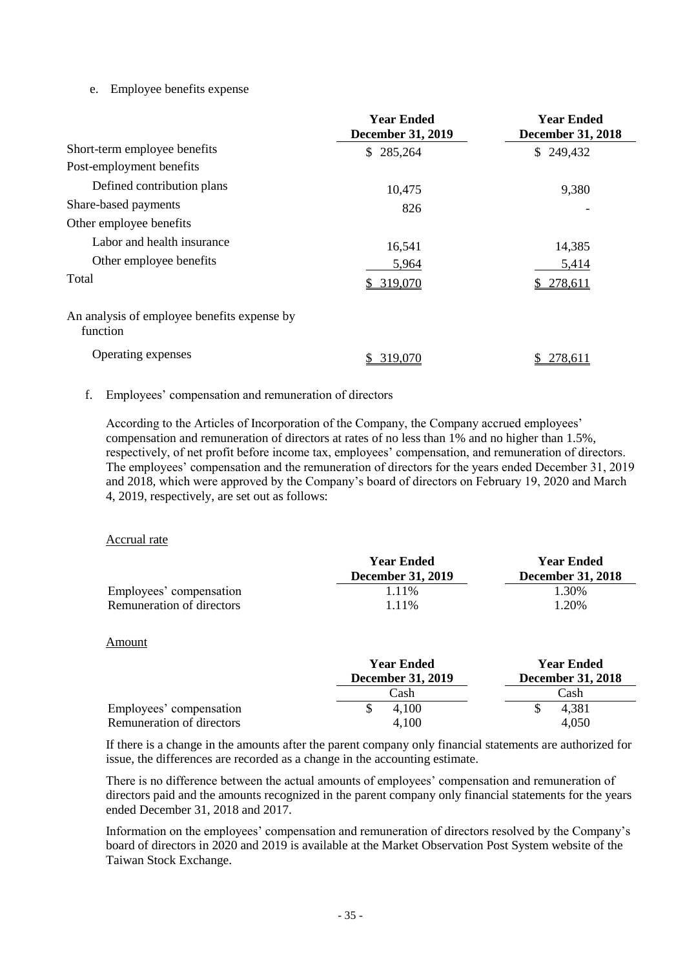### e. Employee benefits expense

|                                                         | <b>Year Ended</b><br><b>December 31, 2019</b> | <b>Year Ended</b><br><b>December 31, 2018</b> |  |  |  |
|---------------------------------------------------------|-----------------------------------------------|-----------------------------------------------|--|--|--|
| Short-term employee benefits                            | \$285,264                                     | \$249,432                                     |  |  |  |
| Post-employment benefits                                |                                               |                                               |  |  |  |
| Defined contribution plans                              | 10,475                                        | 9,380                                         |  |  |  |
| Share-based payments                                    | 826                                           |                                               |  |  |  |
| Other employee benefits                                 |                                               |                                               |  |  |  |
| Labor and health insurance                              | 16,541                                        | 14,385                                        |  |  |  |
| Other employee benefits                                 | 5,964                                         | 5,414                                         |  |  |  |
| Total                                                   | \$319,070                                     | \$278,611                                     |  |  |  |
| An analysis of employee benefits expense by<br>function |                                               |                                               |  |  |  |
| Operating expenses                                      | 319,070                                       | 278,611                                       |  |  |  |

#### f. Employees' compensation and remuneration of directors

According to the Articles of Incorporation of the Company, the Company accrued employees' compensation and remuneration of directors at rates of no less than 1% and no higher than 1.5%, respectively, of net profit before income tax, employees' compensation, and remuneration of directors. The employees' compensation and the remuneration of directors for the years ended December 31, 2019 and 2018, which were approved by the Company's board of directors on February 19, 2020 and March 4, 2019, respectively, are set out as follows:

#### Accrual rate

|                           | <b>Year Ended</b><br><b>December 31, 2019</b> | <b>Year Ended</b><br><b>December 31, 2018</b> |  |  |
|---------------------------|-----------------------------------------------|-----------------------------------------------|--|--|
| Employees' compensation   | 1.11%                                         | 1.30%                                         |  |  |
| Remuneration of directors | 1 1 1 %                                       | 1.20%                                         |  |  |

#### Amount

|                           | <b>Year Ended</b><br><b>December 31, 2019</b> | <b>Year Ended</b><br>December 31, 2018 |
|---------------------------|-----------------------------------------------|----------------------------------------|
|                           | Cash                                          | Cash                                   |
| Employees' compensation   | 4.100                                         | 4,381                                  |
| Remuneration of directors | 4.100                                         | 4,050                                  |

If there is a change in the amounts after the parent company only financial statements are authorized for issue, the differences are recorded as a change in the accounting estimate.

There is no difference between the actual amounts of employees' compensation and remuneration of directors paid and the amounts recognized in the parent company only financial statements for the years ended December 31, 2018 and 2017.

Information on the employees' compensation and remuneration of directors resolved by the Company's board of directors in 2020 and 2019 is available at the Market Observation Post System website of the Taiwan Stock Exchange.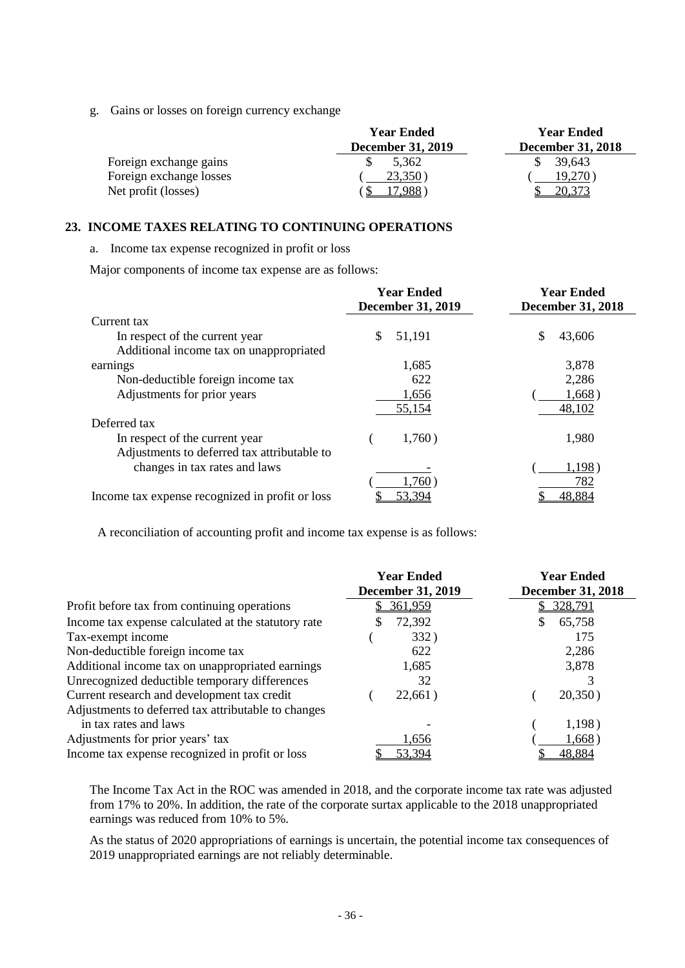g. Gains or losses on foreign currency exchange

|                         | <b>Year Ended</b>        | <b>Year Ended</b>        |  |  |  |
|-------------------------|--------------------------|--------------------------|--|--|--|
|                         | <b>December 31, 2019</b> | <b>December 31, 2018</b> |  |  |  |
| Foreign exchange gains  | 5.362                    | 39,643                   |  |  |  |
| Foreign exchange losses | 23,350                   | 19.270                   |  |  |  |
| Net profit (losses)     | .988                     |                          |  |  |  |

#### **23. INCOME TAXES RELATING TO CONTINUING OPERATIONS**

a. Income tax expense recognized in profit or loss

Major components of income tax expense are as follows:

|                                                 | <b>Year Ended</b><br><b>December 31, 2019</b> | <b>Year Ended</b><br><b>December 31, 2018</b> |  |  |
|-------------------------------------------------|-----------------------------------------------|-----------------------------------------------|--|--|
| Current tax                                     |                                               |                                               |  |  |
| In respect of the current year                  | \$<br>51,191                                  | \$<br>43,606                                  |  |  |
| Additional income tax on unappropriated         |                                               |                                               |  |  |
| earnings                                        | 1,685                                         | 3,878                                         |  |  |
| Non-deductible foreign income tax               | 622                                           | 2,286                                         |  |  |
| Adjustments for prior years                     | 1,656                                         | 1,668)                                        |  |  |
|                                                 | 55,154                                        | 48,102                                        |  |  |
| Deferred tax                                    |                                               |                                               |  |  |
| In respect of the current year                  | 1,760)                                        | 1,980                                         |  |  |
| Adjustments to deferred tax attributable to     |                                               |                                               |  |  |
| changes in tax rates and laws                   |                                               | 1,198)                                        |  |  |
|                                                 | 1,760)                                        | 782                                           |  |  |
| Income tax expense recognized in profit or loss | 53,394                                        | 48,884                                        |  |  |

A reconciliation of accounting profit and income tax expense is as follows:

|                                                     | <b>Year Ended</b><br><b>December 31, 2019</b> | <b>Year Ended</b><br><b>December 31, 2018</b> |  |  |  |
|-----------------------------------------------------|-----------------------------------------------|-----------------------------------------------|--|--|--|
| Profit before tax from continuing operations        | 361,959                                       | 328,791                                       |  |  |  |
| Income tax expense calculated at the statutory rate | 72,392                                        | 65,758<br>S                                   |  |  |  |
| Tax-exempt income                                   | 332)                                          | 175                                           |  |  |  |
| Non-deductible foreign income tax                   | 622                                           | 2,286                                         |  |  |  |
| Additional income tax on unappropriated earnings    | 1,685                                         | 3,878                                         |  |  |  |
| Unrecognized deductible temporary differences       | 32                                            |                                               |  |  |  |
| Current research and development tax credit         | 22,661)                                       | 20,350)                                       |  |  |  |
| Adjustments to deferred tax attributable to changes |                                               |                                               |  |  |  |
| in tax rates and laws                               |                                               | 1,198)                                        |  |  |  |
| Adjustments for prior years' tax                    | 1,656                                         | 1,668)                                        |  |  |  |
| Income tax expense recognized in profit or loss     | 53,394                                        | 48,884                                        |  |  |  |

The Income Tax Act in the ROC was amended in 2018, and the corporate income tax rate was adjusted from 17% to 20%. In addition, the rate of the corporate surtax applicable to the 2018 unappropriated earnings was reduced from 10% to 5%.

As the status of 2020 appropriations of earnings is uncertain, the potential income tax consequences of 2019 unappropriated earnings are not reliably determinable.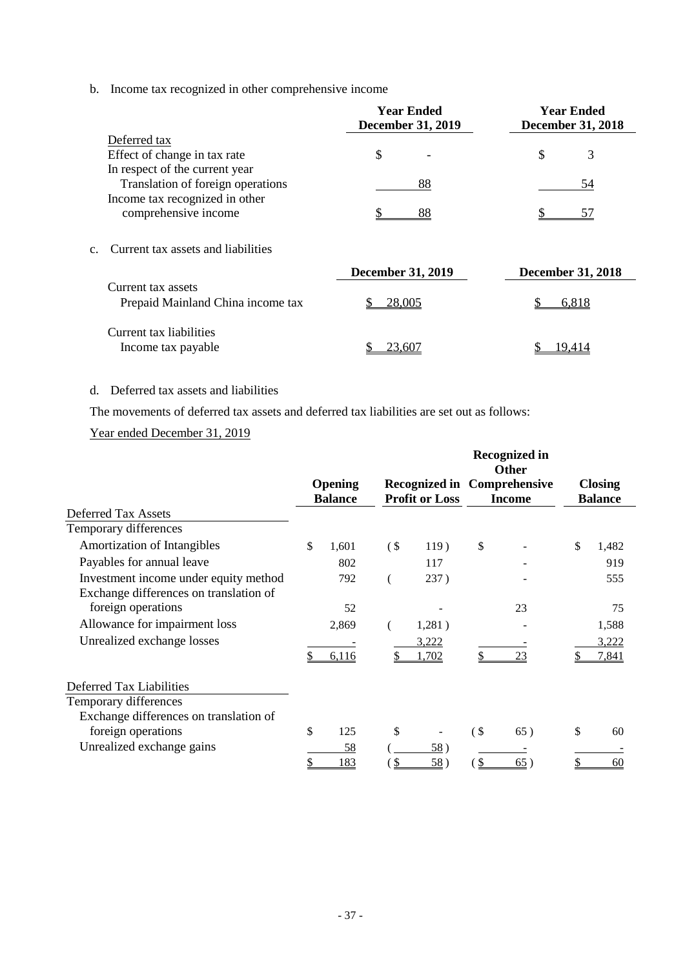b. Income tax recognized in other comprehensive income

|                                          | <b>Year Ended</b><br><b>December 31, 2019</b> | <b>Year Ended</b><br><b>December 31, 2018</b> |  |  |  |
|------------------------------------------|-----------------------------------------------|-----------------------------------------------|--|--|--|
| Deferred tax                             |                                               |                                               |  |  |  |
| Effect of change in tax rate             | \$                                            | \$<br>3                                       |  |  |  |
| In respect of the current year           |                                               |                                               |  |  |  |
| Translation of foreign operations        | 88                                            | 54                                            |  |  |  |
| Income tax recognized in other           |                                               |                                               |  |  |  |
| comprehensive income                     | 88                                            | 57                                            |  |  |  |
| Current tax assets and liabilities<br>c. | <b>December 31, 2019</b>                      | <b>December 31, 2018</b>                      |  |  |  |
| Current tax assets                       |                                               |                                               |  |  |  |
| Prepaid Mainland China income tax        | 28,005<br>\$                                  | 6,818                                         |  |  |  |
| Current tax liabilities                  |                                               |                                               |  |  |  |
| Income tax payable                       | 23,607                                        | 19,414                                        |  |  |  |

### d. Deferred tax assets and liabilities

The movements of deferred tax assets and deferred tax liabilities are set out as follows:

# Year ended December 31, 2019

|                                                                                 | Opening        |        |                       |            | <b>Recognized in</b><br><b>Other</b><br><b>Recognized in Comprehensive</b> | <b>Closing</b> |
|---------------------------------------------------------------------------------|----------------|--------|-----------------------|------------|----------------------------------------------------------------------------|----------------|
|                                                                                 | <b>Balance</b> |        | <b>Profit or Loss</b> |            | <b>Income</b>                                                              | <b>Balance</b> |
| <b>Deferred Tax Assets</b>                                                      |                |        |                       |            |                                                                            |                |
| Temporary differences                                                           |                |        |                       |            |                                                                            |                |
| Amortization of Intangibles                                                     | \$<br>1,601    | $($ \$ | 119)                  | \$         |                                                                            | \$<br>1,482    |
| Payables for annual leave                                                       | 802            |        | 117                   |            |                                                                            | 919            |
| Investment income under equity method<br>Exchange differences on translation of | 792            |        | 237)                  |            |                                                                            | 555            |
| foreign operations                                                              | 52             |        |                       |            | 23                                                                         | 75             |
| Allowance for impairment loss                                                   | 2,869          |        | 1,281)                |            |                                                                            | 1,588          |
| Unrealized exchange losses                                                      |                |        | 3,222                 |            |                                                                            | 3,222          |
|                                                                                 | 6,116          |        | 1,702                 | \$         | 23                                                                         | 7,841          |
| Deferred Tax Liabilities                                                        |                |        |                       |            |                                                                            |                |
| Temporary differences                                                           |                |        |                       |            |                                                                            |                |
| Exchange differences on translation of                                          |                |        |                       |            |                                                                            |                |
| foreign operations                                                              | \$<br>125      | \$     |                       | $($ \$     | 65)                                                                        | \$<br>60       |
| Unrealized exchange gains                                                       | 58             |        | 58)                   |            |                                                                            |                |
|                                                                                 | 183            | \$     | 58)                   | $\sqrt{2}$ | 65)                                                                        | 60             |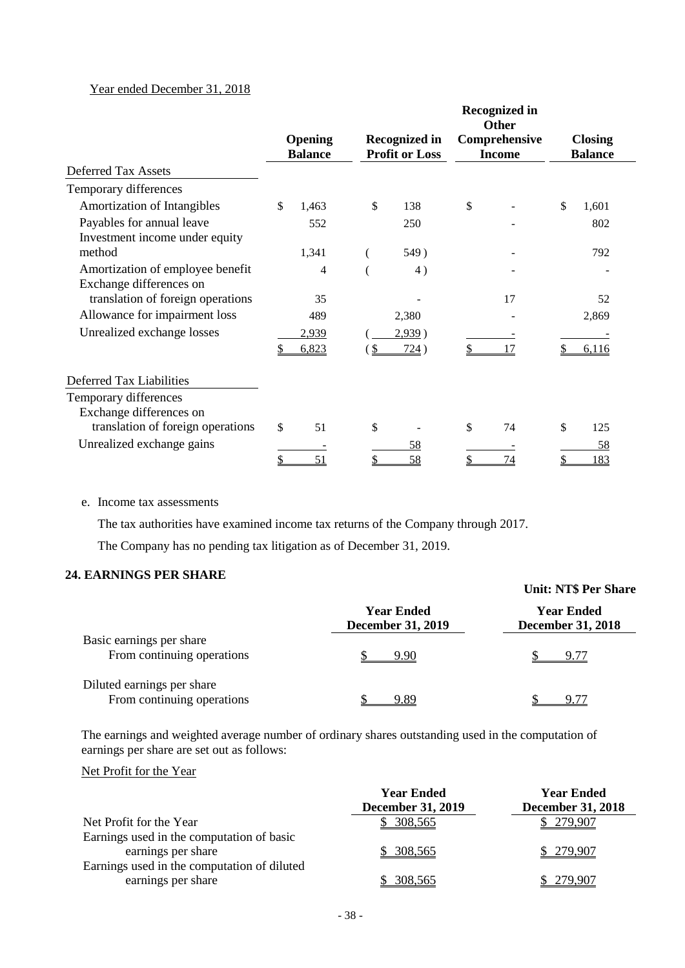### Year ended December 31, 2018

|                                                             |    |                                  |    |                                               | <b>Recognized in</b><br><b>Other</b> |                                  |  |
|-------------------------------------------------------------|----|----------------------------------|----|-----------------------------------------------|--------------------------------------|----------------------------------|--|
|                                                             |    | <b>Opening</b><br><b>Balance</b> |    | <b>Recognized in</b><br><b>Profit or Loss</b> | Comprehensive<br><b>Income</b>       | <b>Closing</b><br><b>Balance</b> |  |
| <b>Deferred Tax Assets</b>                                  |    |                                  |    |                                               |                                      |                                  |  |
| Temporary differences                                       |    |                                  |    |                                               |                                      |                                  |  |
| Amortization of Intangibles                                 | \$ | 1,463                            | \$ | 138                                           | \$                                   | \$<br>1,601                      |  |
| Payables for annual leave<br>Investment income under equity |    | 552                              |    | 250                                           |                                      | 802                              |  |
| method                                                      |    | 1,341                            |    | 549)                                          |                                      | 792                              |  |
| Amortization of employee benefit<br>Exchange differences on |    | 4                                |    | 4)                                            |                                      |                                  |  |
| translation of foreign operations                           |    | 35                               |    |                                               | 17                                   | 52                               |  |
| Allowance for impairment loss                               |    | 489                              |    | 2,380                                         |                                      | 2,869                            |  |
| Unrealized exchange losses                                  |    | 2,939                            |    | 2,939)                                        |                                      |                                  |  |
|                                                             | S  | 6,823                            | -S | 724)                                          | 17                                   | 6,116                            |  |
| Deferred Tax Liabilities                                    |    |                                  |    |                                               |                                      |                                  |  |
| Temporary differences                                       |    |                                  |    |                                               |                                      |                                  |  |
| Exchange differences on                                     |    |                                  |    |                                               |                                      |                                  |  |
| translation of foreign operations                           | \$ | 51                               | \$ |                                               | \$<br>74                             | \$<br>125                        |  |
| Unrealized exchange gains                                   |    |                                  |    | 58                                            |                                      | 58                               |  |
|                                                             | \$ | 51                               |    | 58                                            | 74                                   | 183                              |  |

e. Income tax assessments

The tax authorities have examined income tax returns of the Company through 2017.

The Company has no pending tax litigation as of December 31, 2019.

### **24. EARNINGS PER SHARE**

|                                                          |                                               | <b>Unit: NT\$ Per Share</b>                   |
|----------------------------------------------------------|-----------------------------------------------|-----------------------------------------------|
|                                                          | <b>Year Ended</b><br><b>December 31, 2019</b> | <b>Year Ended</b><br><b>December 31, 2018</b> |
| Basic earnings per share<br>From continuing operations   | 9.90                                          | 9.77                                          |
| Diluted earnings per share<br>From continuing operations | 9.89                                          | 9.77                                          |

The earnings and weighted average number of ordinary shares outstanding used in the computation of earnings per share are set out as follows:

#### Net Profit for the Year

|                                                                                                                | <b>Year Ended</b><br><b>December 31, 2019</b> | <b>Year Ended</b><br><b>December 31, 2018</b> |
|----------------------------------------------------------------------------------------------------------------|-----------------------------------------------|-----------------------------------------------|
| Net Profit for the Year                                                                                        | \$308,565                                     | \$279,907                                     |
| Earnings used in the computation of basic<br>earnings per share<br>Earnings used in the computation of diluted | \$ 308,565                                    | \$279,907                                     |
| earnings per share                                                                                             | 308,565                                       | 279.907                                       |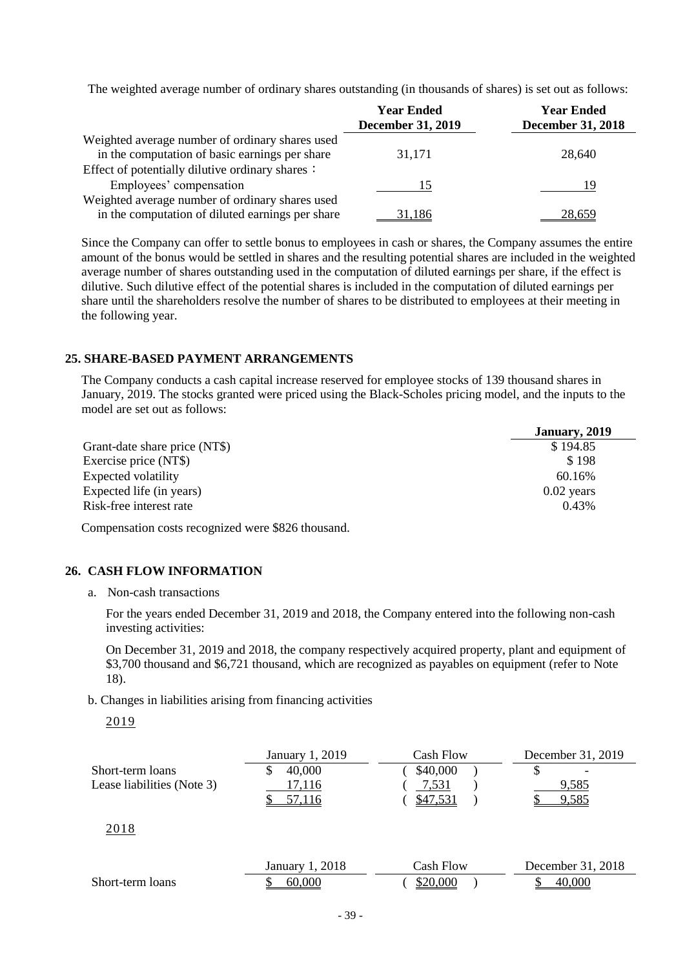The weighted average number of ordinary shares outstanding (in thousands of shares) is set out as follows:

|                                                  | <b>Year Ended</b>        | <b>Year Ended</b>        |
|--------------------------------------------------|--------------------------|--------------------------|
|                                                  | <b>December 31, 2019</b> | <b>December 31, 2018</b> |
| Weighted average number of ordinary shares used  |                          |                          |
| in the computation of basic earnings per share   | 31,171                   | 28,640                   |
| Effect of potentially dilutive ordinary shares:  |                          |                          |
| Employees' compensation                          | 15                       | 19                       |
| Weighted average number of ordinary shares used  |                          |                          |
| in the computation of diluted earnings per share | 31,186                   | 28,659                   |

Since the Company can offer to settle bonus to employees in cash or shares, the Company assumes the entire amount of the bonus would be settled in shares and the resulting potential shares are included in the weighted average number of shares outstanding used in the computation of diluted earnings per share, if the effect is dilutive. Such dilutive effect of the potential shares is included in the computation of diluted earnings per share until the shareholders resolve the number of shares to be distributed to employees at their meeting in the following year.

#### **25. SHARE-BASED PAYMENT ARRANGEMENTS**

The Company conducts a cash capital increase reserved for employee stocks of 139 thousand shares in January, 2019. The stocks granted were priced using the Black-Scholes pricing model, and the inputs to the model are set out as follows:

|                               | January, 2019 |
|-------------------------------|---------------|
| Grant-date share price (NT\$) | \$194.85      |
| Exercise price (NT\$)         | \$198         |
| Expected volatility           | 60.16%        |
| Expected life (in years)      | $0.02$ years  |
| Risk-free interest rate       | 0.43%         |

Compensation costs recognized were \$826 thousand.

#### **26. CASH FLOW INFORMATION**

a. Non-cash transactions

For the years ended December 31, 2019 and 2018, the Company entered into the following non-cash investing activities:

On December 31, 2019 and 2018, the company respectively acquired property, plant and equipment of \$3,700 thousand and \$6,721 thousand, which are recognized as payables on equipment (refer to Note 18).

b. Changes in liabilities arising from financing activities

2019

|                            | January 1, 2019 | Cash Flow | December 31, 2019        |
|----------------------------|-----------------|-----------|--------------------------|
| Short-term loans           | 40,000          | \$40,000  | $\overline{\phantom{a}}$ |
| Lease liabilities (Note 3) | 17.116          | 7,531     | 9.585                    |
|                            |                 |           | .585                     |

2018

|                  | January 1, 2018 | Cash Flow | December 31, 2018 |
|------------------|-----------------|-----------|-------------------|
| Short-term loans | -60.000<br>ιIJ  | \$20.000  | റററ<br>40         |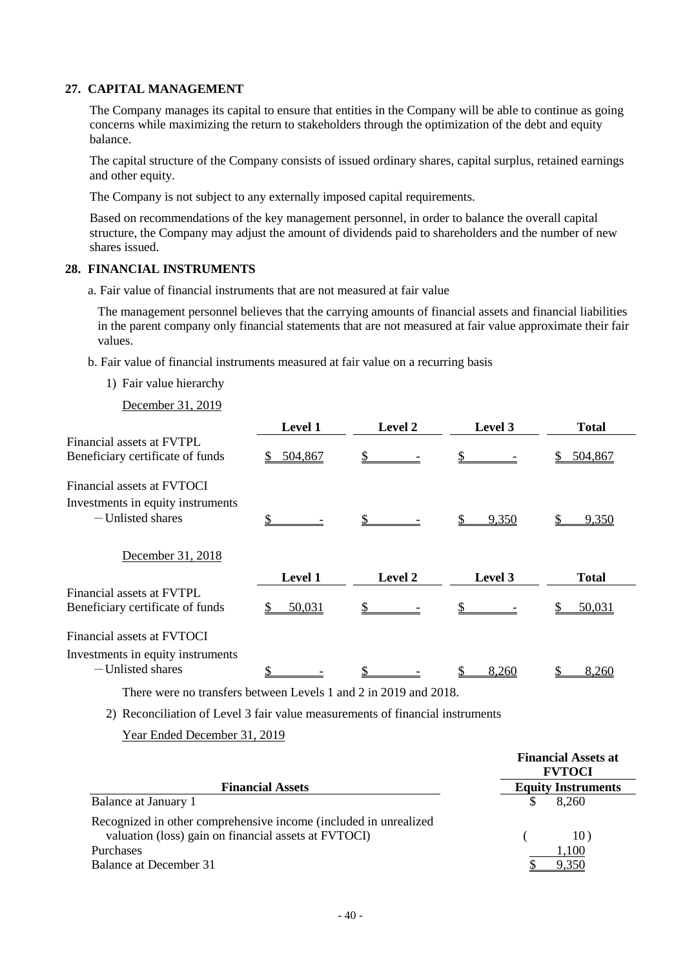#### **27. CAPITAL MANAGEMENT**

The Company manages its capital to ensure that entities in the Company will be able to continue as going concerns while maximizing the return to stakeholders through the optimization of the debt and equity balance.

The capital structure of the Company consists of issued ordinary shares, capital surplus, retained earnings and other equity.

The Company is not subject to any externally imposed capital requirements.

Based on recommendations of the key management personnel, in order to balance the overall capital structure, the Company may adjust the amount of dividends paid to shareholders and the number of new shares issued.

#### **28. FINANCIAL INSTRUMENTS**

a. Fair value of financial instruments that are not measured at fair value

The management personnel believes that the carrying amounts of financial assets and financial liabilities in the parent company only financial statements that are not measured at fair value approximate their fair values.

b. Fair value of financial instruments measured at fair value on a recurring basis

1) Fair value hierarchy

December 31, 2019

|                                   | <b>Level 1</b> | Level 2 | Level 3 | <b>Total</b> |
|-----------------------------------|----------------|---------|---------|--------------|
| Financial assets at FVTPL.        |                |         |         |              |
| Beneficiary certificate of funds  | 504,867<br>S   |         |         | 504,867      |
| Financial assets at FVTOCI        |                |         |         |              |
| Investments in equity instruments |                |         |         |              |
| -Unlisted shares                  |                |         | 9,350   | 9,350        |
| December 31, 2018                 |                |         |         |              |
|                                   | <b>Level 1</b> | Level 2 | Level 3 | <b>Total</b> |
| Financial assets at FVTPL         |                |         |         |              |
| Beneficiary certificate of funds  | 50,031<br>S    |         |         | 50,031       |
| Financial assets at FVTOCI        |                |         |         |              |
| Investments in equity instruments |                |         |         |              |
| -Unlisted shares                  |                |         | 8,260   | 8.260        |

There were no transfers between Levels 1 and 2 in 2019 and 2018.

2) Reconciliation of Level 3 fair value measurements of financial instruments

Year Ended December 31, 2019

|                                                                                                                          | <b>Financial Assets at</b><br><b>FVTOCI</b> |
|--------------------------------------------------------------------------------------------------------------------------|---------------------------------------------|
| <b>Financial Assets</b>                                                                                                  | <b>Equity Instruments</b>                   |
| Balance at January 1                                                                                                     | 8,260                                       |
| Recognized in other comprehensive income (included in unrealized<br>valuation (loss) gain on financial assets at FVTOCI) | 10)                                         |
| Purchases                                                                                                                | l,100                                       |
| Balance at December 31                                                                                                   |                                             |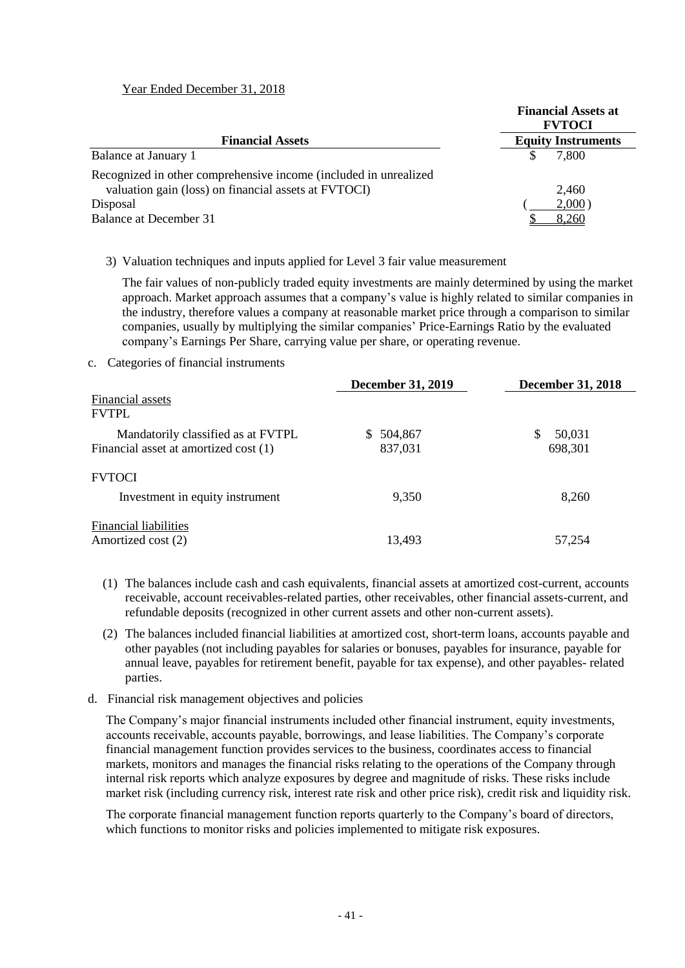#### Year Ended December 31, 2018

|                                                                   | <b>Financial Assets at</b><br><b>FVTOCI</b> |
|-------------------------------------------------------------------|---------------------------------------------|
| <b>Financial Assets</b>                                           | <b>Equity Instruments</b>                   |
| Balance at January 1                                              | 7,800                                       |
| Recognized in other comprehensive income (included in unrealized) |                                             |
| valuation gain (loss) on financial assets at FVTOCI)              | 2,460                                       |
| Disposal                                                          | $2,000$ )                                   |
| Balance at December 31                                            | 8.260                                       |

#### 3) Valuation techniques and inputs applied for Level 3 fair value measurement

The fair values of non-publicly traded equity investments are mainly determined by using the market approach. Market approach assumes that a company's value is highly related to similar companies in the industry, therefore values a company at reasonable market price through a comparison to similar companies, usually by multiplying the similar companies' Price-Earnings Ratio by the evaluated company's Earnings Per Share, carrying value per share, or operating revenue.

#### c. Categories of financial instruments

|                                                    | <b>December 31, 2019</b> | <b>December 31, 2018</b> |
|----------------------------------------------------|--------------------------|--------------------------|
| Financial assets<br><b>FVTPL</b>                   |                          |                          |
| Mandatorily classified as at FVTPL                 | 504.867<br>S.            | \$<br>50,031             |
| Financial asset at amortized cost (1)              | 837,031                  | 698,301                  |
| <b>FVTOCI</b>                                      |                          |                          |
| Investment in equity instrument                    | 9,350                    | 8,260                    |
| <b>Financial liabilities</b><br>Amortized cost (2) | 13.493                   | 57,254                   |

- (1) The balances include cash and cash equivalents, financial assets at amortized cost-current, accounts receivable, account receivables-related parties, other receivables, other financial assets-current, and refundable deposits (recognized in other current assets and other non-current assets).
- (2) The balances included financial liabilities at amortized cost, short-term loans, accounts payable and other payables (not including payables for salaries or bonuses, payables for insurance, payable for annual leave, payables for retirement benefit, payable for tax expense), and other payables- related parties.

#### d. Financial risk management objectives and policies

The Company's major financial instruments included other financial instrument, equity investments, accounts receivable, accounts payable, borrowings, and lease liabilities. The Company's corporate financial management function provides services to the business, coordinates access to financial markets, monitors and manages the financial risks relating to the operations of the Company through internal risk reports which analyze exposures by degree and magnitude of risks. These risks include market risk (including currency risk, interest rate risk and other price risk), credit risk and liquidity risk.

The corporate financial management function reports quarterly to the Company's board of directors, which functions to monitor risks and policies implemented to mitigate risk exposures.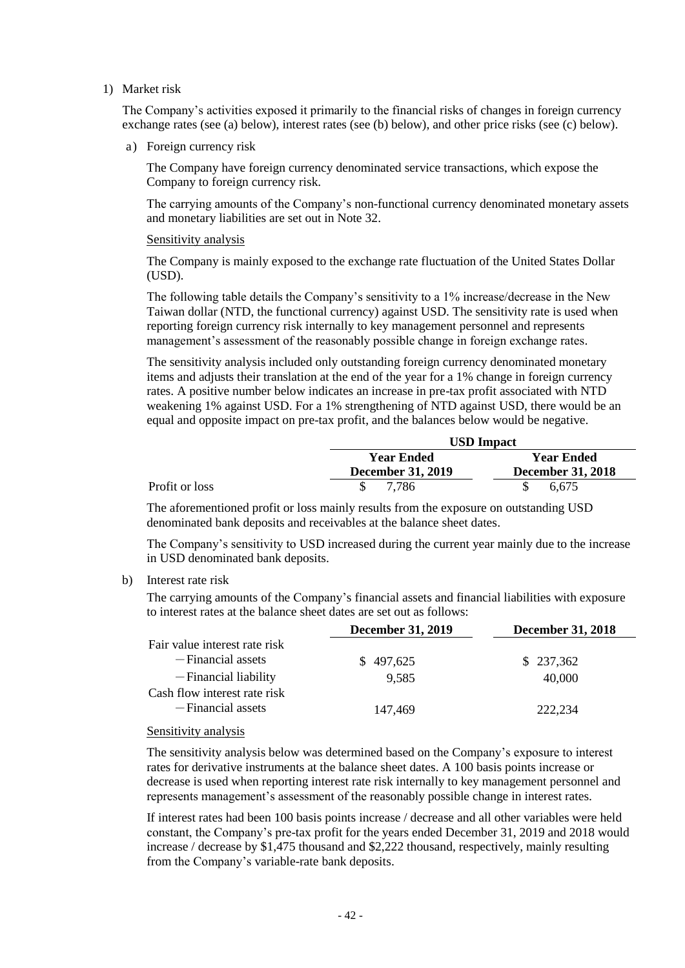1) Market risk

The Company's activities exposed it primarily to the financial risks of changes in foreign currency exchange rates (see (a) below), interest rates (see (b) below), and other price risks (see (c) below).

a) Foreign currency risk

The Company have foreign currency denominated service transactions, which expose the Company to foreign currency risk.

The carrying amounts of the Company's non-functional currency denominated monetary assets and monetary liabilities are set out in Note 32.

#### Sensitivity analysis

The Company is mainly exposed to the exchange rate fluctuation of the United States Dollar (USD).

The following table details the Company's sensitivity to a 1% increase/decrease in the New Taiwan dollar (NTD, the functional currency) against USD. The sensitivity rate is used when reporting foreign currency risk internally to key management personnel and represents management's assessment of the reasonably possible change in foreign exchange rates.

The sensitivity analysis included only outstanding foreign currency denominated monetary items and adjusts their translation at the end of the year for a 1% change in foreign currency rates. A positive number below indicates an increase in pre-tax profit associated with NTD weakening 1% against USD. For a 1% strengthening of NTD against USD, there would be an equal and opposite impact on pre-tax profit, and the balances below would be negative.

|                |                          | <b>USD</b> Impact        |
|----------------|--------------------------|--------------------------|
|                | <b>Year Ended</b>        | <b>Year Ended</b>        |
|                | <b>December 31, 2019</b> | <b>December 31, 2018</b> |
| Profit or loss | 7.786                    | 6.675                    |

The aforementioned profit or loss mainly results from the exposure on outstanding USD denominated bank deposits and receivables at the balance sheet dates.

The Company's sensitivity to USD increased during the current year mainly due to the increase in USD denominated bank deposits.

#### b) Interest rate risk

The carrying amounts of the Company's financial assets and financial liabilities with exposure to interest rates at the balance sheet dates are set out as follows:

|                                                   | <b>December 31, 2019</b> | <b>December 31, 2018</b> |
|---------------------------------------------------|--------------------------|--------------------------|
| Fair value interest rate risk                     |                          |                          |
| -Financial assets                                 | \$497,625                | \$237,362                |
| -Financial liability                              | 9.585                    | 40,000                   |
| Cash flow interest rate risk<br>-Financial assets | 147,469                  | 222.234                  |
|                                                   |                          |                          |

#### Sensitivity analysis

The sensitivity analysis below was determined based on the Company's exposure to interest rates for derivative instruments at the balance sheet dates. A 100 basis points increase or decrease is used when reporting interest rate risk internally to key management personnel and represents management's assessment of the reasonably possible change in interest rates.

If interest rates had been 100 basis points increase / decrease and all other variables were held constant, the Company's pre-tax profit for the years ended December 31, 2019 and 2018 would increase / decrease by \$1,475 thousand and \$2,222 thousand, respectively, mainly resulting from the Company's variable-rate bank deposits.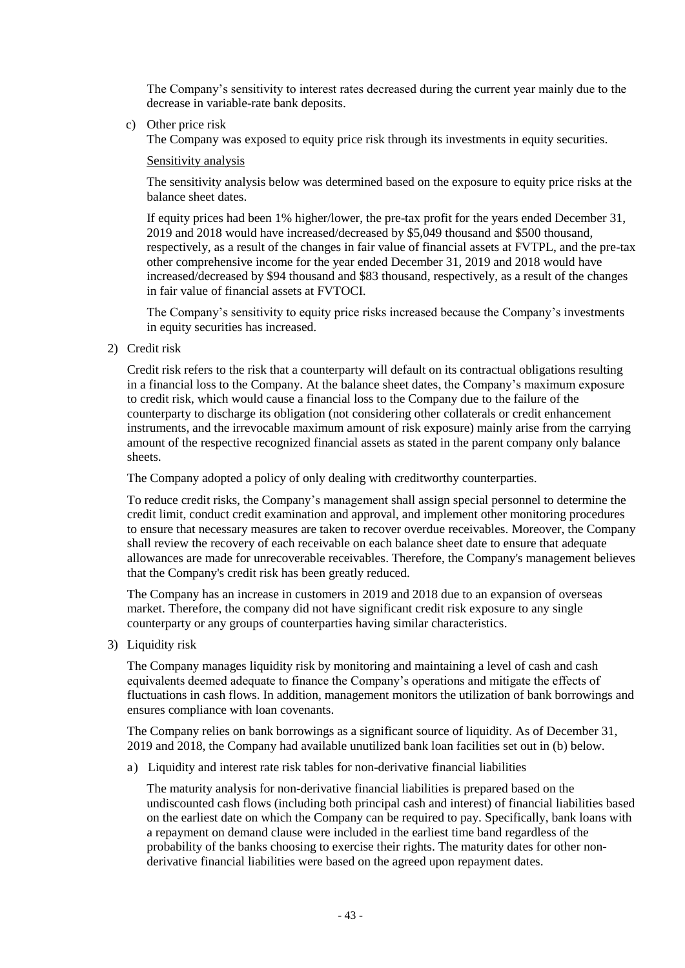The Company's sensitivity to interest rates decreased during the current year mainly due to the decrease in variable-rate bank deposits.

c) Other price risk

The Company was exposed to equity price risk through its investments in equity securities.

#### Sensitivity analysis

The sensitivity analysis below was determined based on the exposure to equity price risks at the balance sheet dates.

If equity prices had been 1% higher/lower, the pre-tax profit for the years ended December 31, 2019 and 2018 would have increased/decreased by \$5,049 thousand and \$500 thousand, respectively, as a result of the changes in fair value of financial assets at FVTPL, and the pre-tax other comprehensive income for the year ended December 31, 2019 and 2018 would have increased/decreased by \$94 thousand and \$83 thousand, respectively, as a result of the changes in fair value of financial assets at FVTOCI.

The Company's sensitivity to equity price risks increased because the Company's investments in equity securities has increased.

2) Credit risk

Credit risk refers to the risk that a counterparty will default on its contractual obligations resulting in a financial loss to the Company. At the balance sheet dates, the Company's maximum exposure to credit risk, which would cause a financial loss to the Company due to the failure of the counterparty to discharge its obligation (not considering other collaterals or credit enhancement instruments, and the irrevocable maximum amount of risk exposure) mainly arise from the carrying amount of the respective recognized financial assets as stated in the parent company only balance sheets.

The Company adopted a policy of only dealing with creditworthy counterparties.

To reduce credit risks, the Company's management shall assign special personnel to determine the credit limit, conduct credit examination and approval, and implement other monitoring procedures to ensure that necessary measures are taken to recover overdue receivables. Moreover, the Company shall review the recovery of each receivable on each balance sheet date to ensure that adequate allowances are made for unrecoverable receivables. Therefore, the Company's management believes that the Company's credit risk has been greatly reduced.

The Company has an increase in customers in 2019 and 2018 due to an expansion of overseas market. Therefore, the company did not have significant credit risk exposure to any single counterparty or any groups of counterparties having similar characteristics.

3) Liquidity risk

The Company manages liquidity risk by monitoring and maintaining a level of cash and cash equivalents deemed adequate to finance the Company's operations and mitigate the effects of fluctuations in cash flows. In addition, management monitors the utilization of bank borrowings and ensures compliance with loan covenants.

The Company relies on bank borrowings as a significant source of liquidity. As of December 31, 2019 and 2018, the Company had available unutilized bank loan facilities set out in (b) below.

a) Liquidity and interest rate risk tables for non-derivative financial liabilities

The maturity analysis for non-derivative financial liabilities is prepared based on the undiscounted cash flows (including both principal cash and interest) of financial liabilities based on the earliest date on which the Company can be required to pay. Specifically, bank loans with a repayment on demand clause were included in the earliest time band regardless of the probability of the banks choosing to exercise their rights. The maturity dates for other nonderivative financial liabilities were based on the agreed upon repayment dates.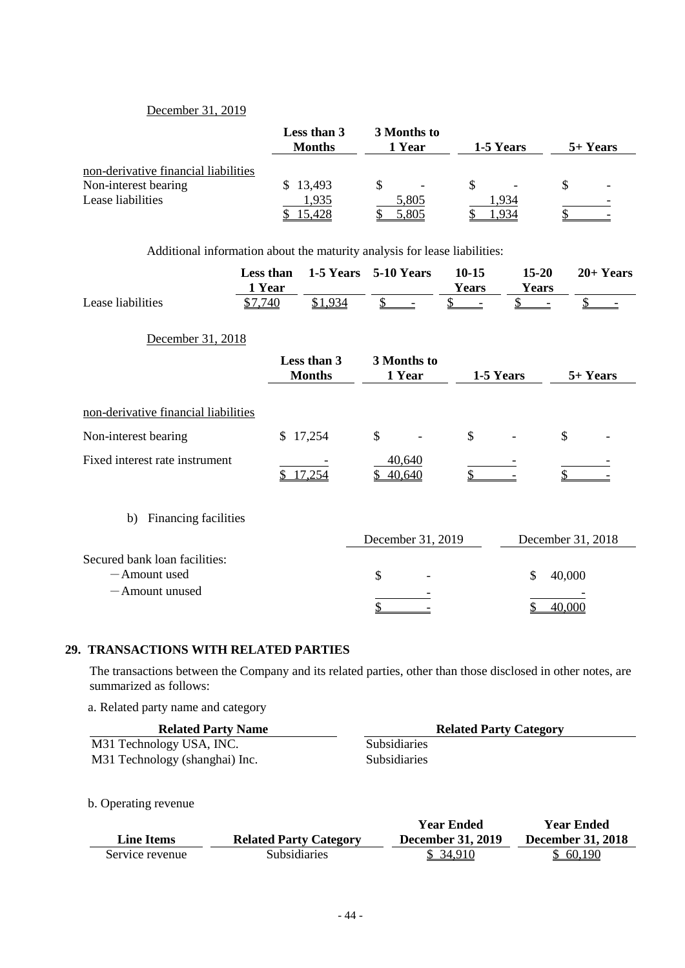### December 31, 2019

|                                      | Less than 3<br><b>Months</b> | 3 Months to<br>1 Year | 1-5 Years                | 5+ Years |
|--------------------------------------|------------------------------|-----------------------|--------------------------|----------|
| non-derivative financial liabilities |                              |                       |                          |          |
| Non-interest bearing                 | 13,493<br>SS.                |                       | $\overline{\phantom{0}}$ |          |
| Lease liabilities                    | 1,935                        | 5,805<br>5,805        | .934                     |          |

Additional information about the maturity analysis for lease liabilities:

|                                                                  | Less than<br>1 Year |                              | 1-5 Years 5-10 Years  | $10 - 15$<br><b>Years</b> | $15 - 20$<br><b>Years</b> | $20+Years$        |
|------------------------------------------------------------------|---------------------|------------------------------|-----------------------|---------------------------|---------------------------|-------------------|
| Lease liabilities                                                | \$7,740             | \$1,934                      |                       |                           |                           | \$                |
| December 31, 2018                                                |                     |                              |                       |                           |                           |                   |
|                                                                  |                     | Less than 3<br><b>Months</b> | 3 Months to<br>1 Year | 1-5 Years                 |                           | 5+ Years          |
| non-derivative financial liabilities                             |                     |                              |                       |                           |                           |                   |
| Non-interest bearing                                             |                     | \$17,254                     | \$                    | $\mathcal{S}$             |                           | $\mathcal{S}$     |
| Fixed interest rate instrument                                   | \$                  | 17,254                       | 40,640<br>40,640      | \$                        |                           |                   |
| Financing facilities<br>b)                                       |                     |                              |                       |                           |                           |                   |
|                                                                  |                     |                              | December 31, 2019     |                           |                           | December 31, 2018 |
| Secured bank loan facilities:<br>-Amount used<br>- Amount unused |                     |                              | \$                    |                           | \$                        | 40,000<br>40,000  |

### **29. TRANSACTIONS WITH RELATED PARTIES**

The transactions between the Company and its related parties, other than those disclosed in other notes, are summarized as follows:

a. Related party name and category

| <b>Related Party Name</b>      | <b>Related Party Category</b> |
|--------------------------------|-------------------------------|
| M31 Technology USA, INC.       | <b>Subsidiaries</b>           |
| M31 Technology (shanghai) Inc. | <b>Subsidiaries</b>           |

b. Operating revenue

|                 |                               | Year Ended               | <b>Year Ended</b>        |
|-----------------|-------------------------------|--------------------------|--------------------------|
| Line Items      | <b>Related Party Category</b> | <b>December 31, 2019</b> | <b>December 31, 2018</b> |
| Service revenue | <b>Subsidiaries</b>           | \$ 34.910                | \$ 60.190                |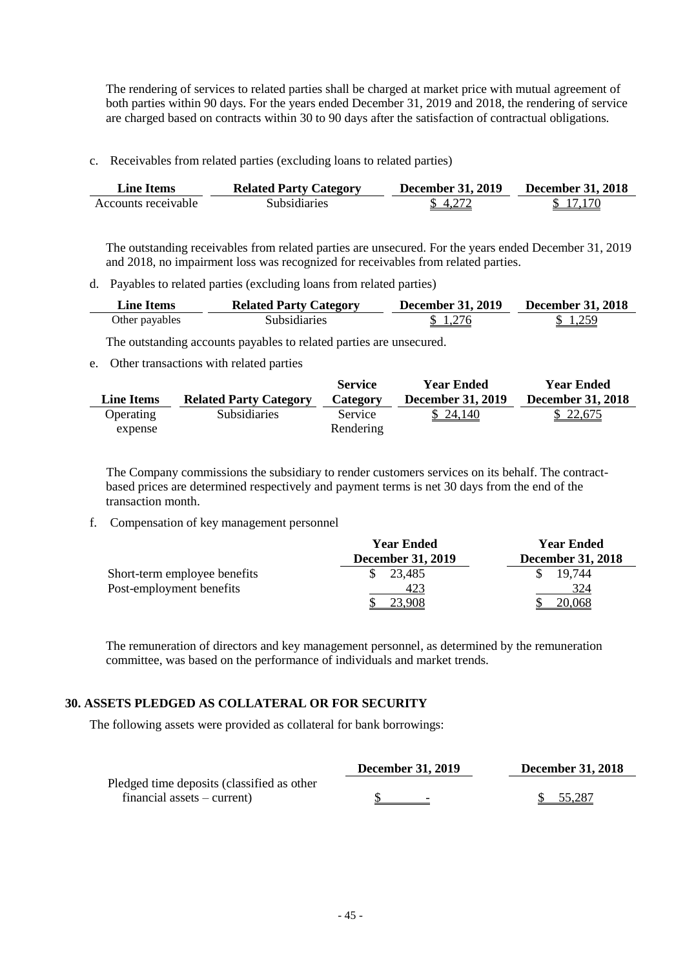The rendering of services to related parties shall be charged at market price with mutual agreement of both parties within 90 days. For the years ended December 31, 2019 and 2018, the rendering of service are charged based on contracts within 30 to 90 days after the satisfaction of contractual obligations.

c. Receivables from related parties (excluding loans to related parties)

| Line Items          | <b>Related Party Category</b> | December 31, 2019 | <b>December 31, 2018</b> |
|---------------------|-------------------------------|-------------------|--------------------------|
| Accounts receivable | Subsidiaries                  | \$4,272           | \$17170                  |

The outstanding receivables from related parties are unsecured. For the years ended December 31, 2019 and 2018, no impairment loss was recognized for receivables from related parties.

d. Payables to related parties (excluding loans from related parties)

| <b>Line Items</b> | <b>Related Party Category</b> | <b>December 31, 2019</b> | December 31, 2018 |
|-------------------|-------------------------------|--------------------------|-------------------|
| Other payables    | <b>Subsidiaries</b>           | \$1276                   | \$1259            |

The outstanding accounts payables to related parties are unsecured.

e. Other transactions with related parties

|            |                               | <b>Service</b>  | <b>Year Ended</b>        | <b>Year Ended</b>        |
|------------|-------------------------------|-----------------|--------------------------|--------------------------|
| Line Items | <b>Related Party Category</b> | <b>Category</b> | <b>December 31, 2019</b> | <b>December 31, 2018</b> |
| Operating  | <b>Subsidiaries</b>           | Service         | \$24,140                 | \$22,675                 |
| expense    |                               | Rendering       |                          |                          |

The Company commissions the subsidiary to render customers services on its behalf. The contractbased prices are determined respectively and payment terms is net 30 days from the end of the transaction month.

f. Compensation of key management personnel

|                              | <b>Year Ended</b>        | <b>Year Ended</b>        |  |
|------------------------------|--------------------------|--------------------------|--|
|                              | <b>December 31, 2019</b> | <b>December 31, 2018</b> |  |
| Short-term employee benefits | 23,485                   | 19.744                   |  |
| Post-employment benefits     | 423                      | 324                      |  |
|                              |                          | .068                     |  |

The remuneration of directors and key management personnel, as determined by the remuneration committee, was based on the performance of individuals and market trends.

### **30. ASSETS PLEDGED AS COLLATERAL OR FOR SECURITY**

The following assets were provided as collateral for bank borrowings:

|                                            | <b>December 31, 2019</b> | <b>December 31, 2018</b> |
|--------------------------------------------|--------------------------|--------------------------|
| Pledged time deposits (classified as other |                          |                          |
| $f$ inancial assets – current)             | -                        | 55,287                   |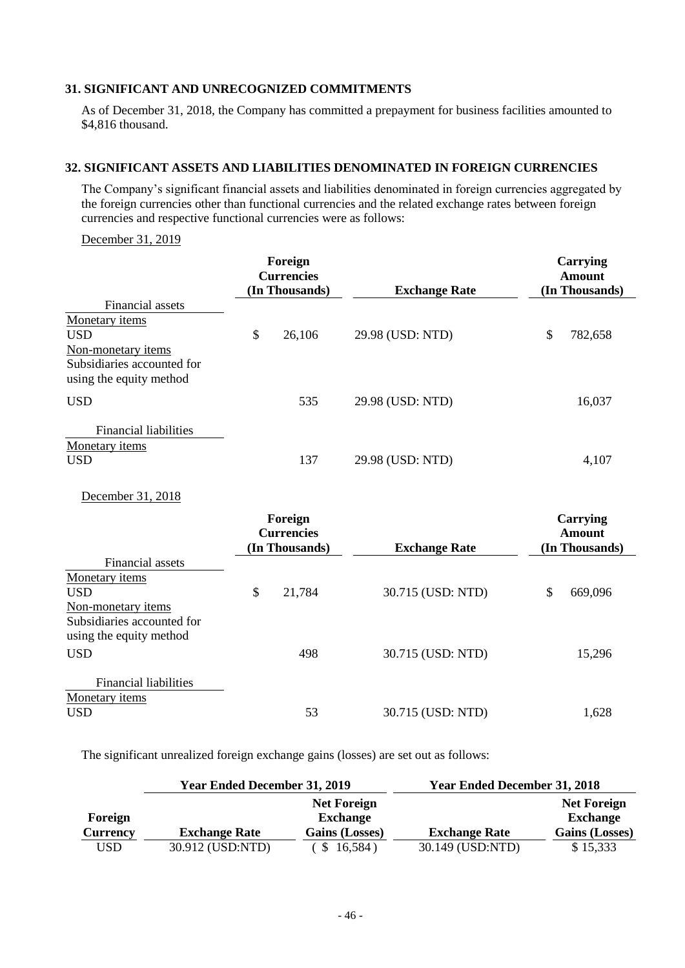### **31. SIGNIFICANT AND UNRECOGNIZED COMMITMENTS**

As of December 31, 2018, the Company has committed a prepayment for business facilities amounted to \$4,816 thousand.

#### **32. SIGNIFICANT ASSETS AND LIABILITIES DENOMINATED IN FOREIGN CURRENCIES**

The Company's significant financial assets and liabilities denominated in foreign currencies aggregated by the foreign currencies other than functional currencies and the related exchange rates between foreign currencies and respective functional currencies were as follows:

### December 31, 2019

|                                                       | Foreign<br><b>Currencies</b><br>(In Thousands) |        | <b>Exchange Rate</b> | Carrying<br>Amount<br>(In Thousands) |         |
|-------------------------------------------------------|------------------------------------------------|--------|----------------------|--------------------------------------|---------|
| Financial assets                                      |                                                |        |                      |                                      |         |
| Monetary items                                        |                                                |        |                      |                                      |         |
| <b>USD</b>                                            | \$                                             | 26,106 | 29.98 (USD: NTD)     | \$                                   | 782,658 |
| Non-monetary items                                    |                                                |        |                      |                                      |         |
| Subsidiaries accounted for<br>using the equity method |                                                |        |                      |                                      |         |
| <b>USD</b>                                            |                                                | 535    | 29.98 (USD: NTD)     |                                      | 16,037  |
| Financial liabilities                                 |                                                |        |                      |                                      |         |
| Monetary items                                        |                                                |        |                      |                                      |         |
| <b>USD</b>                                            |                                                | 137    | 29.98 (USD: NTD)     |                                      | 4,107   |

December 31, 2018

|                              | Foreign<br><b>Currencies</b> |                |                      | Carrying<br>Amount |                |
|------------------------------|------------------------------|----------------|----------------------|--------------------|----------------|
|                              |                              | (In Thousands) | <b>Exchange Rate</b> |                    | (In Thousands) |
| Financial assets             |                              |                |                      |                    |                |
| Monetary items               |                              |                |                      |                    |                |
| <b>USD</b>                   | \$                           | 21,784         | 30.715 (USD: NTD)    | \$                 | 669,096        |
| Non-monetary items           |                              |                |                      |                    |                |
| Subsidiaries accounted for   |                              |                |                      |                    |                |
| using the equity method      |                              |                |                      |                    |                |
| <b>USD</b>                   |                              | 498            | 30.715 (USD: NTD)    |                    | 15,296         |
|                              |                              |                |                      |                    |                |
| <b>Financial liabilities</b> |                              |                |                      |                    |                |
| Monetary items               |                              |                |                      |                    |                |
| <b>USD</b>                   |                              | 53             | 30.715 (USD: NTD)    |                    | 1,628          |
|                              |                              |                |                      |                    |                |

The significant unrealized foreign exchange gains (losses) are set out as follows:

|                 | <b>Year Ended December 31, 2019</b> |                    | <b>Year Ended December 31, 2018</b> |                       |  |  |
|-----------------|-------------------------------------|--------------------|-------------------------------------|-----------------------|--|--|
|                 |                                     | <b>Net Foreign</b> |                                     | <b>Net Foreign</b>    |  |  |
| Foreign         |                                     | <b>Exchange</b>    |                                     | <b>Exchange</b>       |  |  |
| <b>Currency</b> | <b>Exchange Rate</b>                | Gains (Losses)     | <b>Exchange Rate</b>                | <b>Gains (Losses)</b> |  |  |
| USD             | 30.912 (USD:NTD)                    | \$16,584)          | 30.149 (USD:NTD)                    | \$15,333              |  |  |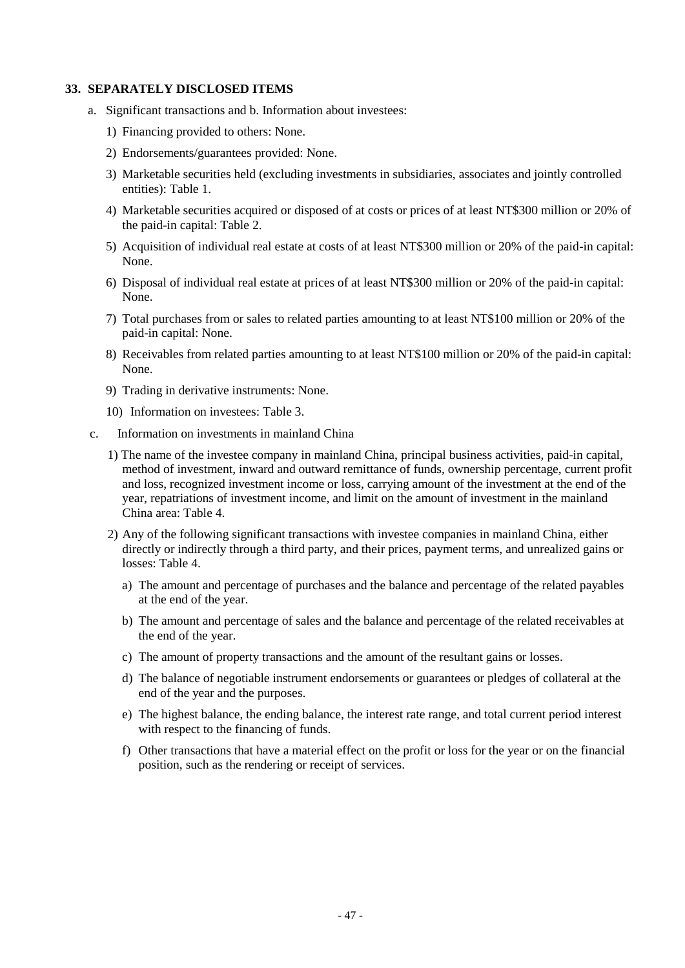#### **33. SEPARATELY DISCLOSED ITEMS**

- a. Significant transactions and b. Information about investees:
	- 1) Financing provided to others: None.
	- 2) Endorsements/guarantees provided: None.
	- 3) Marketable securities held (excluding investments in subsidiaries, associates and jointly controlled entities): Table 1.
	- 4) Marketable securities acquired or disposed of at costs or prices of at least NT\$300 million or 20% of the paid-in capital: Table 2.
	- 5) Acquisition of individual real estate at costs of at least NT\$300 million or 20% of the paid-in capital: None.
	- 6) Disposal of individual real estate at prices of at least NT\$300 million or 20% of the paid-in capital: None.
	- 7) Total purchases from or sales to related parties amounting to at least NT\$100 million or 20% of the paid-in capital: None.
	- 8) Receivables from related parties amounting to at least NT\$100 million or 20% of the paid-in capital: None.
	- 9) Trading in derivative instruments: None.
	- 10) Information on investees: Table 3.
- c. Information on investments in mainland China
	- 1) The name of the investee company in mainland China, principal business activities, paid-in capital, method of investment, inward and outward remittance of funds, ownership percentage, current profit and loss, recognized investment income or loss, carrying amount of the investment at the end of the year, repatriations of investment income, and limit on the amount of investment in the mainland China area: Table 4.
	- 2) Any of the following significant transactions with investee companies in mainland China, either directly or indirectly through a third party, and their prices, payment terms, and unrealized gains or losses: Table 4.
		- a) The amount and percentage of purchases and the balance and percentage of the related payables at the end of the year.
		- b) The amount and percentage of sales and the balance and percentage of the related receivables at the end of the year.
		- c) The amount of property transactions and the amount of the resultant gains or losses.
		- d) The balance of negotiable instrument endorsements or guarantees or pledges of collateral at the end of the year and the purposes.
		- e) The highest balance, the ending balance, the interest rate range, and total current period interest with respect to the financing of funds.
		- f) Other transactions that have a material effect on the profit or loss for the year or on the financial position, such as the rendering or receipt of services.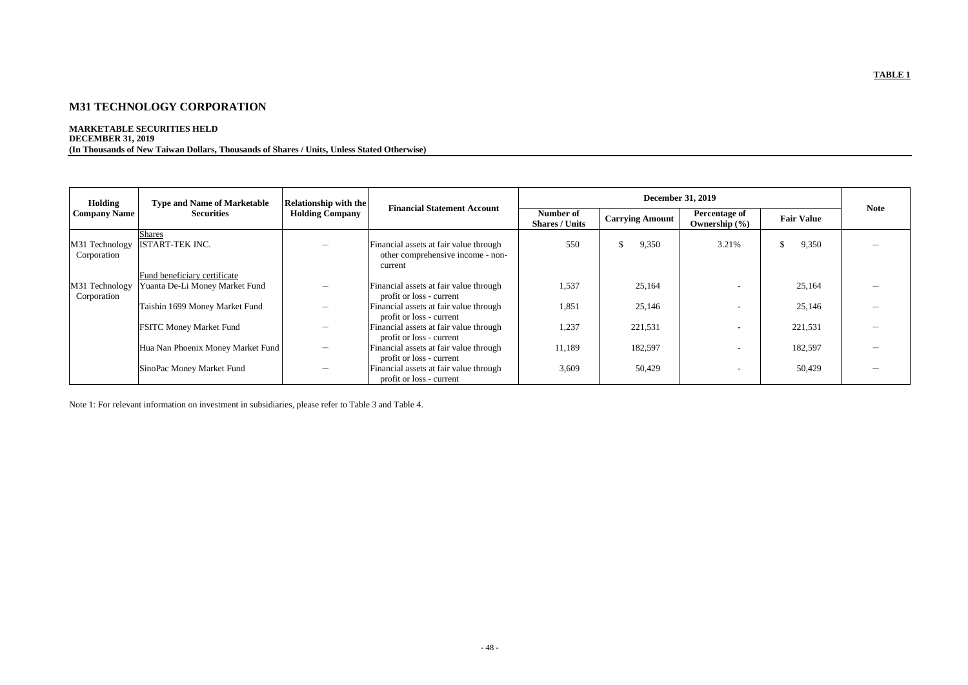# **M31 TECHNOLOGY CORPORATION**

### **MARKETABLE SECURITIES HELD DECEMBER 31, 2019 (In Thousands of New Taiwan Dollars, Thousands of Shares / Units, Unless Stated Otherwise)**

| Holding                       | <b>Type and Name of Marketable</b>                             | <b>Relationship with the</b> | <b>Financial Statement Account</b>                                                     |                                    |                        |                                           |                   |             |
|-------------------------------|----------------------------------------------------------------|------------------------------|----------------------------------------------------------------------------------------|------------------------------------|------------------------|-------------------------------------------|-------------------|-------------|
| <b>Company Name</b>           | <b>Securities</b><br><b>Holding Company</b>                    |                              |                                                                                        | Number of<br><b>Shares / Units</b> | <b>Carrying Amount</b> | <b>Percentage of</b><br>Ownership $(\% )$ | <b>Fair Value</b> | <b>Note</b> |
| M31 Technology<br>Corporation | <b>Shares</b><br><b>ISTART-TEK INC.</b>                        |                              | Financial assets at fair value through<br>other comprehensive income - non-<br>current | 550                                | 9,350<br>\$.           | 3.21%                                     | 9,350             |             |
| M31 Technology<br>Corporation | Fund beneficiary certificate<br>Yuanta De-Li Money Market Fund |                              | Financial assets at fair value through<br>profit or loss - current                     | 1,537                              | 25,164                 |                                           | 25,164            |             |
|                               | Taishin 1699 Money Market Fund                                 | $\overline{\phantom{0}}$     | Financial assets at fair value through<br>profit or loss - current                     | 1,851                              | 25,146                 |                                           | 25,146            |             |
|                               | <b>FSITC Money Market Fund</b>                                 |                              | Financial assets at fair value through<br>profit or loss - current                     | 1,237                              | 221,531                |                                           | 221,531           |             |
|                               | Hua Nan Phoenix Money Market Fund                              |                              | Financial assets at fair value through<br>profit or loss - current                     | 11,189                             | 182,597                |                                           | 182,597           |             |
|                               | SinoPac Money Market Fund                                      |                              | Financial assets at fair value through<br>profit or loss - current                     | 3,609                              | 50,429                 | $\overline{\phantom{0}}$                  | 50,429            |             |

Note 1: For relevant information on investment in subsidiaries, please refer to Table 3 and Table 4.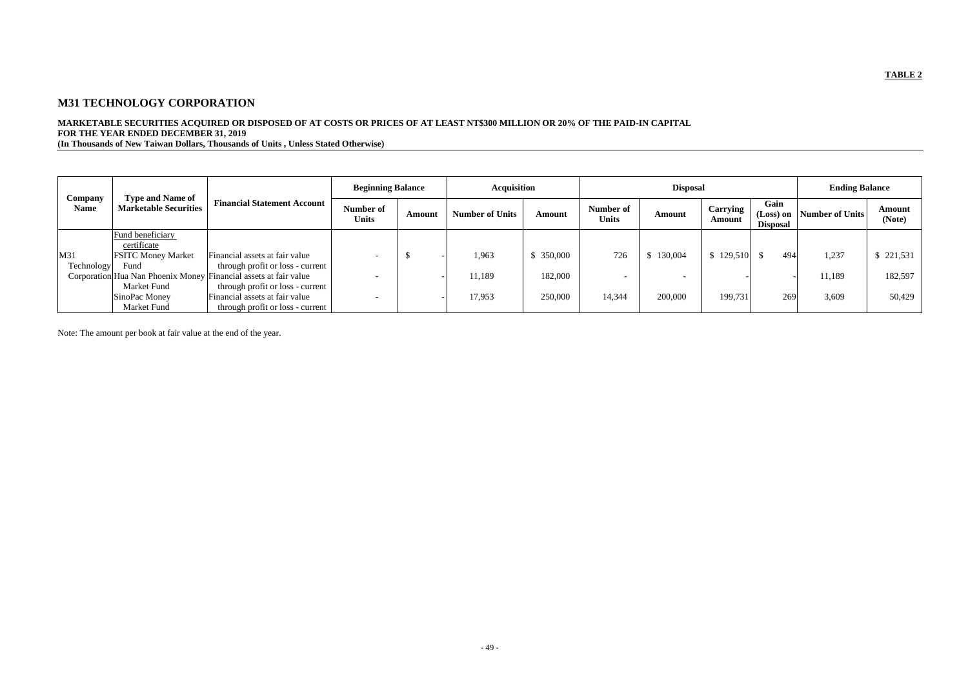# **M31 TECHNOLOGY CORPORATION**

# **MARKETABLE SECURITIES ACQUIRED OR DISPOSED OF AT COSTS OR PRICES OF AT LEAST NT\$300 MILLION OR 20% OF THE PAID-IN CAPITAL FOR THE YEAR ENDED DECEMBER 31, 2019**

**(In Thousands of New Taiwan Dollars, Thousands of Units , Unless Stated Otherwise)**

|                                                                                   |                           |                                                                  | <b>Beginning Balance</b>  |        | <b>Acquisition</b>     |            | <b>Disposal</b>           |               |                    |                                          | <b>Ending Balance</b> |                  |
|-----------------------------------------------------------------------------------|---------------------------|------------------------------------------------------------------|---------------------------|--------|------------------------|------------|---------------------------|---------------|--------------------|------------------------------------------|-----------------------|------------------|
| <b>Type and Name of</b><br>Company<br><b>Marketable Securities</b><br><b>Name</b> |                           | <b>Financial Statement Account</b>                               | Number of<br><b>Units</b> | Amount | <b>Number of Units</b> | Amount     | Number of<br><b>Units</b> | <b>Amount</b> | Carrying<br>Amount | Gain<br>$(Loss)$ on  <br><b>Disposal</b> | Number of Units       | Amount<br>(Note) |
|                                                                                   | Fund beneficiary          |                                                                  |                           |        |                        |            |                           |               |                    |                                          |                       |                  |
|                                                                                   | certificate               |                                                                  |                           |        |                        |            |                           |               |                    |                                          |                       |                  |
| M31                                                                               | <b>FSITC Money Market</b> | Financial assets at fair value                                   |                           |        | 1,963                  | \$ 350,000 | 726                       | \$130,004     | 129,510            | 494                                      | 1,237                 | \$221,531        |
| <b>Technology</b>                                                                 | Fund                      | through profit or loss - current                                 |                           |        |                        |            |                           |               |                    |                                          |                       |                  |
|                                                                                   |                           | Corporation Hua Nan Phoenix Money Financial assets at fair value |                           |        | 11,189                 | 182,000    | $\overline{\phantom{0}}$  |               |                    |                                          | 11,189                | 182,597          |
|                                                                                   | Market Fund               | through profit or loss - current                                 |                           |        |                        |            |                           |               |                    |                                          |                       |                  |
|                                                                                   | SinoPac Money             | Financial assets at fair value                                   |                           |        | 17,953                 | 250,000    | 14,344                    | 200,000       | 199,731            | 269                                      | 3,609                 | 50,429           |
|                                                                                   | Market Fund               | through profit or loss - current                                 |                           |        |                        |            |                           |               |                    |                                          |                       |                  |

Note: The amount per book at fair value at the end of the year.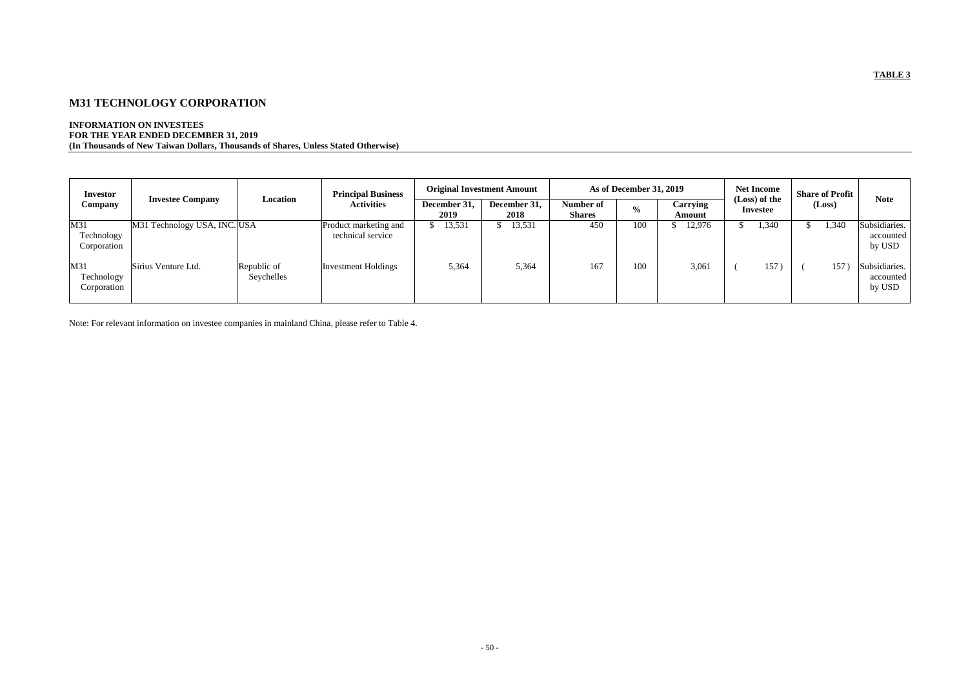# **M31 TECHNOLOGY CORPORATION**

### **INFORMATION ON INVESTEES FOR THE YEAR ENDED DECEMBER 31, 2019 (In Thousands of New Taiwan Dollars, Thousands of Shares, Unless Stated Otherwise)**

|                                           | <b>Investor</b>                  |                              |                           | <b>Principal Business</b>                  | <b>Original Investment Amount</b> |                            | <b>As of December 31, 2019</b> |                    |                                  |  | <b>Net Income</b> |  | <b>Share of Profit</b> |                                      |
|-------------------------------------------|----------------------------------|------------------------------|---------------------------|--------------------------------------------|-----------------------------------|----------------------------|--------------------------------|--------------------|----------------------------------|--|-------------------|--|------------------------|--------------------------------------|
| <b>Investee Company</b><br><b>Company</b> |                                  | Location                     | <b>Activities</b>         | December 31,<br>2019                       | December 31,<br>2018              | Number of<br><b>Shares</b> | $\frac{0}{0}$                  | Carrying<br>Amount | (Loss) of the<br><b>Investee</b> |  | (Loss)            |  | <b>Note</b>            |                                      |
|                                           | M31<br>Technology<br>Corporation | M31 Technology USA, INC. USA |                           | Product marketing and<br>technical service | 13,531                            | 13,531                     | 450                            | 100                | 12,976                           |  | 1,340             |  | 1,340                  | Subsidiaries.<br>accounted<br>by USD |
|                                           | M31<br>Technology<br>Corporation | Sirius Venture Ltd.          | Republic of<br>Seychelles | <b>Investment Holdings</b>                 | 5,364                             | 5,364                      | 167                            | 100                | 3,061                            |  | 157               |  | 157                    | Subsidiaries.<br>accounted<br>by USD |

Note: For relevant information on investee companies in mainland China, please refer to Table 4.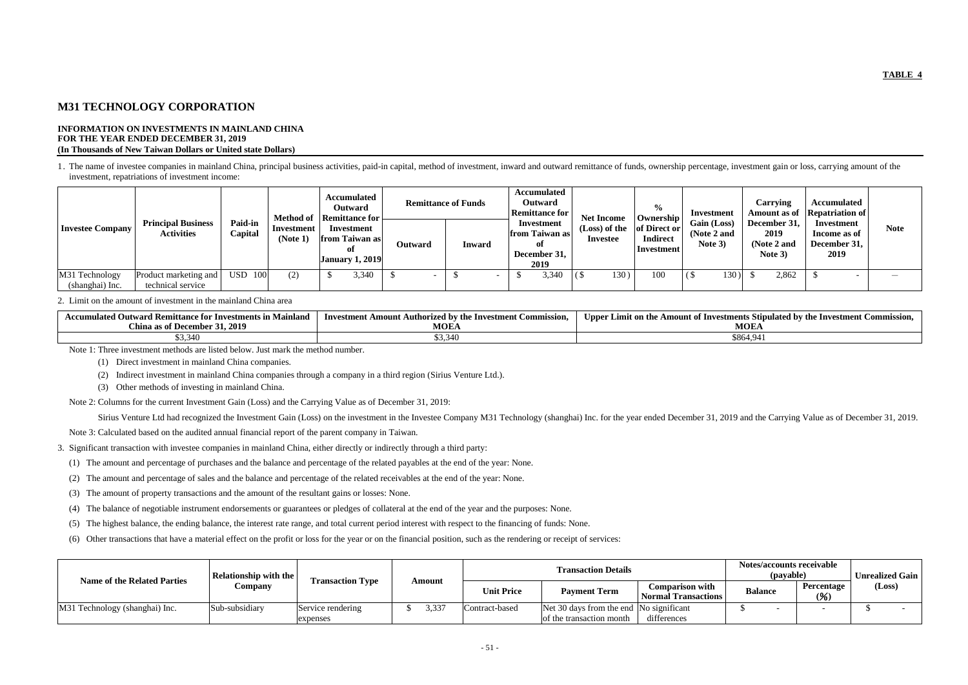# **M31 TECHNOLOGY CORPORATION**

#### **INFORMATION ON INVESTMENTS IN MAINLAND CHINA FOR THE YEAR ENDED DECEMBER 31, 2019 (In Thousands of New Taiwan Dollars or United state Dollars)**

1. The name of investee companies in mainland China, principal business activities, paid-in capital, method of investment, inward and outward remittance of funds, ownership percentage, investment gain or loss, carrying amo investment, repatriations of investment income:

| <b>Investee Company</b> | <b>Principal Business</b><br><b>Activities</b> | <b>Paid-in</b><br>Capital | <b>Method of</b><br>Investment<br>(Note 1) | Accumulated<br><b>Outward</b><br>Remittance for<br>Investment<br>from Taiwan as<br>0ľ<br><b>January 1, 2019</b> | <b>Outward</b> | <b>Remittance of Funds</b><br>Inward | <b>Accumulated</b><br>Outward<br><b>Remittance for</b><br>Investment<br>from Taiwan as<br>оf<br>December 31, | <b>Net Income</b><br>(Loss) of the<br><b>Investee</b> | $\frac{6}{10}$<br><b>Ownership</b><br>of Direct or<br><b>Indirect</b><br><b>Investment</b> | Investment<br>Gain (Loss)<br>(Note 2 and<br>Note 3) | <b>Carrying</b><br>December 31,<br>2019<br>(Note 2 and<br>Note 3) | Accumulated<br>Amount as of Repatriation of<br>Investment<br>Income as of<br>December 31,<br>2019 | <b>Note</b> |
|-------------------------|------------------------------------------------|---------------------------|--------------------------------------------|-----------------------------------------------------------------------------------------------------------------|----------------|--------------------------------------|--------------------------------------------------------------------------------------------------------------|-------------------------------------------------------|--------------------------------------------------------------------------------------------|-----------------------------------------------------|-------------------------------------------------------------------|---------------------------------------------------------------------------------------------------|-------------|
|                         |                                                |                           |                                            |                                                                                                                 |                |                                      | 2019                                                                                                         |                                                       |                                                                                            |                                                     |                                                                   |                                                                                                   |             |
| M31 Technology          | Product marketing and                          | 100<br><b>USD</b>         | (2)                                        | 3,340                                                                                                           |                |                                      | 3,340                                                                                                        | 130                                                   | 100                                                                                        | 130)                                                | 2,862                                                             |                                                                                                   |             |
| (shanghai) Inc.         | technical service                              |                           |                                            |                                                                                                                 |                |                                      |                                                                                                              |                                                       |                                                                                            |                                                     |                                                                   |                                                                                                   |             |

#### 2. Limit on the amount of investment in the mainland China area

| <b>Outward Remittance for Investments in Mainland</b><br><b>.ccumulated</b> | <b>Authorized by the Investment Commission, Fig. 4.</b><br>- Investment Amount A | r Limit on the Amount of Investments Stipulated by the Investment Co<br>Upper<br>. :ommission. |
|-----------------------------------------------------------------------------|----------------------------------------------------------------------------------|------------------------------------------------------------------------------------------------|
| 31, 2019<br><b>China as of December</b>                                     | <b>MOEA</b>                                                                      | <b>MOEA</b>                                                                                    |
| \$3,340                                                                     | DHC,CG                                                                           | \$864,941                                                                                      |

Note 1: Three investment methods are listed below. Just mark the method number.

- (1) Direct investment in mainland China companies.
- (2) Indirect investment in mainland China companies through a company in a third region (Sirius Venture Ltd.).
- (3) Other methods of investing in mainland China.

Note 2: Columns for the current Investment Gain (Loss) and the Carrying Value as of December 31, 2019:

Sirius Venture Ltd had recognized the Investment Gain (Loss) on the investment in the Investee Company M31 Technology (shanghai) Inc. for the year ended December 31, 2019 and the Carrying Value as of December 31, 2019.

Note 3: Calculated based on the audited annual financial report of the parent company in Taiwan.

3. Significant transaction with investee companies in mainland China, either directly or indirectly through a third party:

- (1) The amount and percentage of purchases and the balance and percentage of the related payables at the end of the year: None.
- (2) The amount and percentage of sales and the balance and percentage of the related receivables at the end of the year: None.
- (3) The amount of property transactions and the amount of the resultant gains or losses: None.
- (4) The balance of negotiable instrument endorsements or guarantees or pledges of collateral at the end of the year and the purposes: None.
- (5) The highest balance, the ending balance, the interest rate range, and total current period interest with respect to the financing of funds: None.
- (6) Other transactions that have a material effect on the profit or loss for the year or on the financial position, such as the rendering or receipt of services:

|                                    | <b>Relationship with the</b> |                         |               |                   | Notes/accounts receivable<br>(payable)                    | <b>Unrealized Gain</b>                               |                                            |  |        |  |
|------------------------------------|------------------------------|-------------------------|---------------|-------------------|-----------------------------------------------------------|------------------------------------------------------|--------------------------------------------|--|--------|--|
| <b>Name of the Related Parties</b> | Company                      | <b>Transaction Type</b> | <b>Amount</b> | <b>Unit Price</b> | <b>Payment Term</b>                                       | <b>Comparison with</b><br><b>Normal Transactions</b> | <b>Percentage</b><br><b>Balance</b><br>(%) |  | (Loss) |  |
| M31 Technology (shanghai) Inc.     | Sub-subsidiary               | Service rendering       | 3,337         | Contract-based    | $\Delta$ Net 30 days from the end $\Delta$ No significant |                                                      |                                            |  |        |  |
|                                    |                              | expenses                |               |                   | of the transaction month                                  | differences                                          |                                            |  |        |  |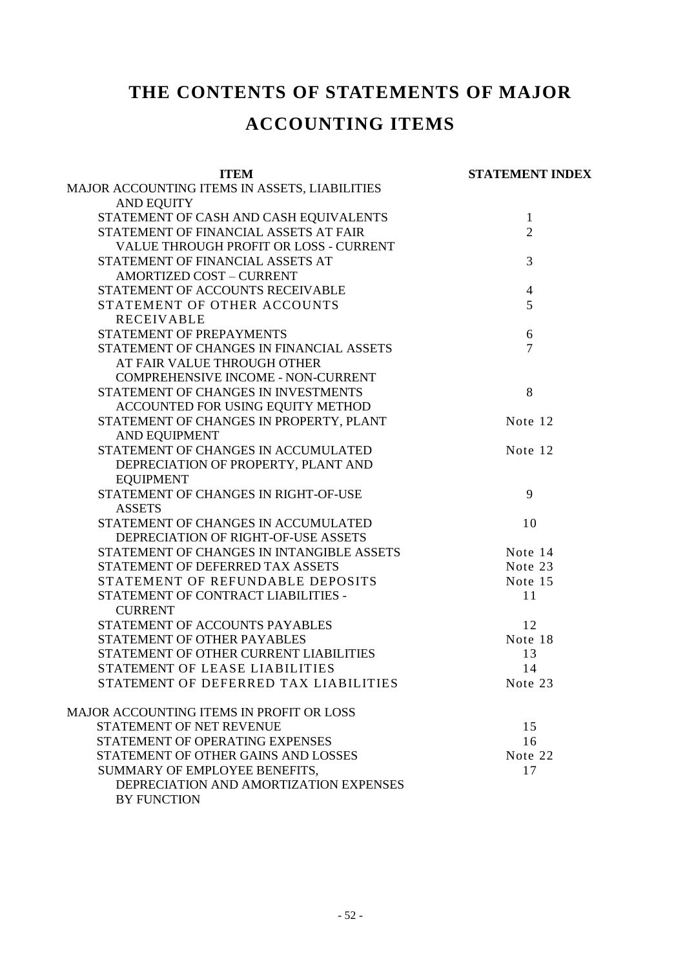# **THE CONTENTS OF STATEMENTS OF MAJOR**

# **ACCOUNTING ITEMS**

| <b>ITEM</b>                                     | <b>STATEMENT INDEX</b> |
|-------------------------------------------------|------------------------|
| MAJOR ACCOUNTING ITEMS IN ASSETS, LIABILITIES   |                        |
| <b>AND EQUITY</b>                               |                        |
| STATEMENT OF CASH AND CASH EQUIVALENTS          | $\mathbf{1}$           |
| STATEMENT OF FINANCIAL ASSETS AT FAIR           | $\overline{2}$         |
| VALUE THROUGH PROFIT OR LOSS - CURRENT          |                        |
| STATEMENT OF FINANCIAL ASSETS AT                | 3                      |
| <b>AMORTIZED COST - CURRENT</b>                 |                        |
| STATEMENT OF ACCOUNTS RECEIVABLE                | $\overline{4}$         |
| STATEMENT OF OTHER ACCOUNTS                     | 5                      |
| <b>RECEIVABLE</b>                               |                        |
| STATEMENT OF PREPAYMENTS                        | 6                      |
| STATEMENT OF CHANGES IN FINANCIAL ASSETS        | $\overline{7}$         |
| AT FAIR VALUE THROUGH OTHER                     |                        |
| <b>COMPREHENSIVE INCOME - NON-CURRENT</b>       |                        |
| STATEMENT OF CHANGES IN INVESTMENTS             | 8                      |
| ACCOUNTED FOR USING EQUITY METHOD               |                        |
| STATEMENT OF CHANGES IN PROPERTY, PLANT         | Note 12                |
| <b>AND EQUIPMENT</b>                            |                        |
| STATEMENT OF CHANGES IN ACCUMULATED             | Note 12                |
| DEPRECIATION OF PROPERTY, PLANT AND             |                        |
| <b>EQUIPMENT</b>                                |                        |
| STATEMENT OF CHANGES IN RIGHT-OF-USE            | 9                      |
| <b>ASSETS</b>                                   |                        |
| STATEMENT OF CHANGES IN ACCUMULATED             | 10                     |
| DEPRECIATION OF RIGHT-OF-USE ASSETS             |                        |
| STATEMENT OF CHANGES IN INTANGIBLE ASSETS       | Note 14                |
| STATEMENT OF DEFERRED TAX ASSETS                | Note 23                |
| STATEMENT OF REFUNDABLE DEPOSITS                | Note 15                |
| STATEMENT OF CONTRACT LIABILITIES -             | 11                     |
| <b>CURRENT</b>                                  |                        |
| STATEMENT OF ACCOUNTS PAYABLES                  | 12                     |
| STATEMENT OF OTHER PAYABLES                     | Note 18                |
| STATEMENT OF OTHER CURRENT LIABILITIES          | 13                     |
| STATEMENT OF LEASE LIABILITIES                  | 14                     |
| STATEMENT OF DEFERRED TAX LIABILITIES           | Note 23                |
| <b>MAJOR ACCOUNTING ITEMS IN PROFIT OR LOSS</b> |                        |
| STATEMENT OF NET REVENUE                        | 15                     |
| STATEMENT OF OPERATING EXPENSES                 | 16                     |
| STATEMENT OF OTHER GAINS AND LOSSES             | Note 22                |
| SUMMARY OF EMPLOYEE BENEFITS,                   | 17                     |
| DEPRECIATION AND AMORTIZATION EXPENSES          |                        |
| <b>BY FUNCTION</b>                              |                        |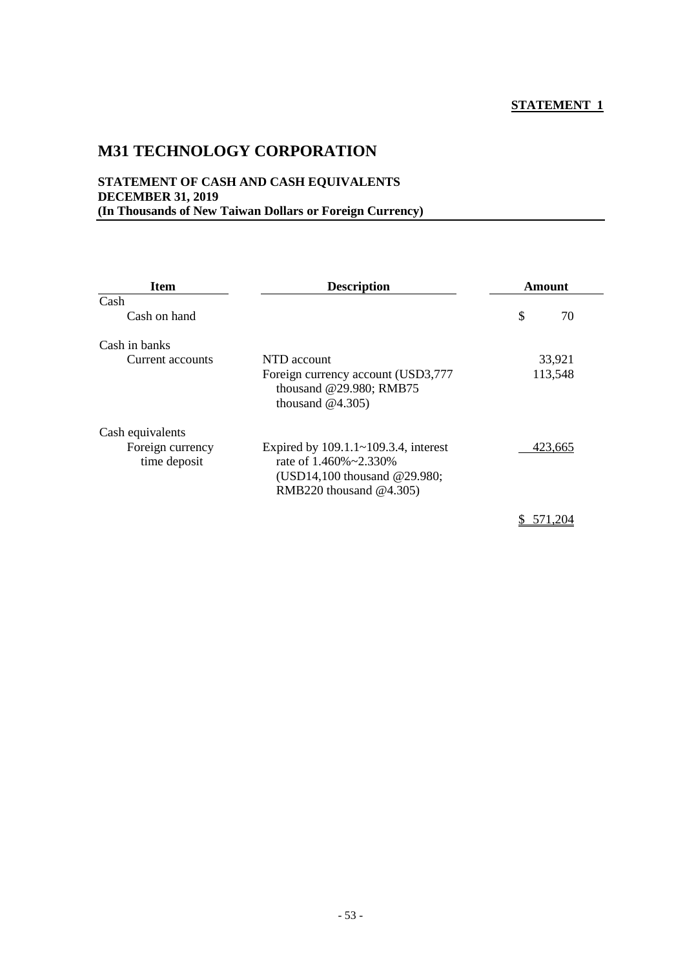# **M31 TECHNOLOGY CORPORATION**

## **STATEMENT OF CASH AND CASH EQUIVALENTS DECEMBER 31, 2019 (In Thousands of New Taiwan Dollars or Foreign Currency)**

| <b>Item</b><br><b>Description</b> |                                                                                                                                        | Amount  |    |  |  |
|-----------------------------------|----------------------------------------------------------------------------------------------------------------------------------------|---------|----|--|--|
| Cash                              |                                                                                                                                        |         |    |  |  |
| Cash on hand                      |                                                                                                                                        | \$      | 70 |  |  |
| Cash in banks                     |                                                                                                                                        |         |    |  |  |
| Current accounts                  | NTD account                                                                                                                            | 33,921  |    |  |  |
|                                   | Foreign currency account (USD3,777<br>thousand @29.980; RMB75<br>thousand $@4.305$ )                                                   | 113,548 |    |  |  |
| Cash equivalents                  |                                                                                                                                        |         |    |  |  |
| Foreign currency<br>time deposit  | Expired by 109.1.1~109.3.4, interest<br>rate of $1.460\% \approx 2.330\%$<br>(USD14,100 thousand @29.980;<br>RMB220 thousand $@4.305)$ | 423,665 |    |  |  |
|                                   |                                                                                                                                        |         |    |  |  |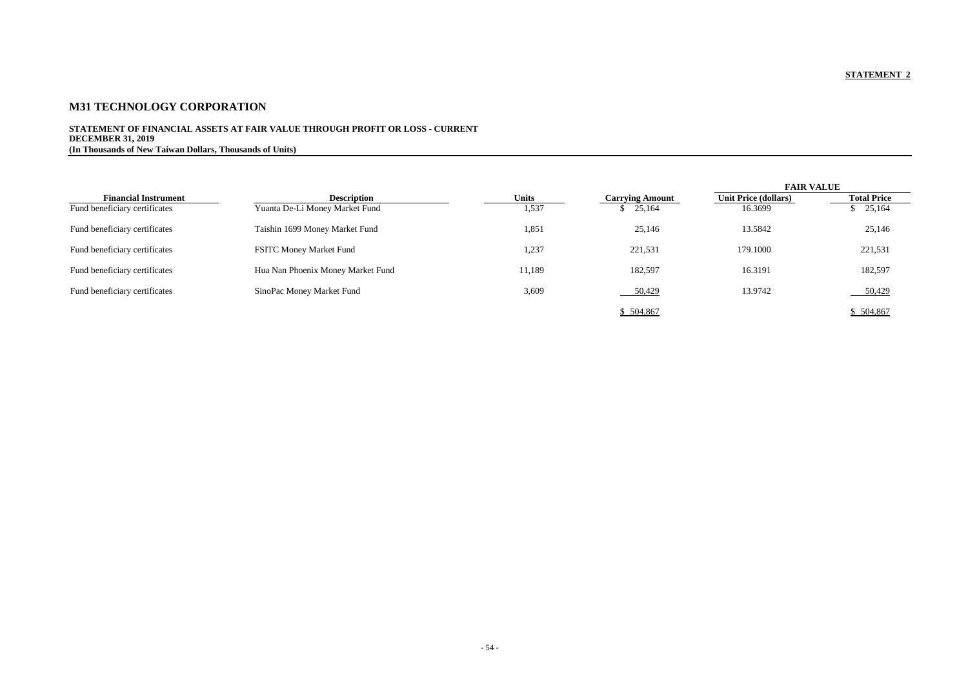# **M31 TECHNOLOGY CORPORATION**

### **STATEMENT OF FINANCIAL ASSETS AT FAIR VALUE THROUGH PROFIT OR LOSS - CURRENT DECEMBER 31, 2019 (In Thousands of New Taiwan Dollars, Thousands of Units)**

|                               |                                   |              |                        | <b>FAIR VALUE</b>           |                    |
|-------------------------------|-----------------------------------|--------------|------------------------|-----------------------------|--------------------|
| <b>Financial Instrument</b>   | <b>Description</b>                | <b>Units</b> | <b>Carrying Amount</b> | <b>Unit Price (dollars)</b> | <b>Total Price</b> |
| Fund beneficiary certificates | Yuanta De-Li Money Market Fund    | 1,537        | \$25,164               | 16.3699                     | \$25,164           |
| Fund beneficiary certificates | Taishin 1699 Money Market Fund    | 1,851        | 25,146                 | 13.5842                     | 25,146             |
| Fund beneficiary certificates | <b>FSITC Money Market Fund</b>    | 1,237        | 221,531                | 179.1000                    | 221,531            |
| Fund beneficiary certificates | Hua Nan Phoenix Money Market Fund | 11,189       | 182,597                | 16.3191                     | 182,597            |
| Fund beneficiary certificates | SinoPac Money Market Fund         | 3,609        | 50,429                 | 13.9742                     | 50,429             |
|                               |                                   |              | \$504,867              |                             | \$504,867          |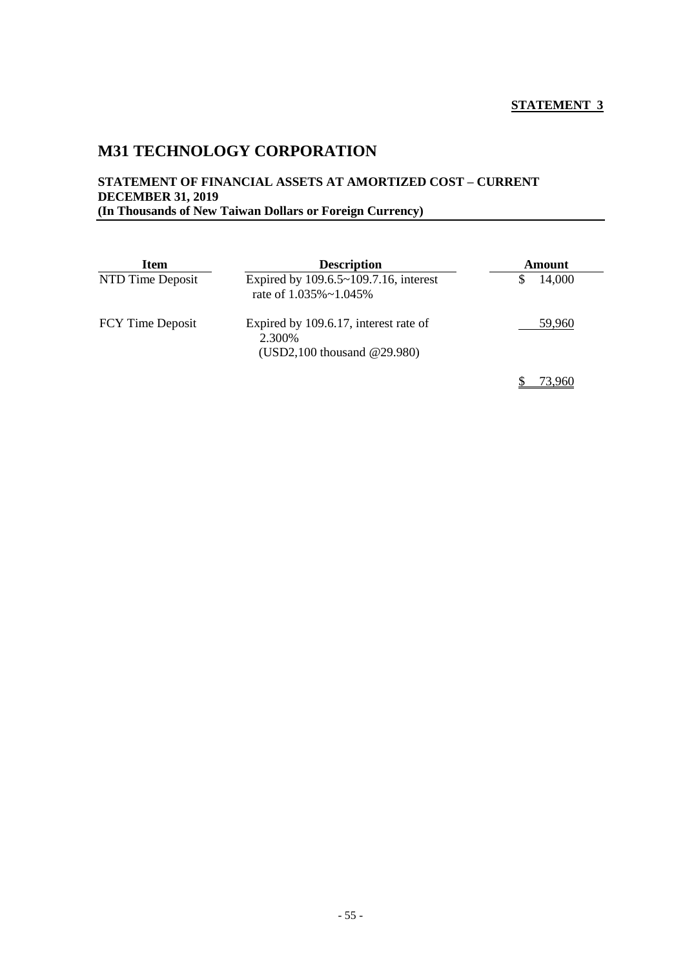# **M31 TECHNOLOGY CORPORATION**

### **STATEMENT OF FINANCIAL ASSETS AT AMORTIZED COST – CURRENT DECEMBER 31, 2019 (In Thousands of New Taiwan Dollars or Foreign Currency)**

| <b>Item</b>             | <b>Description</b>                                                                   | Amount |  |  |
|-------------------------|--------------------------------------------------------------------------------------|--------|--|--|
| NTD Time Deposit        | Expired by 109.6.5~109.7.16, interest<br>rate of 1.035%~1.045%                       | 14,000 |  |  |
| <b>FCY Time Deposit</b> | Expired by 109.6.17, interest rate of<br>2.300\%<br>$(USD2,100)$ thousand $@29.980)$ | 59,960 |  |  |
|                         |                                                                                      |        |  |  |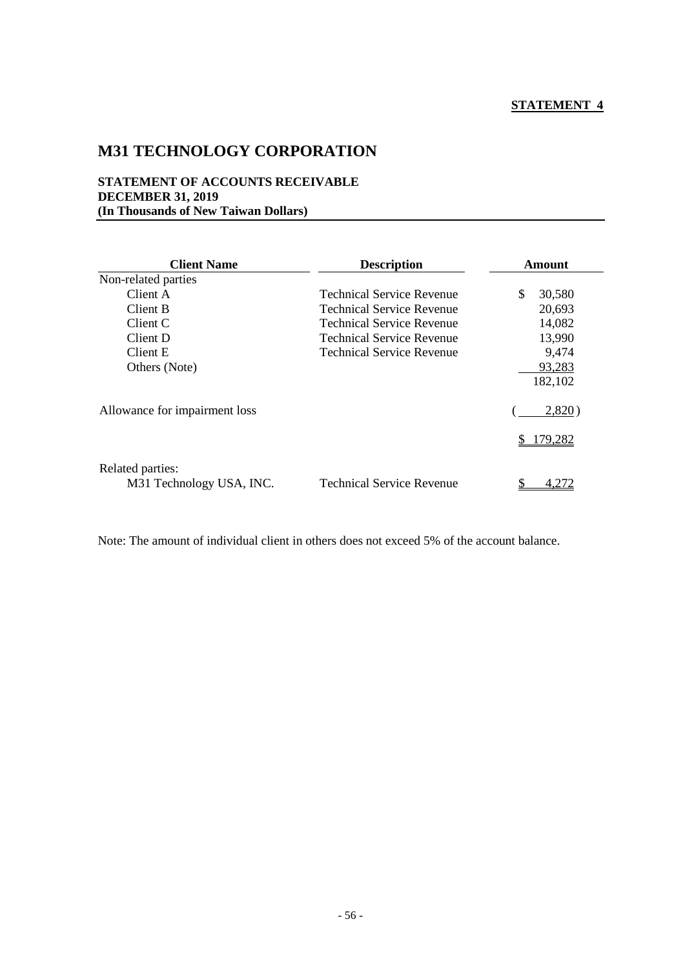# **M31 TECHNOLOGY CORPORATION**

#### **STATEMENT OF ACCOUNTS RECEIVABLE DECEMBER 31, 2019 (In Thousands of New Taiwan Dollars)**

| <b>Client Name</b>            | <b>Description</b>               | <b>Amount</b>  |
|-------------------------------|----------------------------------|----------------|
| Non-related parties           |                                  |                |
| Client A                      | Technical Service Revenue        | \$<br>30,580   |
| Client B                      | <b>Technical Service Revenue</b> | 20,693         |
| Client C                      | <b>Technical Service Revenue</b> | 14,082         |
| Client D                      | Technical Service Revenue        | 13,990         |
| Client E                      | <b>Technical Service Revenue</b> | 9,474          |
| Others (Note)                 |                                  | 93,283         |
|                               |                                  | 182,102        |
| Allowance for impairment loss |                                  | 2,820)         |
|                               |                                  | <u>179,282</u> |
| Related parties:              |                                  |                |
| M31 Technology USA, INC.      | <b>Technical Service Revenue</b> |                |

Note: The amount of individual client in others does not exceed 5% of the account balance.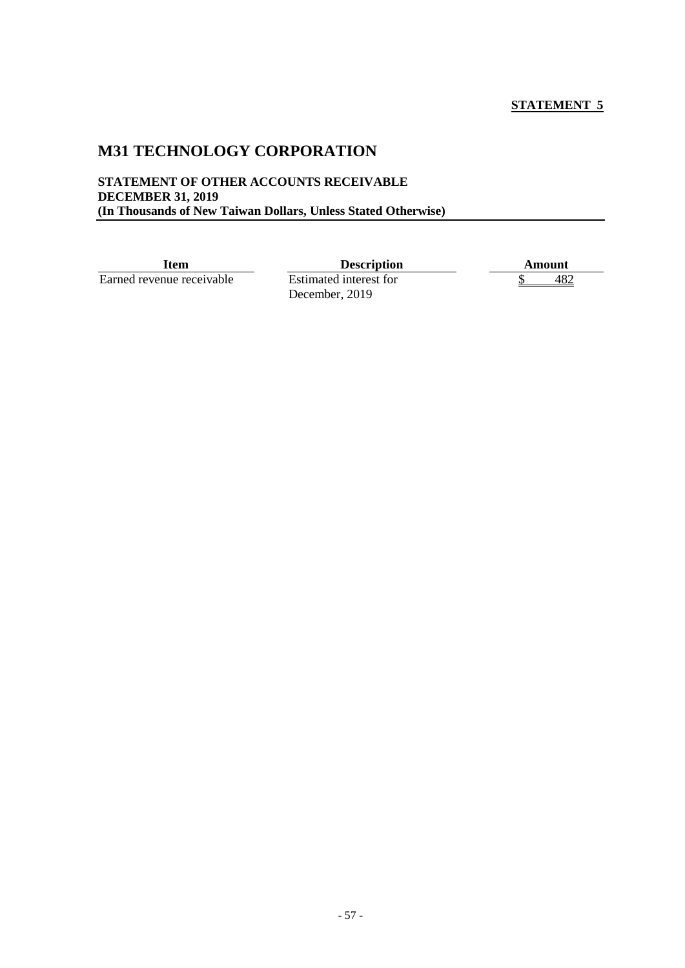# **M31 TECHNOLOGY CORPORATION**

#### **STATEMENT OF OTHER ACCOUNTS RECEIVABLE DECEMBER 31, 2019 (In Thousands of New Taiwan Dollars, Unless Stated Otherwise)**

Earned revenue receivable

**Item**<br>nue receivable **Description**<br>Estimated interest for <u>\$ 482</u> December, 2019

\$ 482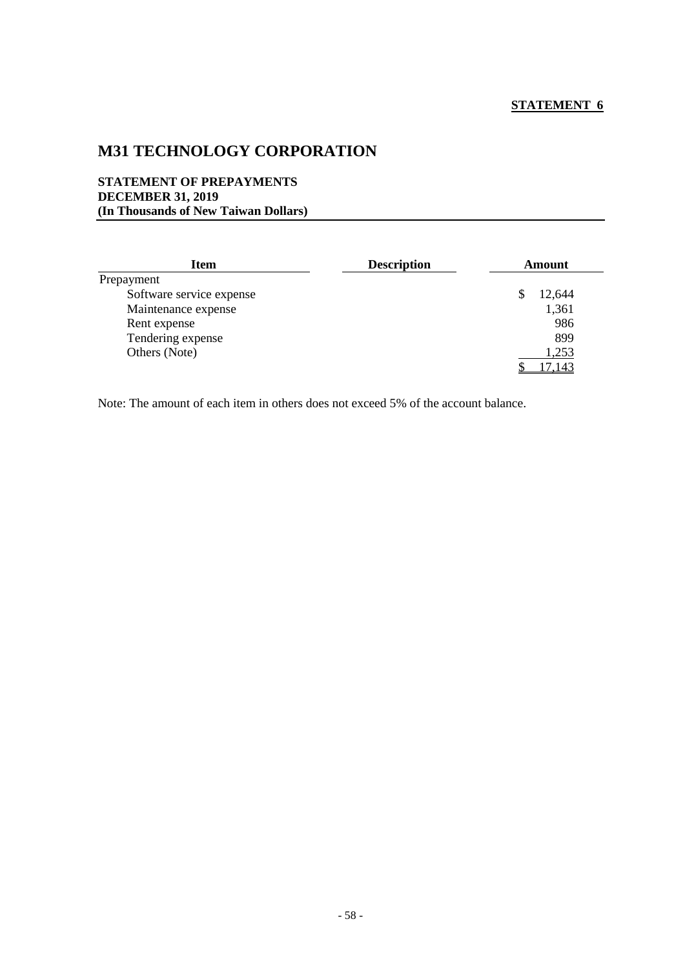# **M31 TECHNOLOGY CORPORATION**

#### **STATEMENT OF PREPAYMENTS DECEMBER 31, 2019 (In Thousands of New Taiwan Dollars)**

| Item                     | <b>Description</b> | Amount |
|--------------------------|--------------------|--------|
| Prepayment               |                    |        |
| Software service expense |                    | 12,644 |
| Maintenance expense      |                    | 1,361  |
| Rent expense             |                    | 986    |
| Tendering expense        |                    | 899    |
| Others (Note)            |                    | 1,253  |
|                          |                    | 17,143 |

Note: The amount of each item in others does not exceed 5% of the account balance.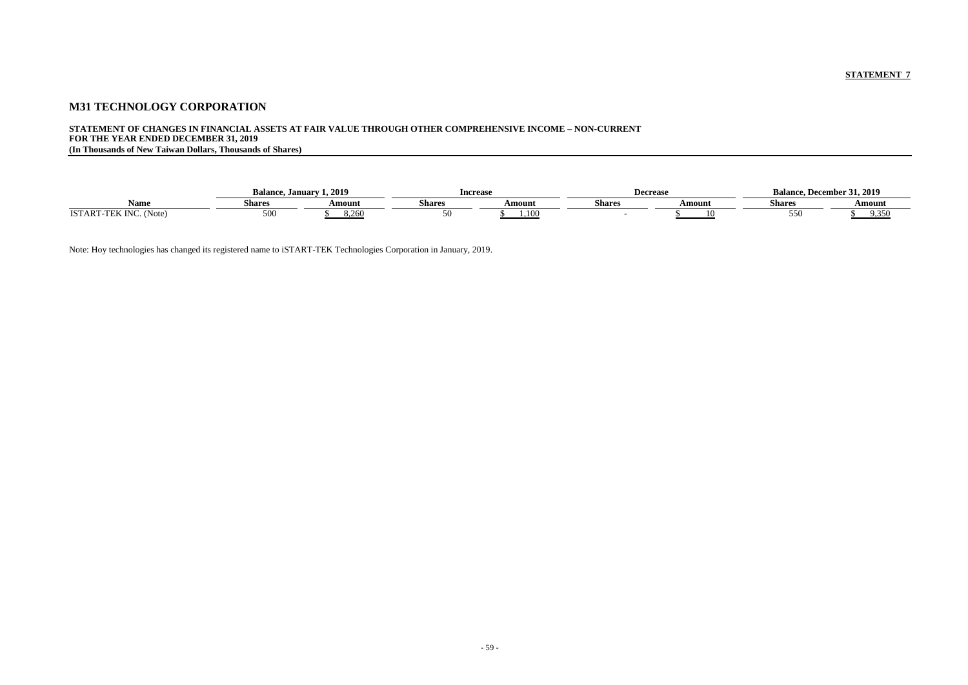# **M31 TECHNOLOGY CORPORATION**

# **STATEMENT OF CHANGES IN FINANCIAL ASSETS AT FAIR VALUE THROUGH OTHER COMPREHENSIVE INCOME – NON-CURRENT FOR THE YEAR ENDED DECEMBER 31, 2019**

**(In Thousands of New Taiwan Dollars, Thousands of Shares)**

|                                       | <b>Balance</b><br>. January | 1, 2019 | Increase |        | Decreaso      |        | … December ´<br>Balance. | 31, 2019               |
|---------------------------------------|-----------------------------|---------|----------|--------|---------------|--------|--------------------------|------------------------|
| Name                                  | Shares                      | Amount  | Shares   | Amount | <b>Shares</b> | Amount | <b>Shares</b>            | Amount                 |
| <b>ISTART</b><br>(Note)<br>TNC<br>,,, | 500                         | 3,260   |          | .10C   |               |        | 55U                      | 9.350<br><u>. پ. د</u> |

Note: Hoy technologies has changed its registered name to iSTART-TEK Technologies Corporation in January, 2019.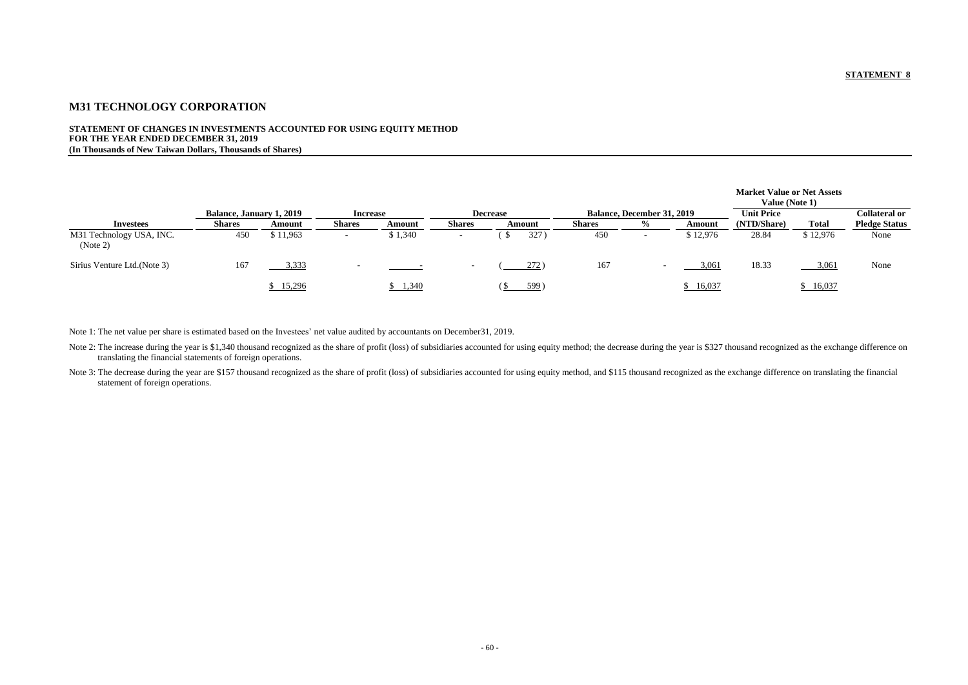# **M31 TECHNOLOGY CORPORATION**

#### **STATEMENT OF CHANGES IN INVESTMENTS ACCOUNTED FOR USING EQUITY METHOD FOR THE YEAR ENDED DECEMBER 31, 2019 (In Thousands of New Taiwan Dollars, Thousands of Shares)**

| <b>Market Value or Net Assets</b><br>Value (Note 1) |          |                                       |
|-----------------------------------------------------|----------|---------------------------------------|
| <b>Unit Price</b><br>(NTD/Share)                    | Total    | Collateral or<br><b>Pledge Status</b> |
| 28.84                                               | \$12,976 | None                                  |
| 18.33                                               | 3,061    | None                                  |
|                                                     |          |                                       |

|                                      | <b>Balance, January 1, 2019</b> |          | <b>Increase</b> |         |               | <b>Decrease</b> |               | <b>Balance, December 31, 2019</b> |          | <b>Unit Price</b> |              | <b>Collateral or</b> |
|--------------------------------------|---------------------------------|----------|-----------------|---------|---------------|-----------------|---------------|-----------------------------------|----------|-------------------|--------------|----------------------|
| Investees                            | <b>Shares</b>                   | Amount   | <b>Shares</b>   | Amount  | <b>Shares</b> | Amount          | <b>Shares</b> | $\%$                              | Amount   | (NTD/Share)       | <b>Total</b> | <b>Pledge Status</b> |
| M31 Technology USA, INC.<br>(Note 2) | 450                             | \$11,963 |                 | \$1,340 |               | 327             | 450           | -                                 | \$12,976 | 28.84             | \$12,976     | None                 |
| Sirius Venture Ltd. (Note 3)         | 167                             | 3,333    |                 |         |               | 272)            | 167           |                                   | 3,061    | 18.33             | 3,06         | None                 |
|                                      |                                 | 15,296   |                 | 1,340   |               | 599)            |               |                                   | 16,037   |                   | 16,037       |                      |

Note 2: The increase during the year is \$1,340 thousand recognized as the share of profit (loss) of subsidiaries accounted for using equity method; the decrease during the year is \$327 thousand recognized as the exchange d translating the financial statements of foreign operations.

Note 3: The decrease during the year are \$157 thousand recognized as the share of profit (loss) of subsidiaries accounted for using equity method, and \$115 thousand recognized as the exchange difference on translating the statement of foreign operations.

Note 1: The net value per share is estimated based on the Investees' net value audited by accountants on December31, 2019.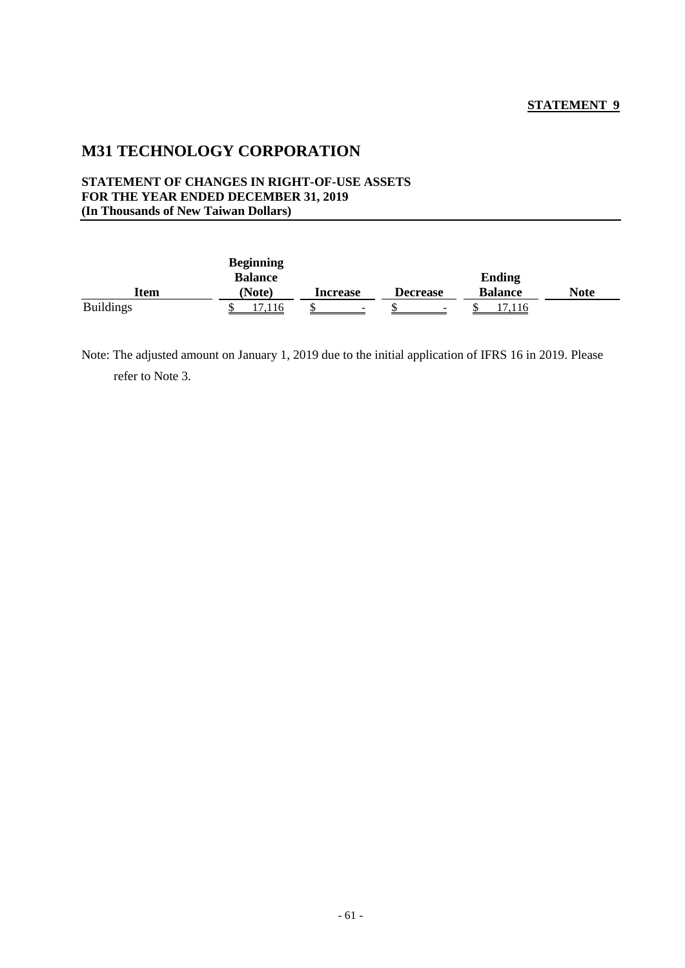# **M31 TECHNOLOGY CORPORATION**

#### **STATEMENT OF CHANGES IN RIGHT-OF-USE ASSETS FOR THE YEAR ENDED DECEMBER 31, 2019 (In Thousands of New Taiwan Dollars)**

|                  | <b>Beginning</b> |                 |                          |                |             |
|------------------|------------------|-----------------|--------------------------|----------------|-------------|
|                  | <b>Balance</b>   |                 |                          | <b>Ending</b>  |             |
| Item             | <b>Note</b> )    | <b>Increase</b> | <b>Decrease</b>          | <b>Balance</b> | <b>Note</b> |
| <b>Buildings</b> | .116             | -               | $\overline{\phantom{a}}$ | .116           |             |

Note: The adjusted amount on January 1, 2019 due to the initial application of IFRS 16 in 2019. Please refer to Note 3.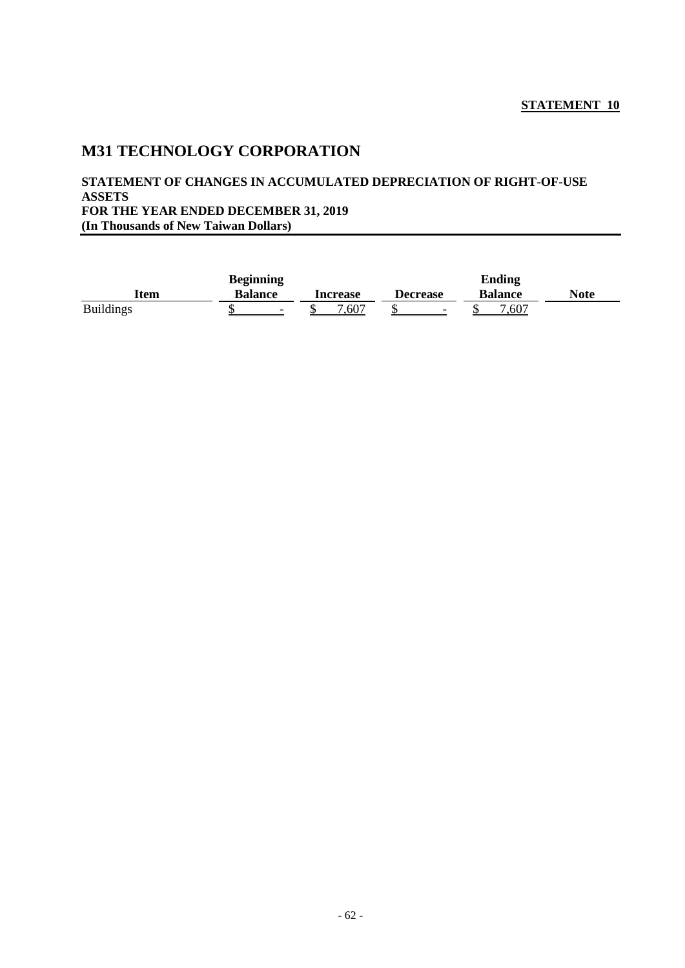# **M31 TECHNOLOGY CORPORATION**

### **STATEMENT OF CHANGES IN ACCUMULATED DEPRECIATION OF RIGHT-OF-USE ASSETS FOR THE YEAR ENDED DECEMBER 31, 2019 (In Thousands of New Taiwan Dollars)**

|                  | <b>Beginning</b>         |          |                          | <b>Ending</b>  |      |
|------------------|--------------------------|----------|--------------------------|----------------|------|
| Item             | <b>Balance</b>           | Increase | <b>Decrease</b>          | <b>Balance</b> | Note |
| <b>Buildings</b> | $\overline{\phantom{0}}$ | 7,607    | $\overline{\phantom{a}}$ | 7,607          |      |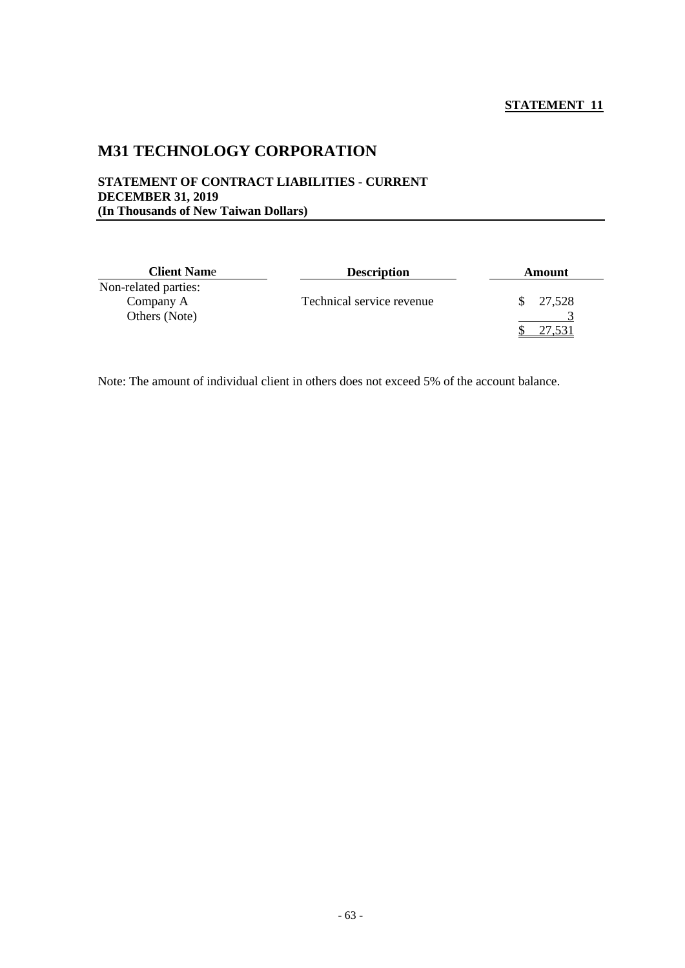# **M31 TECHNOLOGY CORPORATION**

#### **STATEMENT OF CONTRACT LIABILITIES - CURRENT DECEMBER 31, 2019 (In Thousands of New Taiwan Dollars)**

| <b>Client Name</b>   | <b>Description</b>        | <b>Amount</b> |  |  |
|----------------------|---------------------------|---------------|--|--|
| Non-related parties: |                           |               |  |  |
| Company A            | Technical service revenue | 27,528        |  |  |
| Others (Note)        |                           |               |  |  |
|                      |                           |               |  |  |

Note: The amount of individual client in others does not exceed 5% of the account balance.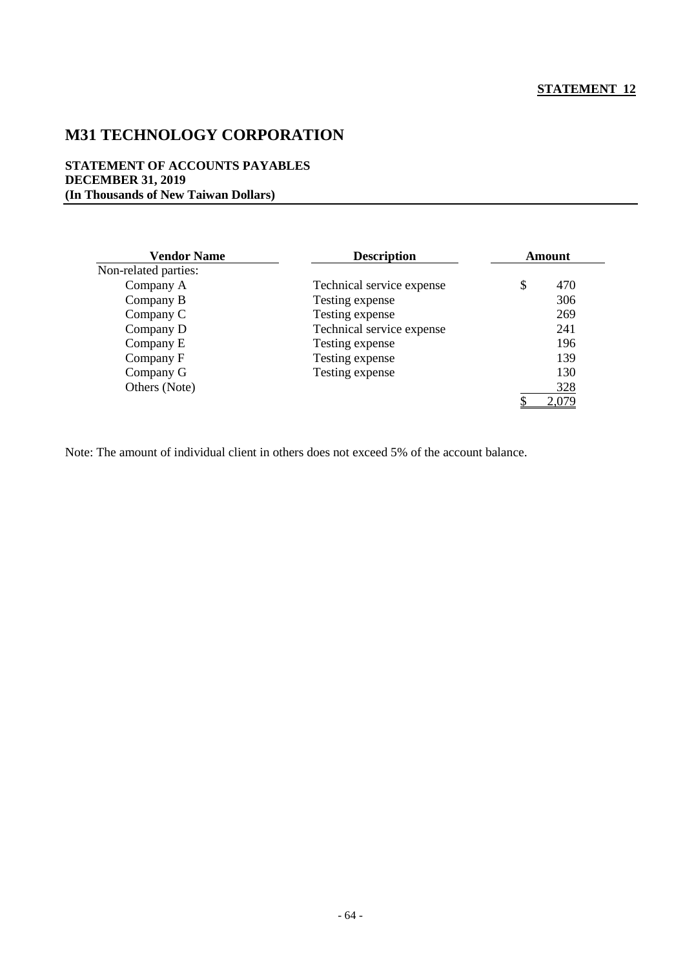# **M31 TECHNOLOGY CORPORATION**

#### **STATEMENT OF ACCOUNTS PAYABLES DECEMBER 31, 2019 (In Thousands of New Taiwan Dollars)**

| <b>Vendor Name</b>   | <b>Description</b>        | <b>Amount</b> |              |  |
|----------------------|---------------------------|---------------|--------------|--|
| Non-related parties: |                           |               |              |  |
| Company A            | Technical service expense | \$            | 470          |  |
| Company B            | Testing expense           |               | 306          |  |
| Company C            | Testing expense           |               | 269          |  |
| Company D            | Technical service expense |               | 241          |  |
| Company E            | Testing expense           |               | 196          |  |
| Company F            | Testing expense           |               | 139          |  |
| Company G            | Testing expense           |               | 130          |  |
| Others (Note)        |                           |               | 328          |  |
|                      |                           |               | <u>2,079</u> |  |

Note: The amount of individual client in others does not exceed 5% of the account balance.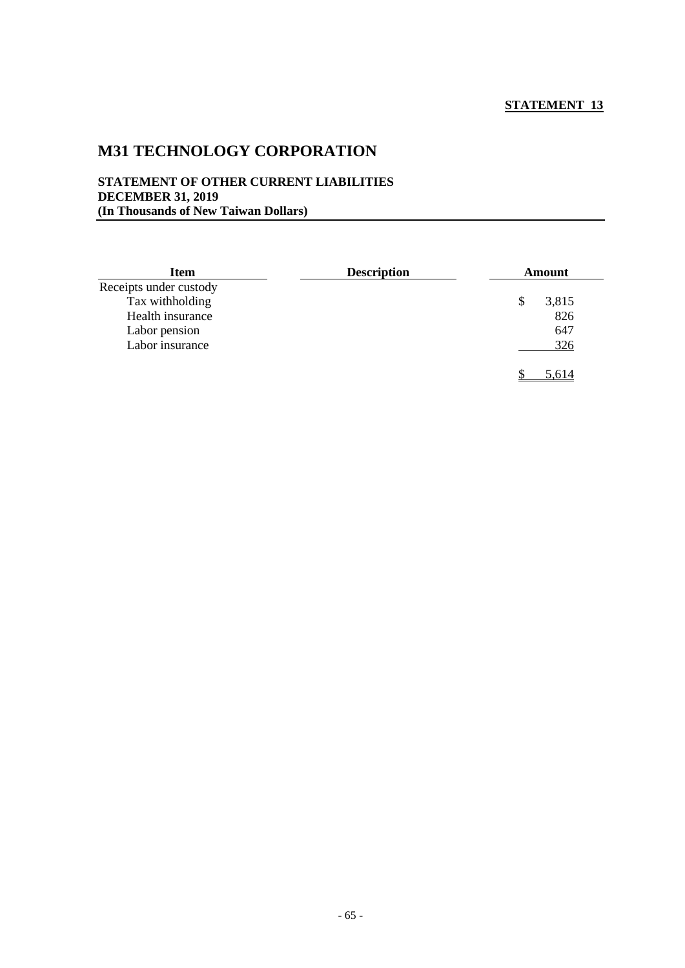# **M31 TECHNOLOGY CORPORATION**

#### **STATEMENT OF OTHER CURRENT LIABILITIES DECEMBER 31, 2019 (In Thousands of New Taiwan Dollars)**

| <b>Description</b><br><b>Item</b> |  | <b>Amount</b> |       |  |
|-----------------------------------|--|---------------|-------|--|
| Receipts under custody            |  |               |       |  |
| Tax withholding                   |  | S             | 3,815 |  |
| Health insurance                  |  |               | 826   |  |
| Labor pension                     |  |               | 647   |  |
| Labor insurance                   |  |               | 326   |  |
|                                   |  |               | 5,614 |  |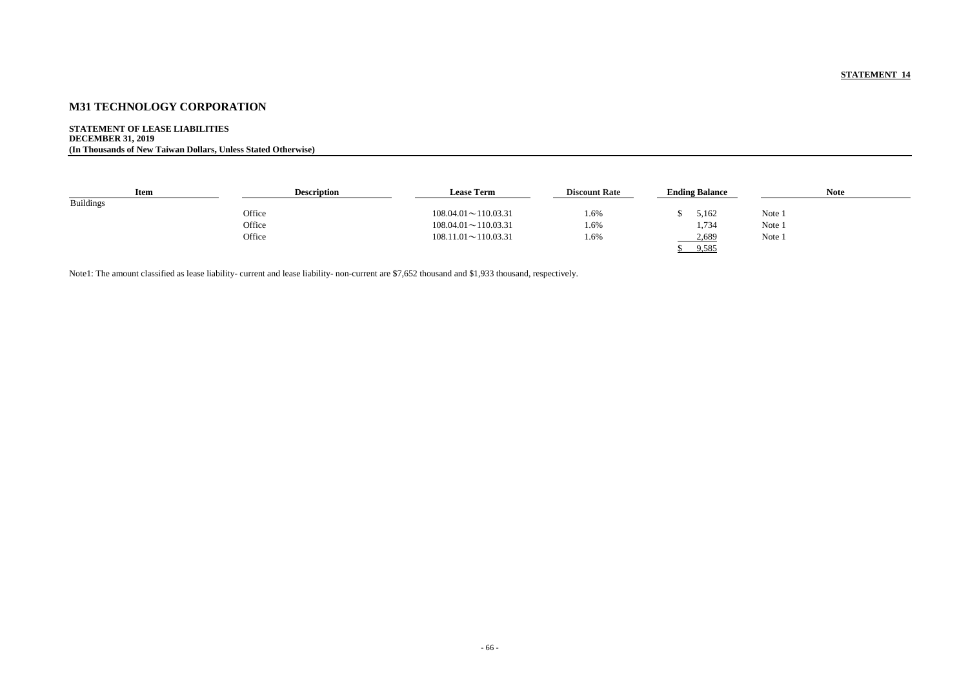# **M31 TECHNOLOGY CORPORATION**

**STATEMENT OF LEASE LIABILITIES DECEMBER 31, 2019 (In Thousands of New Taiwan Dollars, Unless Stated Otherwise)**

| <b>Item</b>      | <b>Description</b> | <b>Lease Term</b>          | <b>Discount Rate</b> | <b>Ending Balance</b> | <b>Note</b> |
|------------------|--------------------|----------------------------|----------------------|-----------------------|-------------|
| <b>Buildings</b> |                    |                            |                      |                       |             |
|                  | Office             | $108.04.01 \sim 110.03.31$ | 1.6%                 | 5,162                 | Note 1      |
|                  | Office             | $108.04.01 \sim 110.03.31$ | 1.6%                 | 1,734                 | Note 1      |
|                  | Office             | $108.11.01 \sim 110.03.31$ | 1.6%                 | 2,689                 | Note 1      |
|                  |                    |                            |                      | 9,585                 |             |

Note1: The amount classified as lease liability- current and lease liability- non-current are \$7,652 thousand and \$1,933 thousand, respectively.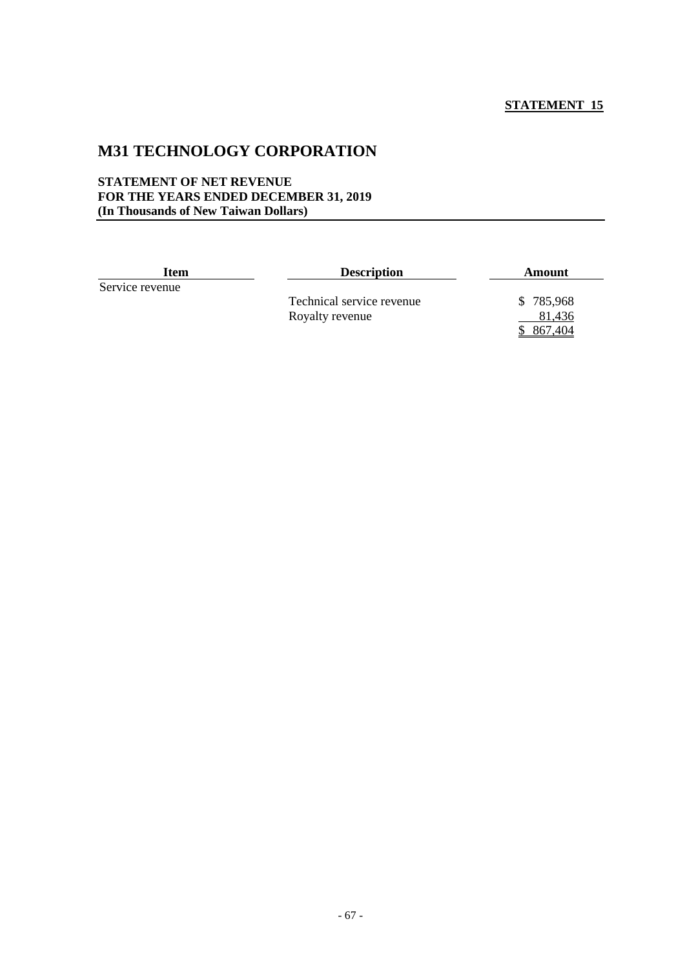# **M31 TECHNOLOGY CORPORATION**

#### **STATEMENT OF NET REVENUE FOR THE YEARS ENDED DECEMBER 31, 2019 (In Thousands of New Taiwan Dollars)**

| <b>Item</b>     | <b>Description</b>        | Amount    |
|-----------------|---------------------------|-----------|
| Service revenue |                           |           |
|                 | Technical service revenue | \$785,968 |
|                 | Royalty revenue           | 81.436    |
|                 |                           | .404      |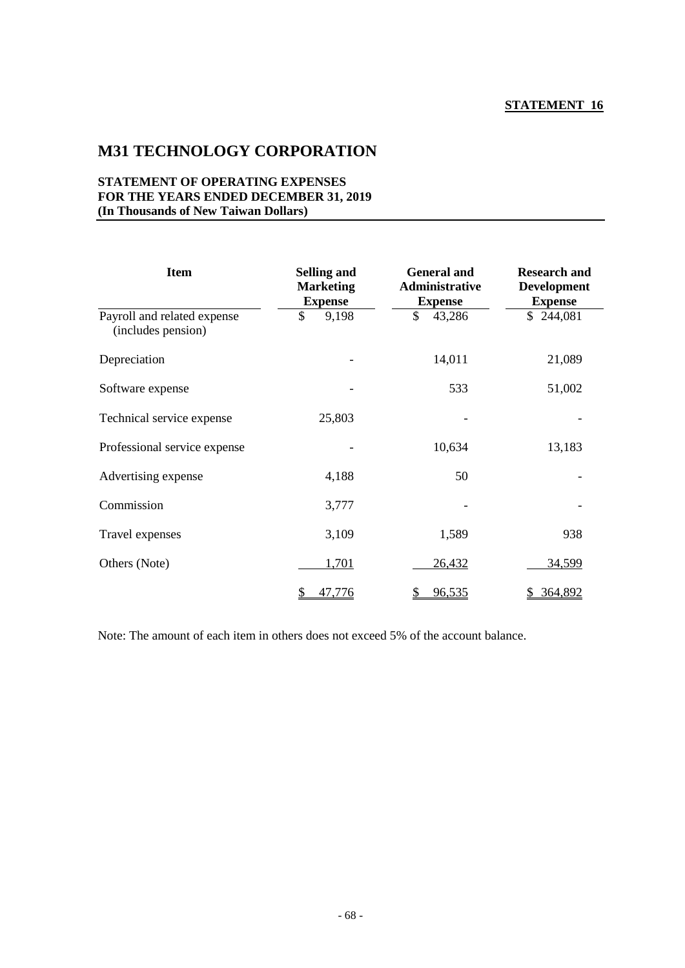# **M31 TECHNOLOGY CORPORATION**

### **STATEMENT OF OPERATING EXPENSES FOR THE YEARS ENDED DECEMBER 31, 2019 (In Thousands of New Taiwan Dollars)**

| <b>Item</b>                                       | <b>Selling and</b><br><b>Marketing</b><br><b>Expense</b> | <b>General and</b><br><b>Administrative</b><br><b>Expense</b> | <b>Research and</b><br><b>Development</b><br><b>Expense</b> |
|---------------------------------------------------|----------------------------------------------------------|---------------------------------------------------------------|-------------------------------------------------------------|
| Payroll and related expense<br>(includes pension) | \$<br>9,198                                              | \$<br>43,286                                                  | \$244,081                                                   |
| Depreciation                                      |                                                          | 14,011                                                        | 21,089                                                      |
| Software expense                                  |                                                          | 533                                                           | 51,002                                                      |
| Technical service expense                         | 25,803                                                   |                                                               |                                                             |
| Professional service expense                      |                                                          | 10,634                                                        | 13,183                                                      |
| Advertising expense                               | 4,188                                                    | 50                                                            |                                                             |
| Commission                                        | 3,777                                                    |                                                               |                                                             |
| Travel expenses                                   | 3,109                                                    | 1,589                                                         | 938                                                         |
| Others (Note)                                     | 1,701                                                    | 26,432                                                        | 34,599                                                      |
|                                                   | 47,776<br>\$                                             | 96,535<br>\$                                                  | 364,892<br>D.                                               |

Note: The amount of each item in others does not exceed 5% of the account balance.